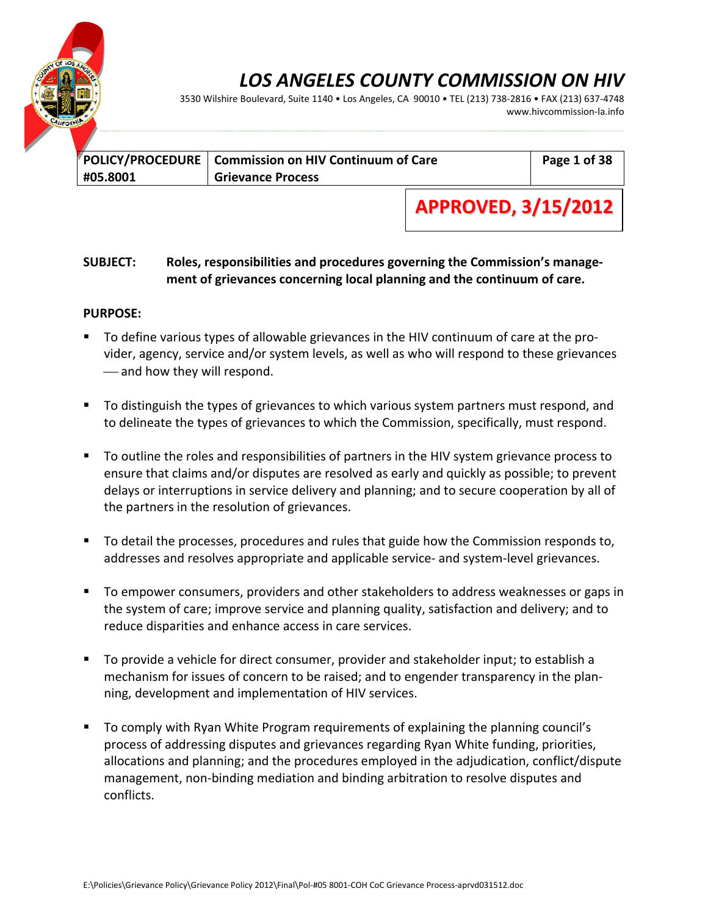

3530 Wilshire Boulevard, Suite 1140 • Los Angeles, CA 90010 • TEL (213) 738‐2816 • FAX (213) 637‐4748 www.hivcommission‐la.info

|          | POLICY/PROCEDURE   Commission on HIV Continuum of Care | Page 1 of 38 |
|----------|--------------------------------------------------------|--------------|
| #05.8001 | <b>Grievance Process</b>                               |              |

**APPROVED, 3/15/2012**

### **SUBJECT: Roles, responsibilities and procedures governing the Commission's manage‐ ment of grievances concerning local planning and the continuum of care.**

#### **PURPOSE:**

- To define various types of allowable grievances in the HIV continuum of care at the provider, agency, service and/or system levels, as well as who will respond to these grievances -and how they will respond.
- To distinguish the types of grievances to which various system partners must respond, and to delineate the types of grievances to which the Commission, specifically, must respond.
- To outline the roles and responsibilities of partners in the HIV system grievance process to ensure that claims and/or disputes are resolved as early and quickly as possible; to prevent delays or interruptions in service delivery and planning; and to secure cooperation by all of the partners in the resolution of grievances.
- To detail the processes, procedures and rules that guide how the Commission responds to, addresses and resolves appropriate and applicable service‐ and system‐level grievances.
- To empower consumers, providers and other stakeholders to address weaknesses or gaps in the system of care; improve service and planning quality, satisfaction and delivery; and to reduce disparities and enhance access in care services.
- To provide a vehicle for direct consumer, provider and stakeholder input; to establish a mechanism for issues of concern to be raised; and to engender transparency in the plan‐ ning, development and implementation of HIV services.
- To comply with Ryan White Program requirements of explaining the planning council's process of addressing disputes and grievances regarding Ryan White funding, priorities, allocations and planning; and the procedures employed in the adjudication, conflict/dispute management, non‐binding mediation and binding arbitration to resolve disputes and conflicts.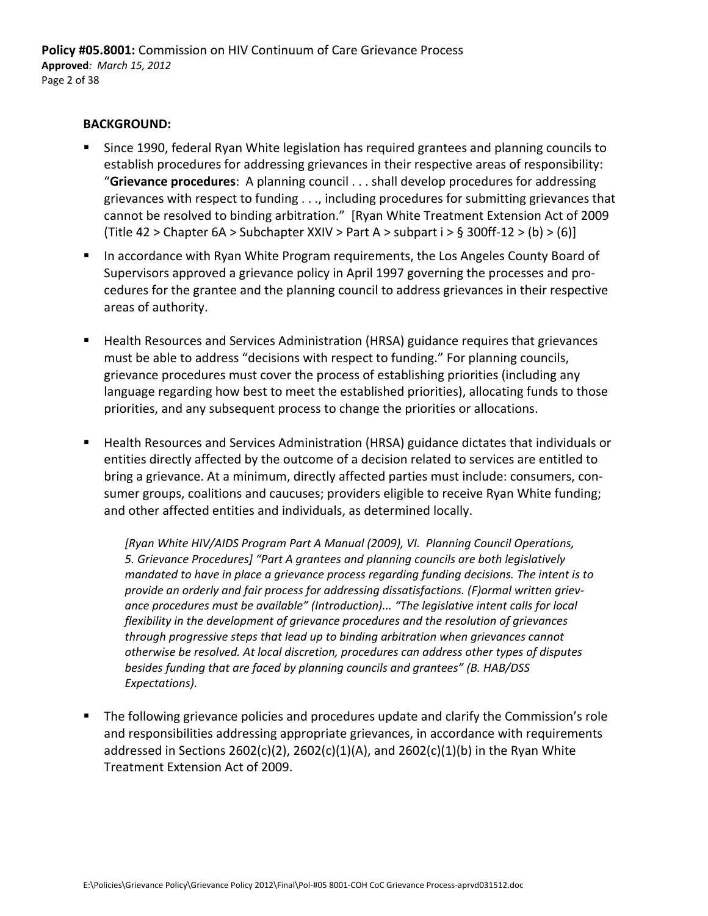#### **BACKGROUND:**

- Since 1990, federal Ryan White legislation has required grantees and planning councils to establish procedures for addressing grievances in their respective areas of responsibility: "**Grievance procedures**: A planning council . . . shall develop procedures for addressing grievances with respect to funding . . ., including procedures for submitting grievances that cannot be resolved to binding arbitration." [Ryan White Treatment Extension Act of 2009 (Title 42 > Chapter 6A > Subchapter XXIV > Part A > subpart  $i$  > § 300ff-12 > (b) > (6)]
- **IF In accordance with Ryan White Program requirements, the Los Angeles County Board of** Supervisors approved a grievance policy in April 1997 governing the processes and pro‐ cedures for the grantee and the planning council to address grievances in their respective areas of authority.
- **EXT** Health Resources and Services Administration (HRSA) guidance requires that grievances must be able to address "decisions with respect to funding." For planning councils, grievance procedures must cover the process of establishing priorities (including any language regarding how best to meet the established priorities), allocating funds to those priorities, and any subsequent process to change the priorities or allocations.
- Health Resources and Services Administration (HRSA) guidance dictates that individuals or entities directly affected by the outcome of a decision related to services are entitled to bring a grievance. At a minimum, directly affected parties must include: consumers, con‐ sumer groups, coalitions and caucuses; providers eligible to receive Ryan White funding; and other affected entities and individuals, as determined locally.

*[Ryan White HIV/AIDS Program Part A Manual (2009), VI. Planning Council Operations, 5. Grievance Procedures] "Part A grantees and planning councils are both legislatively mandated to have in place a grievance process regarding funding decisions. The intent is to provide an orderly and fair process for addressing dissatisfactions. (F)ormal written griev‐ ance procedures must be available" (Introduction)... "The legislative intent calls for local flexibility in the development of grievance procedures and the resolution of grievances through progressive steps that lead up to binding arbitration when grievances cannot otherwise be resolved. At local discretion, procedures can address other types of disputes besides funding that are faced by planning councils and grantees" (B. HAB/DSS Expectations).*

 The following grievance policies and procedures update and clarify the Commission's role and responsibilities addressing appropriate grievances, in accordance with requirements addressed in Sections 2602(c)(2), 2602(c)(1)(A), and 2602(c)(1)(b) in the Ryan White Treatment Extension Act of 2009.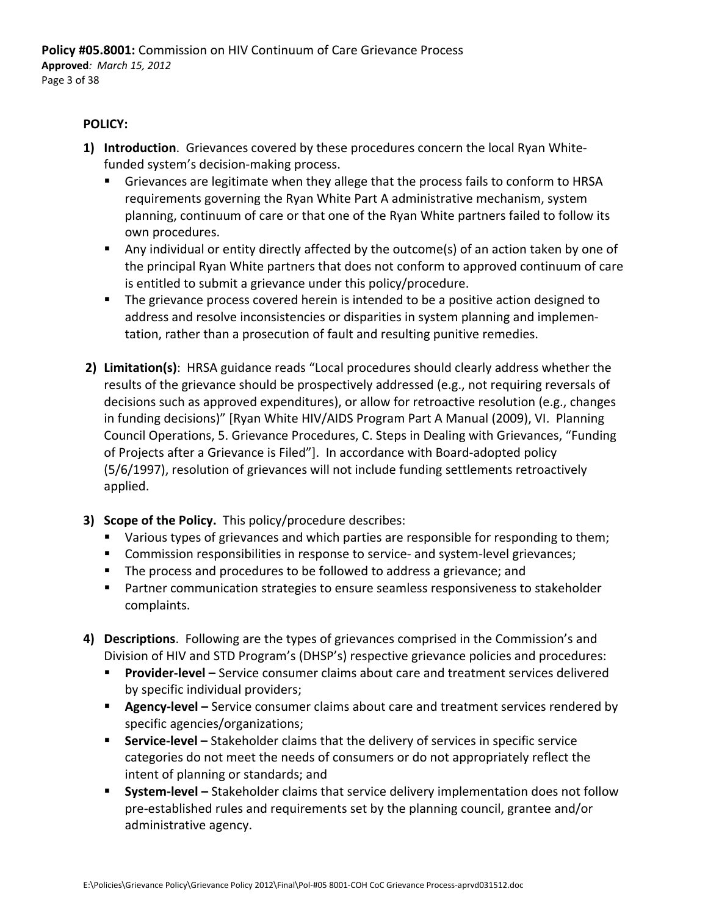#### **POLICY:**

- **1) Introduction**. Grievances covered by these procedures concern the local Ryan White‐ funded system's decision‐making process.
	- Grievances are legitimate when they allege that the process fails to conform to HRSA requirements governing the Ryan White Part A administrative mechanism, system planning, continuum of care or that one of the Ryan White partners failed to follow its own procedures.
	- Any individual or entity directly affected by the outcome(s) of an action taken by one of the principal Ryan White partners that does not conform to approved continuum of care is entitled to submit a grievance under this policy/procedure.
	- **The grievance process covered herein is intended to be a positive action designed to** address and resolve inconsistencies or disparities in system planning and implemen‐ tation, rather than a prosecution of fault and resulting punitive remedies.
- **2) Limitation(s)**: HRSA guidance reads "Local procedures should clearly address whether the results of the grievance should be prospectively addressed (e.g., not requiring reversals of decisions such as approved expenditures), or allow for retroactive resolution (e.g., changes in funding decisions)" [Ryan White HIV/AIDS Program Part A Manual (2009), VI. Planning Council Operations, 5. Grievance Procedures, C. Steps in Dealing with Grievances, "Funding of Projects after a Grievance is Filed"]. In accordance with Board‐adopted policy (5/6/1997), resolution of grievances will not include funding settlements retroactively applied.
- **3) Scope of the Policy.** This policy/procedure describes:
	- **U** Various types of grievances and which parties are responsible for responding to them;
	- Commission responsibilities in response to service- and system-level grievances;
	- The process and procedures to be followed to address a grievance; and
	- Partner communication strategies to ensure seamless responsiveness to stakeholder complaints.
- **4) Descriptions**. Following are the types of grievances comprised in the Commission's and Division of HIV and STD Program's (DHSP's) respective grievance policies and procedures:
	- **Provider-level** Service consumer claims about care and treatment services delivered by specific individual providers;
	- **Agency-level** Service consumer claims about care and treatment services rendered by specific agencies/organizations;
	- **Service-level** Stakeholder claims that the delivery of services in specific service categories do not meet the needs of consumers or do not appropriately reflect the intent of planning or standards; and
	- **System-level** Stakeholder claims that service delivery implementation does not follow pre‐established rules and requirements set by the planning council, grantee and/or administrative agency.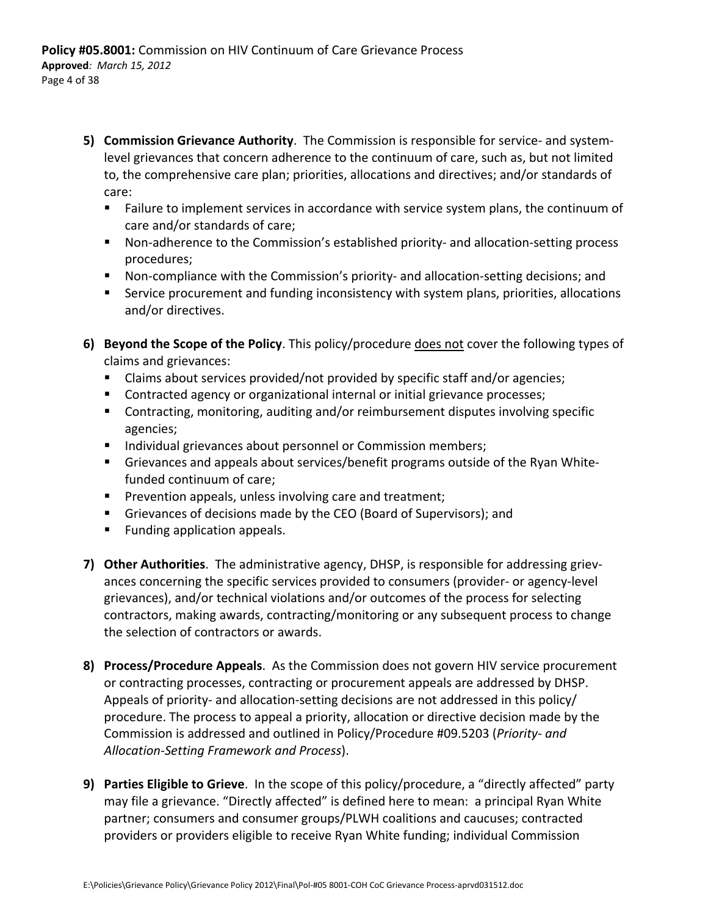- **5) Commission Grievance Authority**. The Commission is responsible for service‐ and system‐ level grievances that concern adherence to the continuum of care, such as, but not limited to, the comprehensive care plan; priorities, allocations and directives; and/or standards of care:
	- **Failure to implement services in accordance with service system plans, the continuum of** care and/or standards of care;
	- Non-adherence to the Commission's established priority- and allocation-setting process procedures;
	- Non-compliance with the Commission's priority- and allocation-setting decisions; and
	- **Service procurement and funding inconsistency with system plans, priorities, allocations** and/or directives.
- **6) Beyond the Scope of the Policy**. This policy/procedure does not cover the following types of claims and grievances:
	- Claims about services provided/not provided by specific staff and/or agencies;
	- **Contracted agency or organizational internal or initial grievance processes;**
	- Contracting, monitoring, auditing and/or reimbursement disputes involving specific agencies;
	- **Individual grievances about personnel or Commission members;**
	- Grievances and appeals about services/benefit programs outside of the Ryan Whitefunded continuum of care;
	- **Prevention appeals, unless involving care and treatment;**
	- Grievances of decisions made by the CEO (Board of Supervisors); and
	- **Funding application appeals.**
- **7) Other Authorities**. The administrative agency, DHSP, is responsible for addressing griev‐ ances concerning the specific services provided to consumers (provider‐ or agency‐level grievances), and/or technical violations and/or outcomes of the process for selecting contractors, making awards, contracting/monitoring or any subsequent process to change the selection of contractors or awards.
- **8) Process/Procedure Appeals**. As the Commission does not govern HIV service procurement or contracting processes, contracting or procurement appeals are addressed by DHSP. Appeals of priority- and allocation-setting decisions are not addressed in this policy/ procedure. The process to appeal a priority, allocation or directive decision made by the Commission is addressed and outlined in Policy/Procedure #09.5203 (*Priority‐ and Allocation‐Setting Framework and Process*).
- **9) Parties Eligible to Grieve**. In the scope of this policy/procedure, a "directly affected" party may file a grievance. "Directly affected" is defined here to mean: a principal Ryan White partner; consumers and consumer groups/PLWH coalitions and caucuses; contracted providers or providers eligible to receive Ryan White funding; individual Commission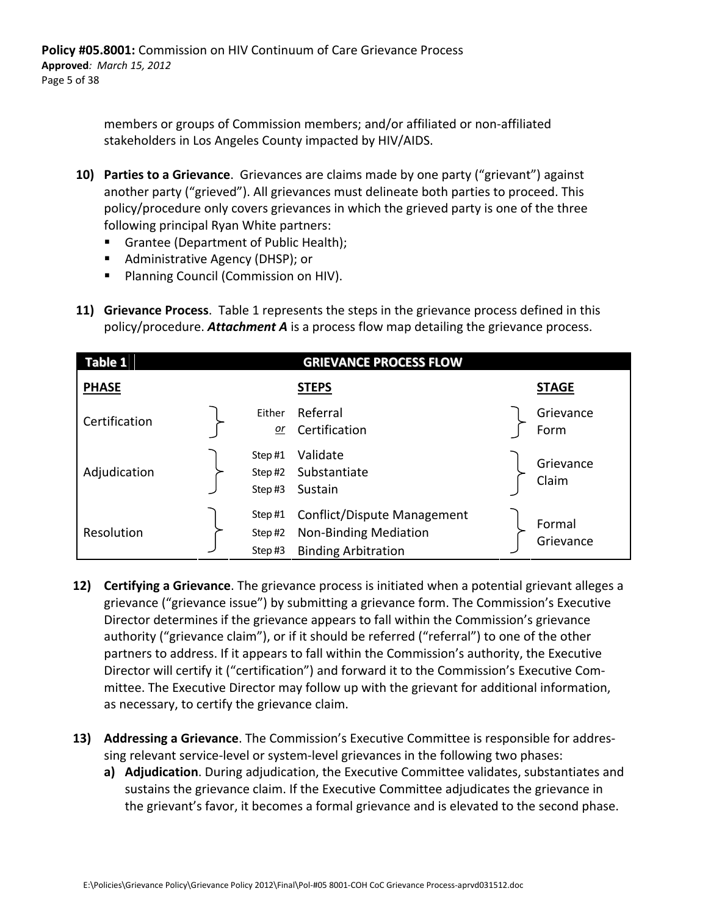members or groups of Commission members; and/or affiliated or non‐affiliated stakeholders in Los Angeles County impacted by HIV/AIDS.

- **10) Parties to a Grievance**. Grievances are claims made by one party ("grievant") against another party ("grieved"). All grievances must delineate both parties to proceed. This policy/procedure only covers grievances in which the grieved party is one of the three following principal Ryan White partners:
	- Grantee (Department of Public Health);
	- Administrative Agency (DHSP); or
	- **Planning Council (Commission on HIV).**
- **11) Grievance Process**. Table 1 represents the steps in the grievance process defined in this policy/procedure. *Attachment A* is a process flow map detailing the grievance process.

| Table 1       |                            | <b>GRIEVANCE PROCESS FLOW</b>                                                      |                     |
|---------------|----------------------------|------------------------------------------------------------------------------------|---------------------|
| <b>PHASE</b>  |                            | <b>STEPS</b>                                                                       | <b>STAGE</b>        |
| Certification | Either<br>or               | Referral<br>Certification                                                          | Grievance<br>Form   |
| Adjudication  | Step#1<br>Step#2<br>Step#3 | Validate<br>Substantiate<br>Sustain                                                | Grievance<br>Claim  |
| Resolution    | Step#1<br>Step#2<br>Step#3 | Conflict/Dispute Management<br>Non-Binding Mediation<br><b>Binding Arbitration</b> | Formal<br>Grievance |

- **12) Certifying a Grievance**. The grievance process is initiated when a potential grievant alleges a grievance ("grievance issue") by submitting a grievance form. The Commission's Executive Director determines if the grievance appears to fall within the Commission's grievance authority ("grievance claim"), or if it should be referred ("referral") to one of the other partners to address. If it appears to fall within the Commission's authority, the Executive Director will certify it ("certification") and forward it to the Commission's Executive Com‐ mittee. The Executive Director may follow up with the grievant for additional information, as necessary, to certify the grievance claim.
- **13) Addressing a Grievance**. The Commission's Executive Committee is responsible for addres‐ sing relevant service‐level or system‐level grievances in the following two phases:
	- **a) Adjudication**. During adjudication, the Executive Committee validates, substantiates and sustains the grievance claim. If the Executive Committee adjudicates the grievance in the grievant's favor, it becomes a formal grievance and is elevated to the second phase.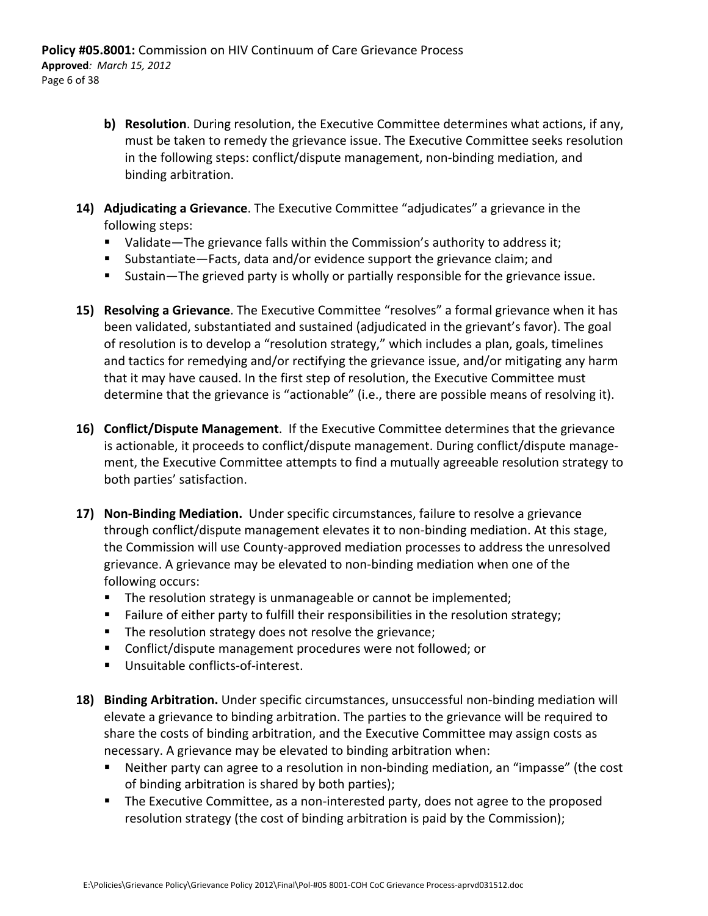- **b) Resolution**. During resolution, the Executive Committee determines what actions, if any, must be taken to remedy the grievance issue. The Executive Committee seeks resolution in the following steps: conflict/dispute management, non‐binding mediation, and binding arbitration.
- **14) Adjudicating a Grievance**. The Executive Committee "adjudicates" a grievance in the following steps:
	- Validate—The grievance falls within the Commission's authority to address it;
	- Substantiate—Facts, data and/or evidence support the grievance claim; and
	- Sustain—The grieved party is wholly or partially responsible for the grievance issue.
- **15) Resolving a Grievance**. The Executive Committee "resolves" a formal grievance when it has been validated, substantiated and sustained (adjudicated in the grievant's favor). The goal of resolution is to develop a "resolution strategy," which includes a plan, goals, timelines and tactics for remedying and/or rectifying the grievance issue, and/or mitigating any harm that it may have caused. In the first step of resolution, the Executive Committee must determine that the grievance is "actionable" (i.e., there are possible means of resolving it).
- **16) Conflict/Dispute Management**. If the Executive Committee determines that the grievance is actionable, it proceeds to conflict/dispute management. During conflict/dispute manage‐ ment, the Executive Committee attempts to find a mutually agreeable resolution strategy to both parties' satisfaction.
- **17) Non‐Binding Mediation.** Under specific circumstances, failure to resolve a grievance through conflict/dispute management elevates it to non‐binding mediation. At this stage, the Commission will use County‐approved mediation processes to address the unresolved grievance. A grievance may be elevated to non‐binding mediation when one of the following occurs:
	- **The resolution strategy is unmanageable or cannot be implemented;**
	- **Failure of either party to fulfill their responsibilities in the resolution strategy;**
	- **The resolution strategy does not resolve the grievance;**
	- Conflict/dispute management procedures were not followed; or
	- Unsuitable conflicts-of-interest.
- 18) Binding Arbitration. Under specific circumstances, unsuccessful non-binding mediation will elevate a grievance to binding arbitration. The parties to the grievance will be required to share the costs of binding arbitration, and the Executive Committee may assign costs as necessary. A grievance may be elevated to binding arbitration when:
	- Neither party can agree to a resolution in non-binding mediation, an "impasse" (the cost of binding arbitration is shared by both parties);
	- The Executive Committee, as a non-interested party, does not agree to the proposed resolution strategy (the cost of binding arbitration is paid by the Commission);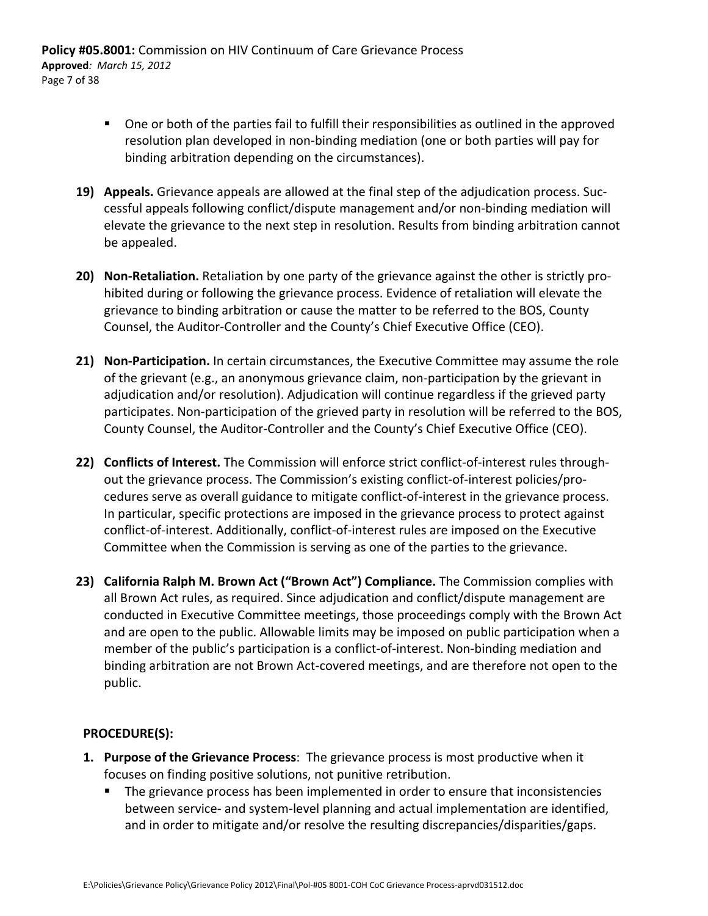**Policy #05.8001:** Commission on HIV Continuum of Care Grievance Process **Approved***: March 15, 2012* Page 7 of 38

- One or both of the parties fail to fulfill their responsibilities as outlined in the approved resolution plan developed in non‐binding mediation (one or both parties will pay for binding arbitration depending on the circumstances).
- **19) Appeals.** Grievance appeals are allowed at the final step of the adjudication process. Suc‐ cessful appeals following conflict/dispute management and/or non‐binding mediation will elevate the grievance to the next step in resolution. Results from binding arbitration cannot be appealed.
- **20) Non-Retaliation.** Retaliation by one party of the grievance against the other is strictly prohibited during or following the grievance process. Evidence of retaliation will elevate the grievance to binding arbitration or cause the matter to be referred to the BOS, County Counsel, the Auditor‐Controller and the County's Chief Executive Office (CEO).
- **21) Non‐Participation.** In certain circumstances, the Executive Committee may assume the role of the grievant (e.g., an anonymous grievance claim, non‐participation by the grievant in adjudication and/or resolution). Adjudication will continue regardless if the grieved party participates. Non-participation of the grieved party in resolution will be referred to the BOS, County Counsel, the Auditor‐Controller and the County's Chief Executive Office (CEO).
- **22) Conflicts of Interest.** The Commission will enforce strict conflict‐of‐interest rules through‐ out the grievance process. The Commission's existing conflict-of-interest policies/procedures serve as overall guidance to mitigate conflict‐of‐interest in the grievance process. In particular, specific protections are imposed in the grievance process to protect against conflict‐of‐interest. Additionally, conflict‐of‐interest rules are imposed on the Executive Committee when the Commission is serving as one of the parties to the grievance.
- **23) California Ralph M. Brown Act ("Brown Act") Compliance.** The Commission complies with all Brown Act rules, as required. Since adjudication and conflict/dispute management are conducted in Executive Committee meetings, those proceedings comply with the Brown Act and are open to the public. Allowable limits may be imposed on public participation when a member of the public's participation is a conflict-of-interest. Non-binding mediation and binding arbitration are not Brown Act‐covered meetings, and are therefore not open to the public.

#### **PROCEDURE(S):**

- **1. Purpose of the Grievance Process**: The grievance process is most productive when it focuses on finding positive solutions, not punitive retribution.
	- The grievance process has been implemented in order to ensure that inconsistencies between service- and system-level planning and actual implementation are identified, and in order to mitigate and/or resolve the resulting discrepancies/disparities/gaps.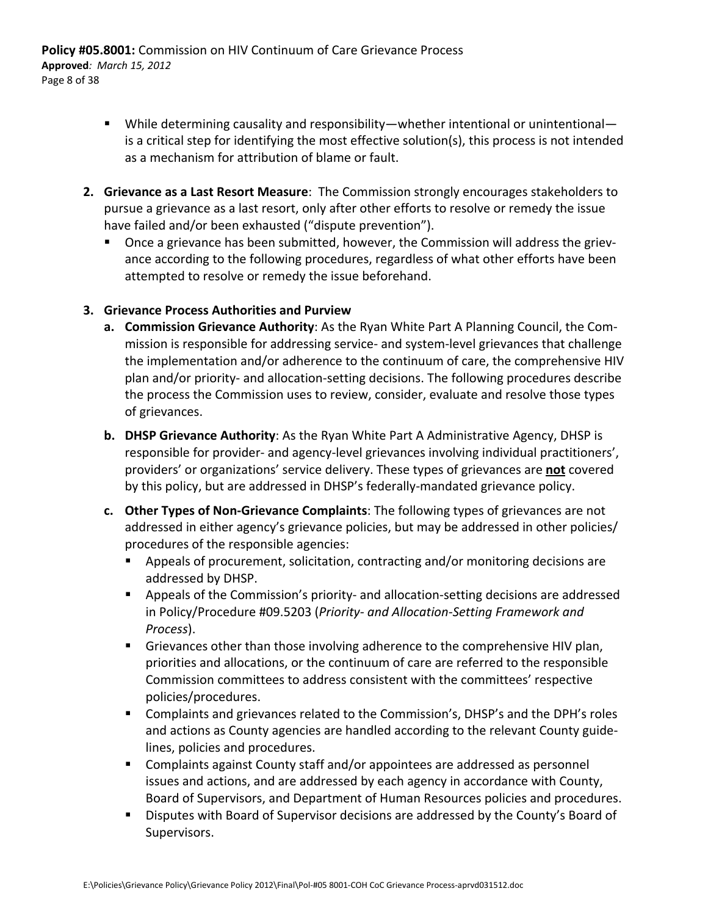**Policy #05.8001:** Commission on HIV Continuum of Care Grievance Process **Approved***: March 15, 2012* Page 8 of 38

- While determining causality and responsibility—whether intentional or unintentional is a critical step for identifying the most effective solution(s), this process is not intended as a mechanism for attribution of blame or fault.
- **2. Grievance as a Last Resort Measure**: The Commission strongly encourages stakeholders to pursue a grievance as a last resort, only after other efforts to resolve or remedy the issue have failed and/or been exhausted ("dispute prevention").
	- Once a grievance has been submitted, however, the Commission will address the griev‐ ance according to the following procedures, regardless of what other efforts have been attempted to resolve or remedy the issue beforehand.

#### **3. Grievance Process Authorities and Purview**

- **a. Commission Grievance Authority**: As the Ryan White Part A Planning Council, the Com‐ mission is responsible for addressing service‐ and system‐level grievances that challenge the implementation and/or adherence to the continuum of care, the comprehensive HIV plan and/or priority‐ and allocation‐setting decisions. The following procedures describe the process the Commission uses to review, consider, evaluate and resolve those types of grievances.
- **b. DHSP Grievance Authority**: As the Ryan White Part A Administrative Agency, DHSP is responsible for provider‐ and agency‐level grievances involving individual practitioners', providers' or organizations' service delivery. These types of grievances are **not** covered by this policy, but are addressed in DHSP's federally‐mandated grievance policy.
- **c. Other Types of Non‐Grievance Complaints**: The following types of grievances are not addressed in either agency's grievance policies, but may be addressed in other policies/ procedures of the responsible agencies:
	- Appeals of procurement, solicitation, contracting and/or monitoring decisions are addressed by DHSP.
	- Appeals of the Commission's priority- and allocation-setting decisions are addressed in Policy/Procedure #09.5203 (*Priority‐ and Allocation‐Setting Framework and Process*).
	- Grievances other than those involving adherence to the comprehensive HIV plan, priorities and allocations, or the continuum of care are referred to the responsible Commission committees to address consistent with the committees' respective policies/procedures.
	- Complaints and grievances related to the Commission's, DHSP's and the DPH's roles and actions as County agencies are handled according to the relevant County guide‐ lines, policies and procedures.
	- Complaints against County staff and/or appointees are addressed as personnel issues and actions, and are addressed by each agency in accordance with County, Board of Supervisors, and Department of Human Resources policies and procedures.
	- **Disputes with Board of Supervisor decisions are addressed by the County's Board of** Supervisors.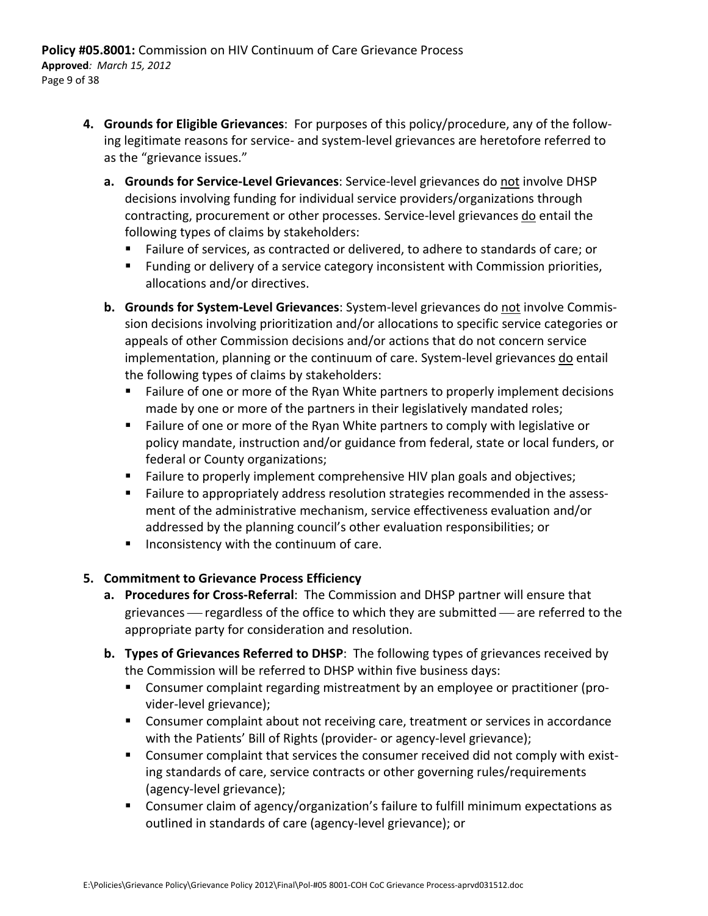- **4. Grounds for Eligible Grievances**: For purposes of this policy/procedure, any of the follow‐ ing legitimate reasons for service‐ and system‐level grievances are heretofore referred to as the "grievance issues."
	- **a. Grounds for Service‐Level Grievances**: Service‐level grievances do not involve DHSP decisions involving funding for individual service providers/organizations through contracting, procurement or other processes. Service-level grievances do entail the following types of claims by stakeholders:
		- Failure of services, as contracted or delivered, to adhere to standards of care; or
		- **Funding or delivery of a service category inconsistent with Commission priorities,** allocations and/or directives.
	- **b. Grounds for System‐Level Grievances**: System‐level grievances do not involve Commis‐ sion decisions involving prioritization and/or allocations to specific service categories or appeals of other Commission decisions and/or actions that do not concern service implementation, planning or the continuum of care. System‐level grievances do entail the following types of claims by stakeholders:
		- Failure of one or more of the Ryan White partners to properly implement decisions made by one or more of the partners in their legislatively mandated roles;
		- **Failure of one or more of the Ryan White partners to comply with legislative or** policy mandate, instruction and/or guidance from federal, state or local funders, or federal or County organizations;
		- **Failure to properly implement comprehensive HIV plan goals and objectives;**
		- Failure to appropriately address resolution strategies recommended in the assessment of the administrative mechanism, service effectiveness evaluation and/or addressed by the planning council's other evaluation responsibilities; or
		- $\blacksquare$  Inconsistency with the continuum of care.

### **5. Commitment to Grievance Process Efficiency**

- **a. Procedures for Cross‐Referral**: The Commission and DHSP partner will ensure that grievances  $-$  regardless of the office to which they are submitted  $-$  are referred to the appropriate party for consideration and resolution.
- **b. Types of Grievances Referred to DHSP**: The following types of grievances received by the Commission will be referred to DHSP within five business days:
	- Consumer complaint regarding mistreatment by an employee or practitioner (provider‐level grievance);
	- **Consumer complaint about not receiving care, treatment or services in accordance** with the Patients' Bill of Rights (provider- or agency-level grievance);
	- Consumer complaint that services the consumer received did not comply with existing standards of care, service contracts or other governing rules/requirements (agency‐level grievance);
	- Consumer claim of agency/organization's failure to fulfill minimum expectations as outlined in standards of care (agency‐level grievance); or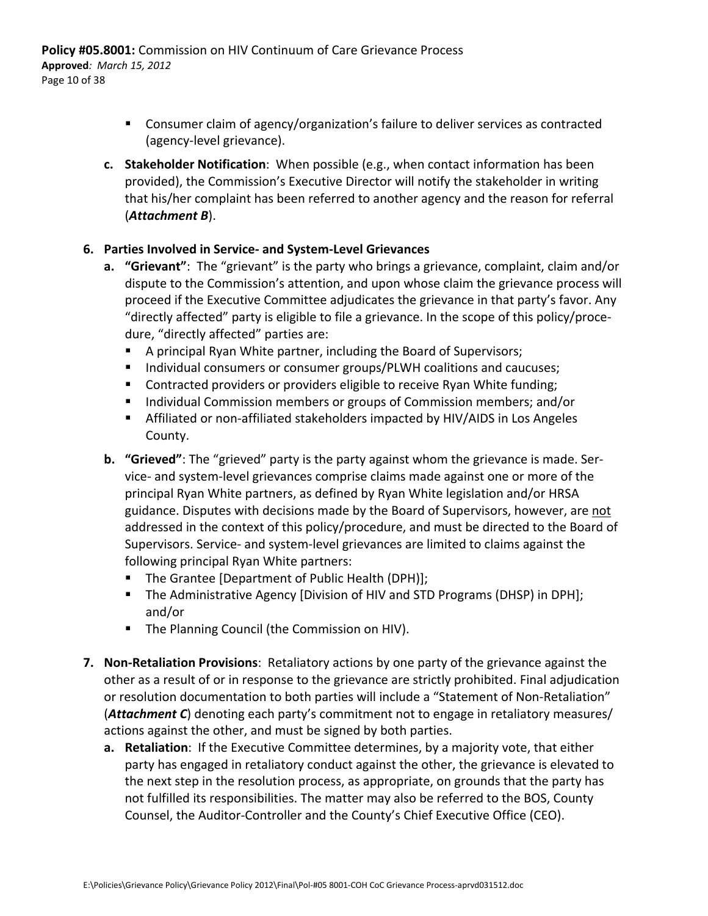- **Consumer claim of agency/organization's failure to deliver services as contracted** (agency‐level grievance).
- **c. Stakeholder Notification**: When possible (e.g., when contact information has been provided), the Commission's Executive Director will notify the stakeholder in writing that his/her complaint has been referred to another agency and the reason for referral (*Attachment B*).

#### **6. Parties Involved in Service‐ and System‐Level Grievances**

- **a. "Grievant"**: The "grievant" is the party who brings a grievance, complaint, claim and/or dispute to the Commission's attention, and upon whose claim the grievance process will proceed if the Executive Committee adjudicates the grievance in that party's favor. Any "directly affected" party is eligible to file a grievance. In the scope of this policy/proce‐ dure, "directly affected" parties are:
	- A principal Ryan White partner, including the Board of Supervisors;
	- **Individual consumers or consumer groups/PLWH coalitions and caucuses;**
	- **Contracted providers or providers eligible to receive Ryan White funding;**
	- **Individual Commission members or groups of Commission members; and/or**
	- Affiliated or non-affiliated stakeholders impacted by HIV/AIDS in Los Angeles County.
- **b. "Grieved"**: The "grieved" party is the party against whom the grievance is made. Ser‐ vice‐ and system‐level grievances comprise claims made against one or more of the principal Ryan White partners, as defined by Ryan White legislation and/or HRSA guidance. Disputes with decisions made by the Board of Supervisors, however, are not addressed in the context of this policy/procedure, and must be directed to the Board of Supervisors. Service‐ and system‐level grievances are limited to claims against the following principal Ryan White partners:
	- The Grantee [Department of Public Health (DPH)];
	- **The Administrative Agency [Division of HIV and STD Programs (DHSP) in DPH];** and/or
	- **The Planning Council (the Commission on HIV).**
- **7. Non‐Retaliation Provisions**: Retaliatory actions by one party of the grievance against the other as a result of or in response to the grievance are strictly prohibited. Final adjudication or resolution documentation to both parties will include a "Statement of Non‐Retaliation" (*Attachment C*) denoting each party's commitment not to engage in retaliatory measures/ actions against the other, and must be signed by both parties.
	- **a. Retaliation**: If the Executive Committee determines, by a majority vote, that either party has engaged in retaliatory conduct against the other, the grievance is elevated to the next step in the resolution process, as appropriate, on grounds that the party has not fulfilled its responsibilities. The matter may also be referred to the BOS, County Counsel, the Auditor‐Controller and the County's Chief Executive Office (CEO).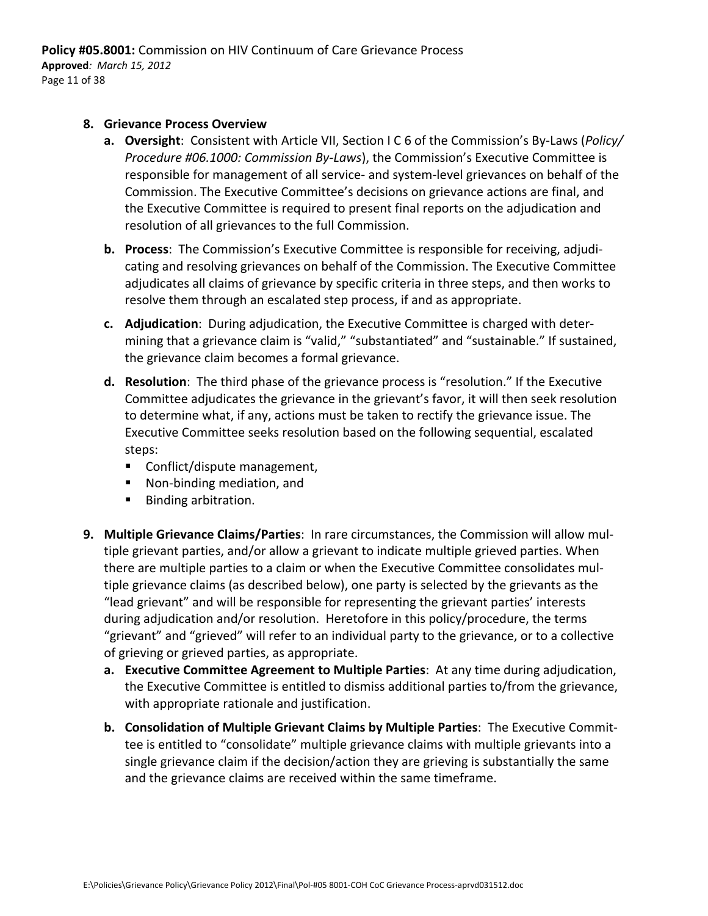#### **8. Grievance Process Overview**

- **a. Oversight**: Consistent with Article VII, Section I C 6 of the Commission's By‐Laws (*Policy/ Procedure #06.1000: Commission By‐Laws*), the Commission's Executive Committee is responsible for management of all service‐ and system‐level grievances on behalf of the Commission. The Executive Committee's decisions on grievance actions are final, and the Executive Committee is required to present final reports on the adjudication and resolution of all grievances to the full Commission.
- **b. Process**: The Commission's Executive Committee is responsible for receiving, adjudi‐ cating and resolving grievances on behalf of the Commission. The Executive Committee adjudicates all claims of grievance by specific criteria in three steps, and then works to resolve them through an escalated step process, if and as appropriate.
- **c. Adjudication**: During adjudication, the Executive Committee is charged with deter‐ mining that a grievance claim is "valid," "substantiated" and "sustainable." If sustained, the grievance claim becomes a formal grievance.
- **d. Resolution**: The third phase of the grievance process is "resolution." If the Executive Committee adjudicates the grievance in the grievant's favor, it will then seek resolution to determine what, if any, actions must be taken to rectify the grievance issue. The Executive Committee seeks resolution based on the following sequential, escalated steps:
	- Conflict/dispute management,
	- Non-binding mediation, and
	- **Binding arbitration.**
- **9. Multiple Grievance Claims/Parties**: In rare circumstances, the Commission will allow mul‐ tiple grievant parties, and/or allow a grievant to indicate multiple grieved parties. When there are multiple parties to a claim or when the Executive Committee consolidates mul‐ tiple grievance claims (as described below), one party is selected by the grievants as the "lead grievant" and will be responsible for representing the grievant parties' interests during adjudication and/or resolution. Heretofore in this policy/procedure, the terms "grievant" and "grieved" will refer to an individual party to the grievance, or to a collective of grieving or grieved parties, as appropriate.
	- **a. Executive Committee Agreement to Multiple Parties**: At any time during adjudication, the Executive Committee is entitled to dismiss additional parties to/from the grievance, with appropriate rationale and justification.
	- **b. Consolidation of Multiple Grievant Claims by Multiple Parties**: The Executive Commit‐ tee is entitled to "consolidate" multiple grievance claims with multiple grievants into a single grievance claim if the decision/action they are grieving is substantially the same and the grievance claims are received within the same timeframe.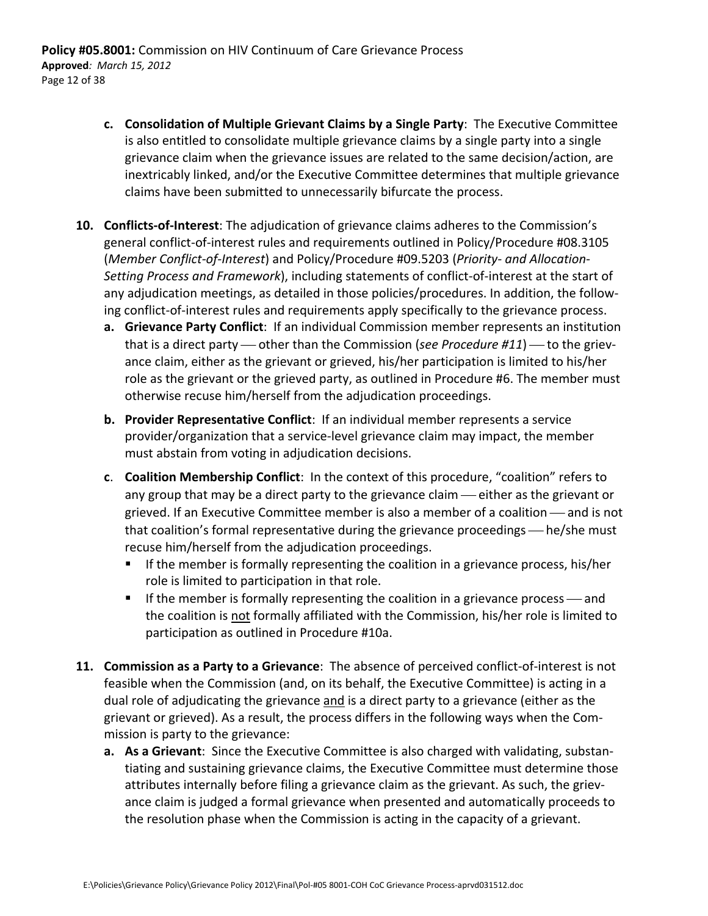- **c. Consolidation of Multiple Grievant Claims by a Single Party**: The Executive Committee is also entitled to consolidate multiple grievance claims by a single party into a single grievance claim when the grievance issues are related to the same decision/action, are inextricably linked, and/or the Executive Committee determines that multiple grievance claims have been submitted to unnecessarily bifurcate the process.
- **10. Conflicts‐of‐Interest**: The adjudication of grievance claims adheres to the Commission's general conflict‐of‐interest rules and requirements outlined in Policy/Procedure #08.3105 (*Member Conflict‐of‐Interest*) and Policy/Procedure #09.5203 (*Priority‐ and Allocation‐ Setting Process and Framework*), including statements of conflict‐of‐interest at the start of any adjudication meetings, as detailed in those policies/procedures. In addition, the follow‐ ing conflict‐of‐interest rules and requirements apply specifically to the grievance process.
	- **a. Grievance Party Conflict**: If an individual Commission member represents an institution that is a direct party — other than the Commission (*see Procedure #11*) — to the grievance claim, either as the grievant or grieved, his/her participation is limited to his/her role as the grievant or the grieved party, as outlined in Procedure #6. The member must otherwise recuse him/herself from the adjudication proceedings.
	- **b. Provider Representative Conflict**: If an individual member represents a service provider/organization that a service‐level grievance claim may impact, the member must abstain from voting in adjudication decisions.
	- **c**. **Coalition Membership Conflict**: In the context of this procedure, "coalition" refers to any group that may be a direct party to the grievance claim - either as the grievant or grieved. If an Executive Committee member is also a member of a coalition — and is not that coalition's formal representative during the grievance proceedings — he/she must recuse him/herself from the adjudication proceedings.
		- If the member is formally representing the coalition in a grievance process, his/her role is limited to participation in that role.
		- If the member is formally representing the coalition in a grievance process  $\sim$  and the coalition is not formally affiliated with the Commission, his/her role is limited to participation as outlined in Procedure #10a.
- **11. Commission as a Party to a Grievance**: The absence of perceived conflict‐of‐interest is not feasible when the Commission (and, on its behalf, the Executive Committee) is acting in a dual role of adjudicating the grievance and is a direct party to a grievance (either as the grievant or grieved). As a result, the process differs in the following ways when the Com‐ mission is party to the grievance:
	- **a. As a Grievant**: Since the Executive Committee is also charged with validating, substan‐ tiating and sustaining grievance claims, the Executive Committee must determine those attributes internally before filing a grievance claim as the grievant. As such, the griev‐ ance claim is judged a formal grievance when presented and automatically proceeds to the resolution phase when the Commission is acting in the capacity of a grievant.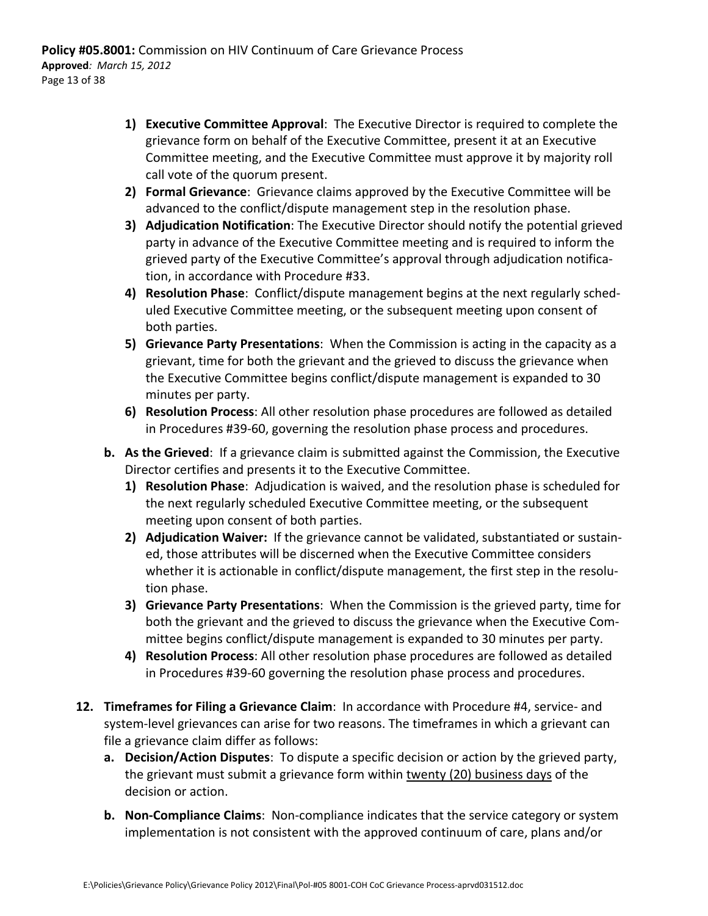- **1) Executive Committee Approval**: The Executive Director is required to complete the grievance form on behalf of the Executive Committee, present it at an Executive Committee meeting, and the Executive Committee must approve it by majority roll call vote of the quorum present.
- **2) Formal Grievance**: Grievance claims approved by the Executive Committee will be advanced to the conflict/dispute management step in the resolution phase.
- **3) Adjudication Notification**: The Executive Director should notify the potential grieved party in advance of the Executive Committee meeting and is required to inform the grieved party of the Executive Committee's approval through adjudication notifica‐ tion, in accordance with Procedure #33.
- **4) Resolution Phase**: Conflict/dispute management begins at the next regularly sched‐ uled Executive Committee meeting, or the subsequent meeting upon consent of both parties.
- **5) Grievance Party Presentations**: When the Commission is acting in the capacity as a grievant, time for both the grievant and the grieved to discuss the grievance when the Executive Committee begins conflict/dispute management is expanded to 30 minutes per party.
- **6) Resolution Process**: All other resolution phase procedures are followed as detailed in Procedures #39‐60, governing the resolution phase process and procedures.
- **b. As the Grieved**: If a grievance claim is submitted against the Commission, the Executive Director certifies and presents it to the Executive Committee.
	- **1) Resolution Phase**: Adjudication is waived, and the resolution phase is scheduled for the next regularly scheduled Executive Committee meeting, or the subsequent meeting upon consent of both parties.
	- **2) Adjudication Waiver:** If the grievance cannot be validated, substantiated or sustain‐ ed, those attributes will be discerned when the Executive Committee considers whether it is actionable in conflict/dispute management, the first step in the resolution phase.
	- **3) Grievance Party Presentations**: When the Commission is the grieved party, time for both the grievant and the grieved to discuss the grievance when the Executive Com‐ mittee begins conflict/dispute management is expanded to 30 minutes per party.
	- **4) Resolution Process**: All other resolution phase procedures are followed as detailed in Procedures #39‐60 governing the resolution phase process and procedures.
- **12. Timeframes for Filing a Grievance Claim**: In accordance with Procedure #4, service‐ and system-level grievances can arise for two reasons. The timeframes in which a grievant can file a grievance claim differ as follows:
	- **a. Decision/Action Disputes**: To dispute a specific decision or action by the grieved party, the grievant must submit a grievance form within twenty (20) business days of the decision or action.
	- **b. Non‐Compliance Claims**: Non‐compliance indicates that the service category or system implementation is not consistent with the approved continuum of care, plans and/or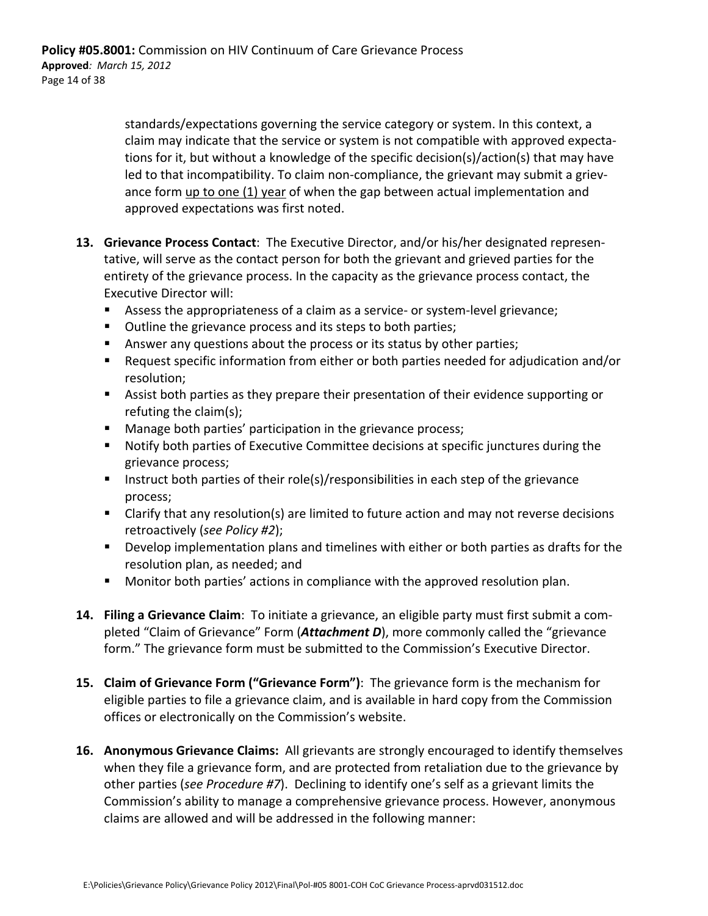standards/expectations governing the service category or system. In this context, a claim may indicate that the service or system is not compatible with approved expecta‐ tions for it, but without a knowledge of the specific decision(s)/action(s) that may have led to that incompatibility. To claim non-compliance, the grievant may submit a grievance form up to one (1) year of when the gap between actual implementation and approved expectations was first noted.

- **13. Grievance Process Contact**: The Executive Director, and/or his/her designated represen‐ tative, will serve as the contact person for both the grievant and grieved parties for the entirety of the grievance process. In the capacity as the grievance process contact, the Executive Director will:
	- Assess the appropriateness of a claim as a service- or system-level grievance;
	- Outline the grievance process and its steps to both parties;
	- Answer any questions about the process or its status by other parties;
	- Request specific information from either or both parties needed for adjudication and/or resolution;
	- Assist both parties as they prepare their presentation of their evidence supporting or refuting the claim(s);
	- **Manage both parties' participation in the grievance process;**
	- Notify both parties of Executive Committee decisions at specific junctures during the grievance process;
	- Instruct both parties of their role(s)/responsibilities in each step of the grievance process;
	- Clarify that any resolution(s) are limited to future action and may not reverse decisions retroactively (*see Policy #2*);
	- Develop implementation plans and timelines with either or both parties as drafts for the resolution plan, as needed; and
	- **Monitor both parties' actions in compliance with the approved resolution plan.**
- **14. Filing a Grievance Claim**: To initiate a grievance, an eligible party must first submit a com‐ pleted "Claim of Grievance" Form (*Attachment D*), more commonly called the "grievance form." The grievance form must be submitted to the Commission's Executive Director.
- **15. Claim of Grievance Form ("Grievance Form")**: The grievance form is the mechanism for eligible parties to file a grievance claim, and is available in hard copy from the Commission offices or electronically on the Commission's website.
- **16. Anonymous Grievance Claims:** All grievants are strongly encouraged to identify themselves when they file a grievance form, and are protected from retaliation due to the grievance by other parties (*see Procedure #7*). Declining to identify one's self as a grievant limits the Commission's ability to manage a comprehensive grievance process. However, anonymous claims are allowed and will be addressed in the following manner: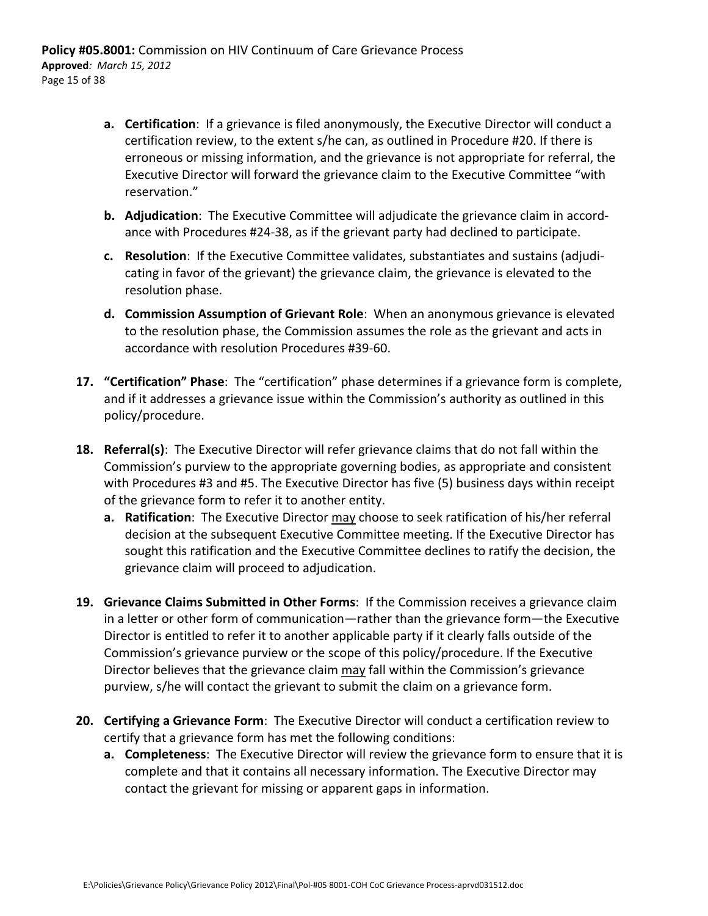- **a. Certification**: If a grievance is filed anonymously, the Executive Director will conduct a certification review, to the extent s/he can, as outlined in Procedure #20. If there is erroneous or missing information, and the grievance is not appropriate for referral, the Executive Director will forward the grievance claim to the Executive Committee "with reservation."
- **b. Adjudication**: The Executive Committee will adjudicate the grievance claim in accord‐ ance with Procedures #24‐38, as if the grievant party had declined to participate.
- **c. Resolution**: If the Executive Committee validates, substantiates and sustains (adjudi‐ cating in favor of the grievant) the grievance claim, the grievance is elevated to the resolution phase.
- **d. Commission Assumption of Grievant Role**: When an anonymous grievance is elevated to the resolution phase, the Commission assumes the role as the grievant and acts in accordance with resolution Procedures #39‐60.
- **17. "Certification" Phase**: The "certification" phase determines if a grievance form is complete, and if it addresses a grievance issue within the Commission's authority as outlined in this policy/procedure.
- **18. Referral(s)**: The Executive Director will refer grievance claims that do not fall within the Commission's purview to the appropriate governing bodies, as appropriate and consistent with Procedures #3 and #5. The Executive Director has five (5) business days within receipt of the grievance form to refer it to another entity.
	- **a. Ratification**: The Executive Director may choose to seek ratification of his/her referral decision at the subsequent Executive Committee meeting. If the Executive Director has sought this ratification and the Executive Committee declines to ratify the decision, the grievance claim will proceed to adjudication.
- **19. Grievance Claims Submitted in Other Forms**: If the Commission receives a grievance claim in a letter or other form of communication—rather than the grievance form—the Executive Director is entitled to refer it to another applicable party if it clearly falls outside of the Commission's grievance purview or the scope of this policy/procedure. If the Executive Director believes that the grievance claim may fall within the Commission's grievance purview, s/he will contact the grievant to submit the claim on a grievance form.
- **20. Certifying a Grievance Form**: The Executive Director will conduct a certification review to certify that a grievance form has met the following conditions:
	- **a. Completeness**: The Executive Director will review the grievance form to ensure that it is complete and that it contains all necessary information. The Executive Director may contact the grievant for missing or apparent gaps in information.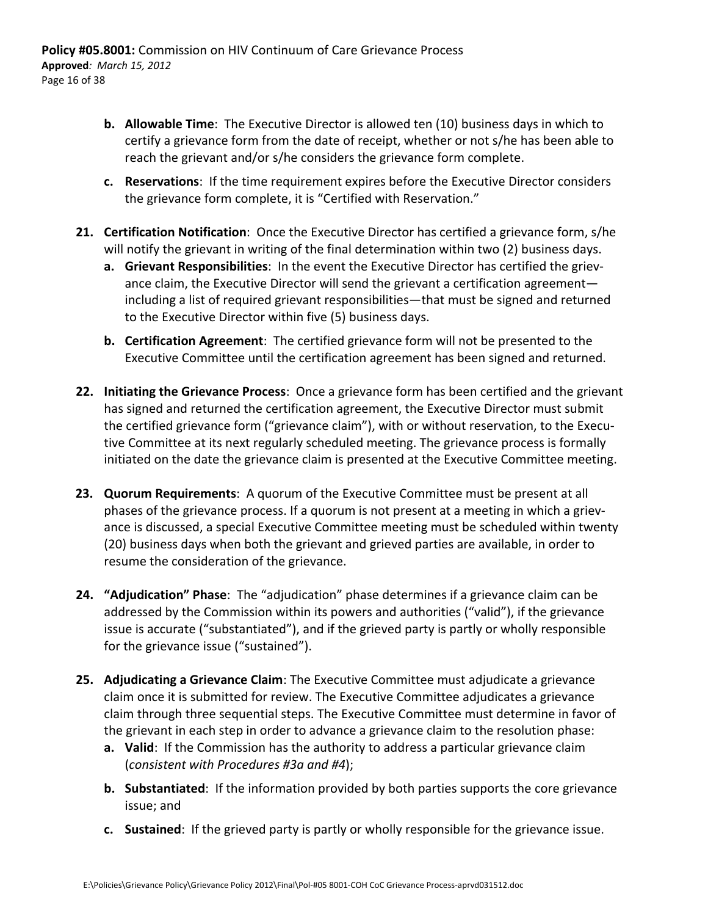- **b. Allowable Time**: The Executive Director is allowed ten (10) business days in which to certify a grievance form from the date of receipt, whether or not s/he has been able to reach the grievant and/or s/he considers the grievance form complete.
- **c. Reservations**: If the time requirement expires before the Executive Director considers the grievance form complete, it is "Certified with Reservation."
- **21. Certification Notification**: Once the Executive Director has certified a grievance form, s/he will notify the grievant in writing of the final determination within two (2) business days.
	- **a. Grievant Responsibilities**: In the event the Executive Director has certified the griev‐ ance claim, the Executive Director will send the grievant a certification agreement including a list of required grievant responsibilities—that must be signed and returned to the Executive Director within five (5) business days.
	- **b. Certification Agreement**: The certified grievance form will not be presented to the Executive Committee until the certification agreement has been signed and returned.
- **22. Initiating the Grievance Process**: Once a grievance form has been certified and the grievant has signed and returned the certification agreement, the Executive Director must submit the certified grievance form ("grievance claim"), with or without reservation, to the Execu‐ tive Committee at its next regularly scheduled meeting. The grievance process is formally initiated on the date the grievance claim is presented at the Executive Committee meeting.
- **23. Quorum Requirements**: A quorum of the Executive Committee must be present at all phases of the grievance process. If a quorum is not present at a meeting in which a griev‐ ance is discussed, a special Executive Committee meeting must be scheduled within twenty (20) business days when both the grievant and grieved parties are available, in order to resume the consideration of the grievance.
- **24. "Adjudication" Phase**: The "adjudication" phase determines if a grievance claim can be addressed by the Commission within its powers and authorities ("valid"), if the grievance issue is accurate ("substantiated"), and if the grieved party is partly or wholly responsible for the grievance issue ("sustained").
- **25. Adjudicating a Grievance Claim**: The Executive Committee must adjudicate a grievance claim once it is submitted for review. The Executive Committee adjudicates a grievance claim through three sequential steps. The Executive Committee must determine in favor of the grievant in each step in order to advance a grievance claim to the resolution phase:
	- **a. Valid**: If the Commission has the authority to address a particular grievance claim (*consistent with Procedures #3a and #4*);
	- **b. Substantiated**: If the information provided by both parties supports the core grievance issue; and
	- **c. Sustained**: If the grieved party is partly or wholly responsible for the grievance issue.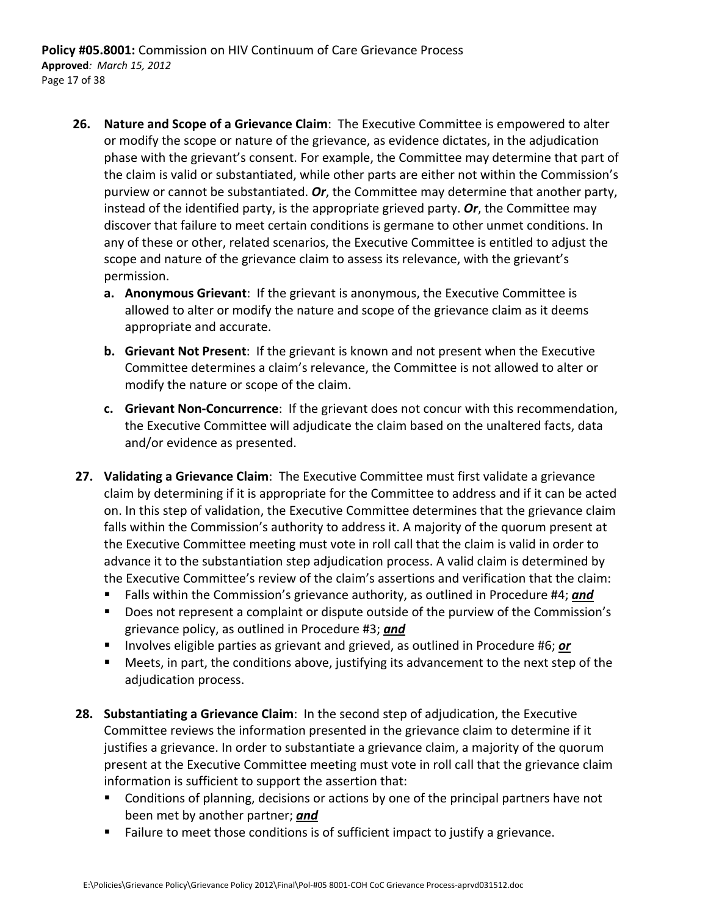- **26. Nature and Scope of a Grievance Claim**: The Executive Committee is empowered to alter or modify the scope or nature of the grievance, as evidence dictates, in the adjudication phase with the grievant's consent. For example, the Committee may determine that part of the claim is valid or substantiated, while other parts are either not within the Commission's purview or cannot be substantiated. *Or*, the Committee may determine that another party, instead of the identified party, is the appropriate grieved party. *Or*, the Committee may discover that failure to meet certain conditions is germane to other unmet conditions. In any of these or other, related scenarios, the Executive Committee is entitled to adjust the scope and nature of the grievance claim to assess its relevance, with the grievant's permission.
	- **a. Anonymous Grievant**: If the grievant is anonymous, the Executive Committee is allowed to alter or modify the nature and scope of the grievance claim as it deems appropriate and accurate.
	- **b. Grievant Not Present**: If the grievant is known and not present when the Executive Committee determines a claim's relevance, the Committee is not allowed to alter or modify the nature or scope of the claim.
	- **c. Grievant Non‐Concurrence**: If the grievant does not concur with this recommendation, the Executive Committee will adjudicate the claim based on the unaltered facts, data and/or evidence as presented.
- **27. Validating a Grievance Claim**: The Executive Committee must first validate a grievance claim by determining if it is appropriate for the Committee to address and if it can be acted on. In this step of validation, the Executive Committee determines that the grievance claim falls within the Commission's authority to address it. A majority of the quorum present at the Executive Committee meeting must vote in roll call that the claim is valid in order to advance it to the substantiation step adjudication process. A valid claim is determined by the Executive Committee's review of the claim's assertions and verification that the claim:
	- Falls within the Commission's grievance authority, as outlined in Procedure #4; *and*
	- Does not represent a complaint or dispute outside of the purview of the Commission's grievance policy, as outlined in Procedure #3; *and*
	- **IDED** Involves eligible parties as grievant and grieved, as outlined in Procedure #6; or
	- Meets, in part, the conditions above, justifying its advancement to the next step of the adjudication process.
- **28. Substantiating a Grievance Claim**: In the second step of adjudication, the Executive Committee reviews the information presented in the grievance claim to determine if it justifies a grievance. In order to substantiate a grievance claim, a majority of the quorum present at the Executive Committee meeting must vote in roll call that the grievance claim information is sufficient to support the assertion that:
	- **Conditions of planning, decisions or actions by one of the principal partners have not** been met by another partner; *and*
	- **Failure to meet those conditions is of sufficient impact to justify a grievance.**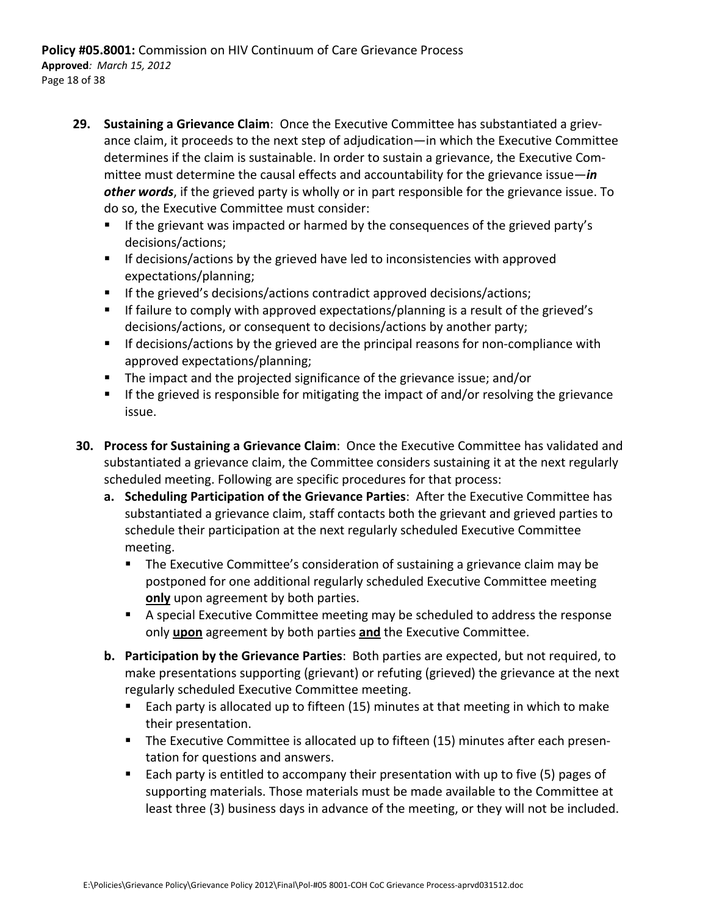- **29. Sustaining a Grievance Claim**: Once the Executive Committee has substantiated a griev‐ ance claim, it proceeds to the next step of adjudication—in which the Executive Committee determines if the claim is sustainable. In order to sustain a grievance, the Executive Com‐ mittee must determine the causal effects and accountability for the grievance issue—*in other words*, if the grieved party is wholly or in part responsible for the grievance issue. To do so, the Executive Committee must consider:
	- If the grievant was impacted or harmed by the consequences of the grieved party's decisions/actions;
	- **If decisions/actions by the grieved have led to inconsistencies with approved** expectations/planning;
	- If the grieved's decisions/actions contradict approved decisions/actions;
	- **If failure to comply with approved expectations/planning is a result of the grieved's** decisions/actions, or consequent to decisions/actions by another party;
	- If decisions/actions by the grieved are the principal reasons for non-compliance with approved expectations/planning;
	- The impact and the projected significance of the grievance issue; and/or
	- **If the grieved is responsible for mitigating the impact of and/or resolving the grievance** issue.
- **30. Process for Sustaining a Grievance Claim**: Once the Executive Committee has validated and substantiated a grievance claim, the Committee considers sustaining it at the next regularly scheduled meeting. Following are specific procedures for that process:
	- **a. Scheduling Participation of the Grievance Parties**: After the Executive Committee has substantiated a grievance claim, staff contacts both the grievant and grieved parties to schedule their participation at the next regularly scheduled Executive Committee meeting.
		- **The Executive Committee's consideration of sustaining a grievance claim may be** postponed for one additional regularly scheduled Executive Committee meeting **only** upon agreement by both parties.
		- A special Executive Committee meeting may be scheduled to address the response only **upon** agreement by both parties **and** the Executive Committee.
	- **b. Participation by the Grievance Parties**: Both parties are expected, but not required, to make presentations supporting (grievant) or refuting (grieved) the grievance at the next regularly scheduled Executive Committee meeting.
		- Each party is allocated up to fifteen (15) minutes at that meeting in which to make their presentation.
		- The Executive Committee is allocated up to fifteen (15) minutes after each presentation for questions and answers.
		- Each party is entitled to accompany their presentation with up to five (5) pages of supporting materials. Those materials must be made available to the Committee at least three (3) business days in advance of the meeting, or they will not be included.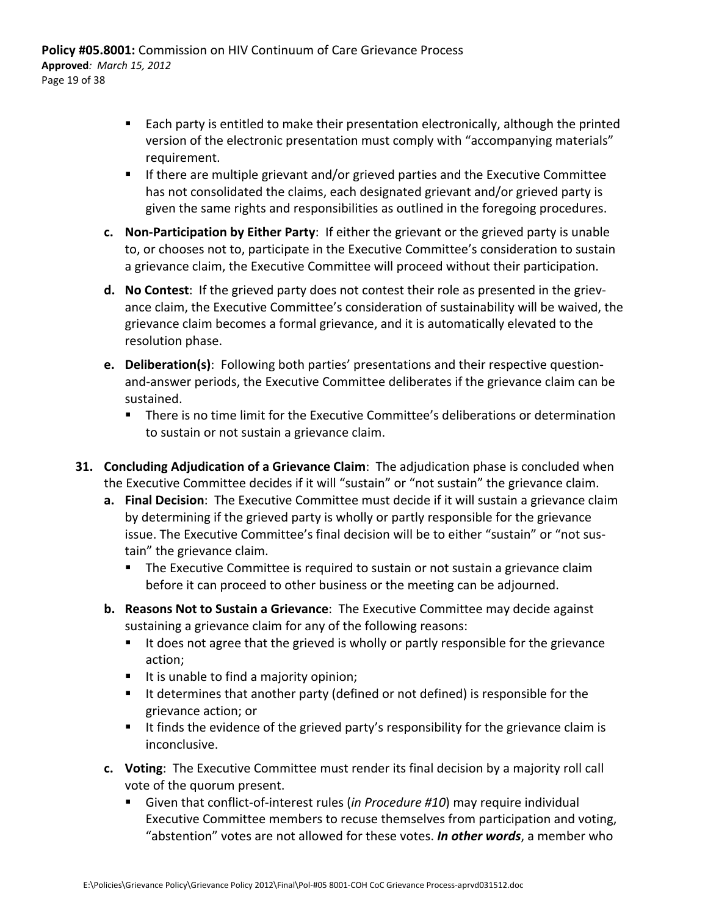- Each party is entitled to make their presentation electronically, although the printed version of the electronic presentation must comply with "accompanying materials" requirement.
- **If there are multiple grievant and/or grieved parties and the Executive Committee** has not consolidated the claims, each designated grievant and/or grieved party is given the same rights and responsibilities as outlined in the foregoing procedures.
- **c. Non‐Participation by Either Party**: If either the grievant or the grieved party is unable to, or chooses not to, participate in the Executive Committee's consideration to sustain a grievance claim, the Executive Committee will proceed without their participation.
- **d. No Contest**: If the grieved party does not contest their role as presented in the griev‐ ance claim, the Executive Committee's consideration of sustainability will be waived, the grievance claim becomes a formal grievance, and it is automatically elevated to the resolution phase.
- **e. Deliberation(s)**: Following both parties' presentations and their respective question‐ and‐answer periods, the Executive Committee deliberates if the grievance claim can be sustained.
	- There is no time limit for the Executive Committee's deliberations or determination to sustain or not sustain a grievance claim.
- **31. Concluding Adjudication of a Grievance Claim**: The adjudication phase is concluded when the Executive Committee decides if it will "sustain" or "not sustain" the grievance claim.
	- **a. Final Decision**: The Executive Committee must decide if it will sustain a grievance claim by determining if the grieved party is wholly or partly responsible for the grievance issue. The Executive Committee's final decision will be to either "sustain" or "not sus‐ tain" the grievance claim.
		- **The Executive Committee is required to sustain or not sustain a grievance claim** before it can proceed to other business or the meeting can be adjourned.
	- **b. Reasons Not to Sustain a Grievance**: The Executive Committee may decide against sustaining a grievance claim for any of the following reasons:
		- It does not agree that the grieved is wholly or partly responsible for the grievance action;
		- It is unable to find a majority opinion;
		- It determines that another party (defined or not defined) is responsible for the grievance action; or
		- It finds the evidence of the grieved party's responsibility for the grievance claim is inconclusive.
	- **c. Voting**: The Executive Committee must render its final decision by a majority roll call vote of the quorum present.
		- Given that conflict-of-interest rules (*in Procedure #10*) may require individual Executive Committee members to recuse themselves from participation and voting, "abstention" votes are not allowed for these votes. *In other words*, a member who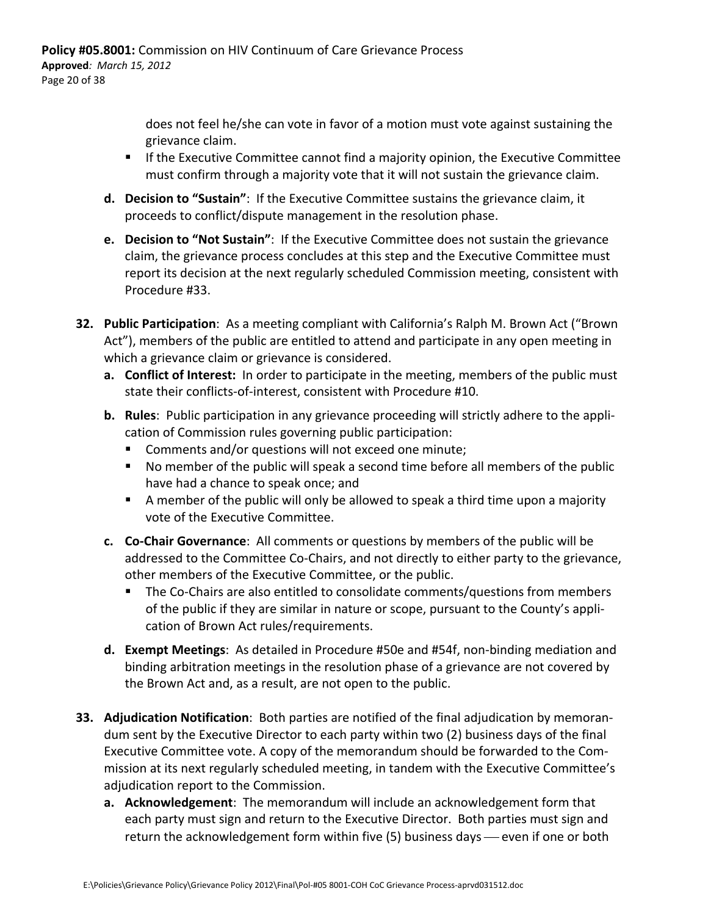does not feel he/she can vote in favor of a motion must vote against sustaining the grievance claim.

- If the Executive Committee cannot find a majority opinion, the Executive Committee must confirm through a majority vote that it will not sustain the grievance claim.
- **d. Decision to "Sustain"**: If the Executive Committee sustains the grievance claim, it proceeds to conflict/dispute management in the resolution phase.
- **e. Decision to "Not Sustain"**: If the Executive Committee does not sustain the grievance claim, the grievance process concludes at this step and the Executive Committee must report its decision at the next regularly scheduled Commission meeting, consistent with Procedure #33.
- **32. Public Participation**: As a meeting compliant with California's Ralph M. Brown Act ("Brown Act"), members of the public are entitled to attend and participate in any open meeting in which a grievance claim or grievance is considered.
	- **a. Conflict of Interest:** In order to participate in the meeting, members of the public must state their conflicts‐of‐interest, consistent with Procedure #10.
	- **b. Rules**: Public participation in any grievance proceeding will strictly adhere to the appli‐ cation of Commission rules governing public participation:
		- **Comments and/or questions will not exceed one minute;**
		- No member of the public will speak a second time before all members of the public have had a chance to speak once; and
		- A member of the public will only be allowed to speak a third time upon a majority vote of the Executive Committee.
	- **c. Co‐Chair Governance**: All comments or questions by members of the public will be addressed to the Committee Co-Chairs, and not directly to either party to the grievance, other members of the Executive Committee, or the public.
		- The Co-Chairs are also entitled to consolidate comments/questions from members of the public if they are similar in nature or scope, pursuant to the County's appli‐ cation of Brown Act rules/requirements.
	- **d. Exempt Meetings**: As detailed in Procedure #50e and #54f, non‐binding mediation and binding arbitration meetings in the resolution phase of a grievance are not covered by the Brown Act and, as a result, are not open to the public.
- **33. Adjudication Notification**: Both parties are notified of the final adjudication by memoran‐ dum sent by the Executive Director to each party within two (2) business days of the final Executive Committee vote. A copy of the memorandum should be forwarded to the Com‐ mission at its next regularly scheduled meeting, in tandem with the Executive Committee's adjudication report to the Commission.
	- **a. Acknowledgement**: The memorandum will include an acknowledgement form that each party must sign and return to the Executive Director. Both parties must sign and return the acknowledgement form within five (5) business days — even if one or both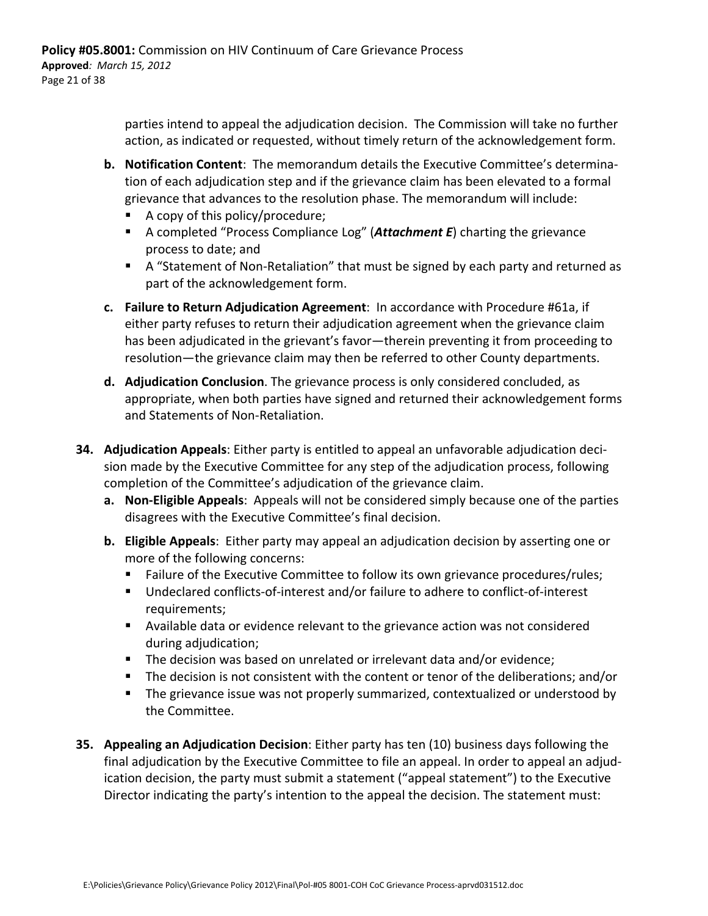parties intend to appeal the adjudication decision. The Commission will take no further action, as indicated or requested, without timely return of the acknowledgement form.

- **b. Notification Content**: The memorandum details the Executive Committee's determina‐ tion of each adjudication step and if the grievance claim has been elevated to a formal grievance that advances to the resolution phase. The memorandum will include:
	- A copy of this policy/procedure;
	- A completed "Process Compliance Log" (**Attachment E**) charting the grievance process to date; and
	- A "Statement of Non-Retaliation" that must be signed by each party and returned as part of the acknowledgement form.
- **c. Failure to Return Adjudication Agreement**: In accordance with Procedure #61a, if either party refuses to return their adjudication agreement when the grievance claim has been adjudicated in the grievant's favor—therein preventing it from proceeding to resolution—the grievance claim may then be referred to other County departments.
- **d. Adjudication Conclusion**. The grievance process is only considered concluded, as appropriate, when both parties have signed and returned their acknowledgement forms and Statements of Non‐Retaliation.
- **34. Adjudication Appeals**: Either party is entitled to appeal an unfavorable adjudication deci‐ sion made by the Executive Committee for any step of the adjudication process, following completion of the Committee's adjudication of the grievance claim.
	- **a. Non‐Eligible Appeals**: Appeals will not be considered simply because one of the parties disagrees with the Executive Committee's final decision.
	- **b. Eligible Appeals**: Either party may appeal an adjudication decision by asserting one or more of the following concerns:
		- **Failure of the Executive Committee to follow its own grievance procedures/rules;**
		- Undeclared conflicts-of-interest and/or failure to adhere to conflict-of-interest requirements;
		- Available data or evidence relevant to the grievance action was not considered during adjudication;
		- The decision was based on unrelated or irrelevant data and/or evidence;
		- The decision is not consistent with the content or tenor of the deliberations; and/or
		- **The grievance issue was not properly summarized, contextualized or understood by** the Committee.
- **35. Appealing an Adjudication Decision**: Either party has ten (10) business days following the final adjudication by the Executive Committee to file an appeal. In order to appeal an adjud‐ ication decision, the party must submit a statement ("appeal statement") to the Executive Director indicating the party's intention to the appeal the decision. The statement must: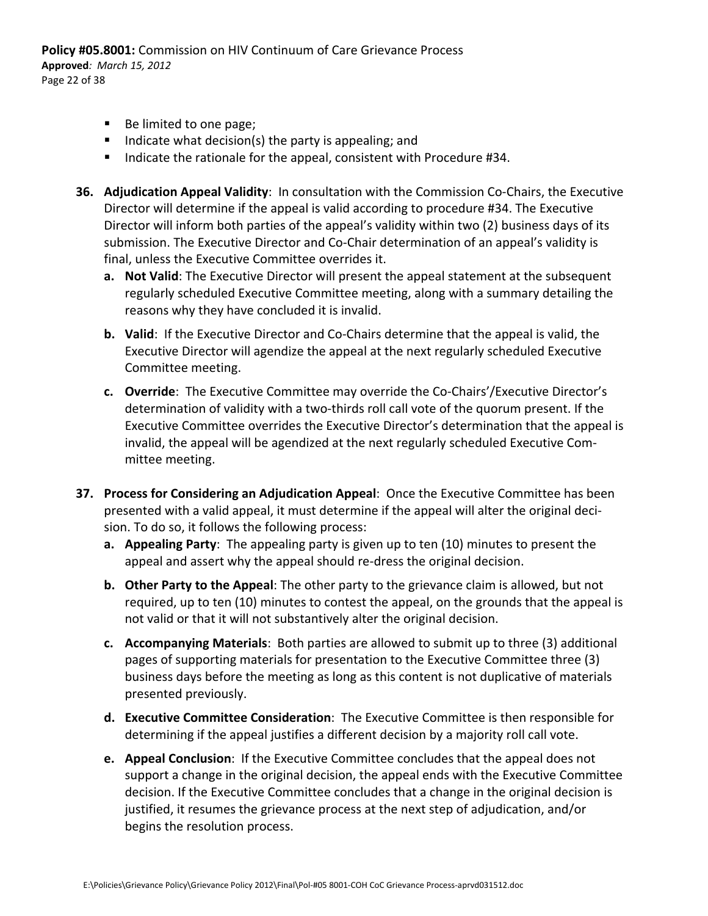**Policy #05.8001:** Commission on HIV Continuum of Care Grievance Process **Approved***: March 15, 2012* Page 22 of 38

- Be limited to one page;
- Indicate what decision(s) the party is appealing; and
- Indicate the rationale for the appeal, consistent with Procedure #34.
- **36. Adjudication Appeal Validity**: In consultation with the Commission Co‐Chairs, the Executive Director will determine if the appeal is valid according to procedure #34. The Executive Director will inform both parties of the appeal's validity within two (2) business days of its submission. The Executive Director and Co‐Chair determination of an appeal's validity is final, unless the Executive Committee overrides it.
	- **a. Not Valid**: The Executive Director will present the appeal statement at the subsequent regularly scheduled Executive Committee meeting, along with a summary detailing the reasons why they have concluded it is invalid.
	- **b. Valid**: If the Executive Director and Co‐Chairs determine that the appeal is valid, the Executive Director will agendize the appeal at the next regularly scheduled Executive Committee meeting.
	- **c. Override**: The Executive Committee may override the Co‐Chairs'/Executive Director's determination of validity with a two‐thirds roll call vote of the quorum present. If the Executive Committee overrides the Executive Director's determination that the appeal is invalid, the appeal will be agendized at the next regularly scheduled Executive Com‐ mittee meeting.
- **37. Process for Considering an Adjudication Appeal**: Once the Executive Committee has been presented with a valid appeal, it must determine if the appeal will alter the original deci‐ sion. To do so, it follows the following process:
	- **a. Appealing Party**: The appealing party is given up to ten (10) minutes to present the appeal and assert why the appeal should re‐dress the original decision.
	- **b. Other Party to the Appeal**: The other party to the grievance claim is allowed, but not required, up to ten (10) minutes to contest the appeal, on the grounds that the appeal is not valid or that it will not substantively alter the original decision.
	- **c. Accompanying Materials**: Both parties are allowed to submit up to three (3) additional pages of supporting materials for presentation to the Executive Committee three (3) business days before the meeting as long as this content is not duplicative of materials presented previously.
	- **d. Executive Committee Consideration**: The Executive Committee is then responsible for determining if the appeal justifies a different decision by a majority roll call vote.
	- **e. Appeal Conclusion**: If the Executive Committee concludes that the appeal does not support a change in the original decision, the appeal ends with the Executive Committee decision. If the Executive Committee concludes that a change in the original decision is justified, it resumes the grievance process at the next step of adjudication, and/or begins the resolution process.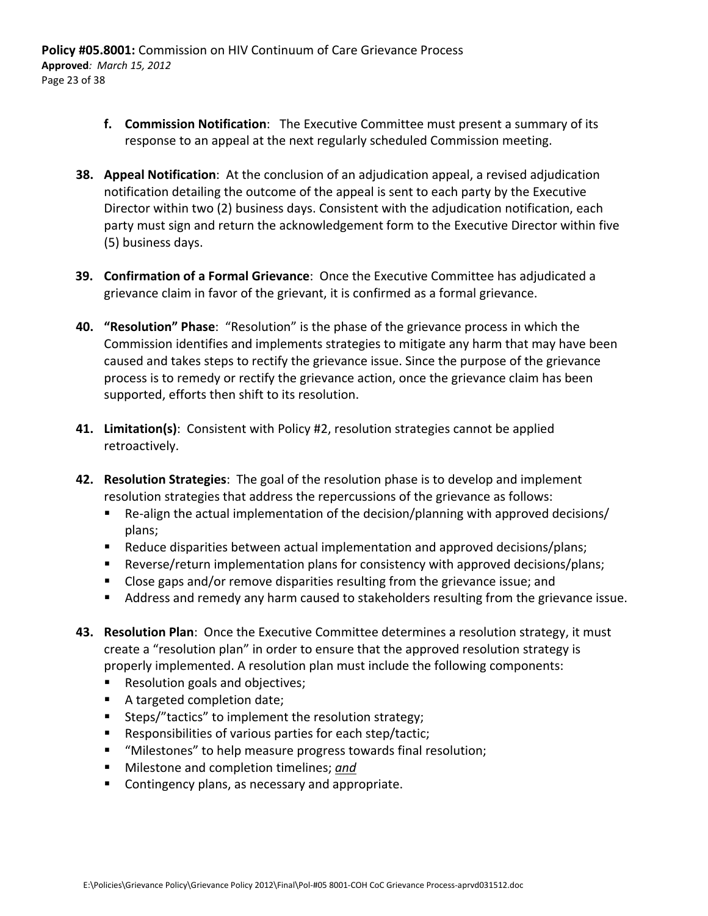- **f. Commission Notification**: The Executive Committee must present a summary of its response to an appeal at the next regularly scheduled Commission meeting.
- **38. Appeal Notification**: At the conclusion of an adjudication appeal, a revised adjudication notification detailing the outcome of the appeal is sent to each party by the Executive Director within two (2) business days. Consistent with the adjudication notification, each party must sign and return the acknowledgement form to the Executive Director within five (5) business days.
- **39. Confirmation of a Formal Grievance**: Once the Executive Committee has adjudicated a grievance claim in favor of the grievant, it is confirmed as a formal grievance.
- **40. "Resolution" Phase**: "Resolution" is the phase of the grievance process in which the Commission identifies and implements strategies to mitigate any harm that may have been caused and takes steps to rectify the grievance issue. Since the purpose of the grievance process is to remedy or rectify the grievance action, once the grievance claim has been supported, efforts then shift to its resolution.
- **41. Limitation(s)**: Consistent with Policy #2, resolution strategies cannot be applied retroactively.
- **42. Resolution Strategies**: The goal of the resolution phase is to develop and implement resolution strategies that address the repercussions of the grievance as follows:
	- Re-align the actual implementation of the decision/planning with approved decisions/ plans;
	- **EXECT** Reduce disparities between actual implementation and approved decisions/plans;
	- Reverse/return implementation plans for consistency with approved decisions/plans;
	- **Close gaps and/or remove disparities resulting from the grievance issue; and**
	- **Address and remedy any harm caused to stakeholders resulting from the grievance issue.**
- **43. Resolution Plan**: Once the Executive Committee determines a resolution strategy, it must create a "resolution plan" in order to ensure that the approved resolution strategy is properly implemented. A resolution plan must include the following components:
	- Resolution goals and objectives;
	- A targeted completion date;
	- **Steps/"tactics" to implement the resolution strategy;**
	- Responsibilities of various parties for each step/tactic;
	- "Milestones" to help measure progress towards final resolution;
	- Milestone and completion timelines; *and*
	- **E** Contingency plans, as necessary and appropriate.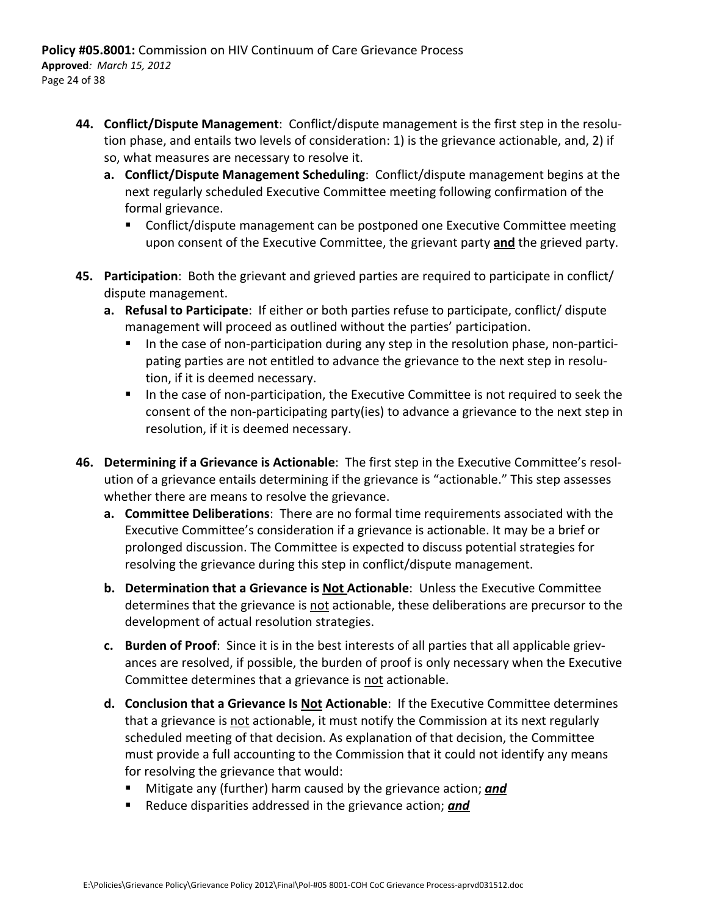- **44. Conflict/Dispute Management**: Conflict/dispute management is the first step in the resolu‐ tion phase, and entails two levels of consideration: 1) is the grievance actionable, and, 2) if so, what measures are necessary to resolve it.
	- **a. Conflict/Dispute Management Scheduling**: Conflict/dispute management begins at the next regularly scheduled Executive Committee meeting following confirmation of the formal grievance.
		- Conflict/dispute management can be postponed one Executive Committee meeting upon consent of the Executive Committee, the grievant party **and** the grieved party.
- **45. Participation**: Both the grievant and grieved parties are required to participate in conflict/ dispute management.
	- **a. Refusal to Participate**: If either or both parties refuse to participate, conflict/ dispute management will proceed as outlined without the parties' participation.
		- In the case of non-participation during any step in the resolution phase, non-participating parties are not entitled to advance the grievance to the next step in resolu‐ tion, if it is deemed necessary.
		- In the case of non-participation, the Executive Committee is not required to seek the consent of the non‐participating party(ies) to advance a grievance to the next step in resolution, if it is deemed necessary.
- **46. Determining if a Grievance is Actionable**: The first step in the Executive Committee's resol‐ ution of a grievance entails determining if the grievance is "actionable." This step assesses whether there are means to resolve the grievance.
	- **a. Committee Deliberations**: There are no formal time requirements associated with the Executive Committee's consideration if a grievance is actionable. It may be a brief or prolonged discussion. The Committee is expected to discuss potential strategies for resolving the grievance during this step in conflict/dispute management.
	- **b. Determination that a Grievance is Not Actionable**: Unless the Executive Committee determines that the grievance is not actionable, these deliberations are precursor to the development of actual resolution strategies.
	- **c. Burden of Proof**: Since it is in the best interests of all parties that all applicable griev‐ ances are resolved, if possible, the burden of proof is only necessary when the Executive Committee determines that a grievance is not actionable.
	- **d. Conclusion that a Grievance Is Not Actionable**: If the Executive Committee determines that a grievance is not actionable, it must notify the Commission at its next regularly scheduled meeting of that decision. As explanation of that decision, the Committee must provide a full accounting to the Commission that it could not identify any means for resolving the grievance that would:
		- **Mitigate any (further) harm caused by the grievance action; and**
		- **Reduce disparities addressed in the grievance action; and**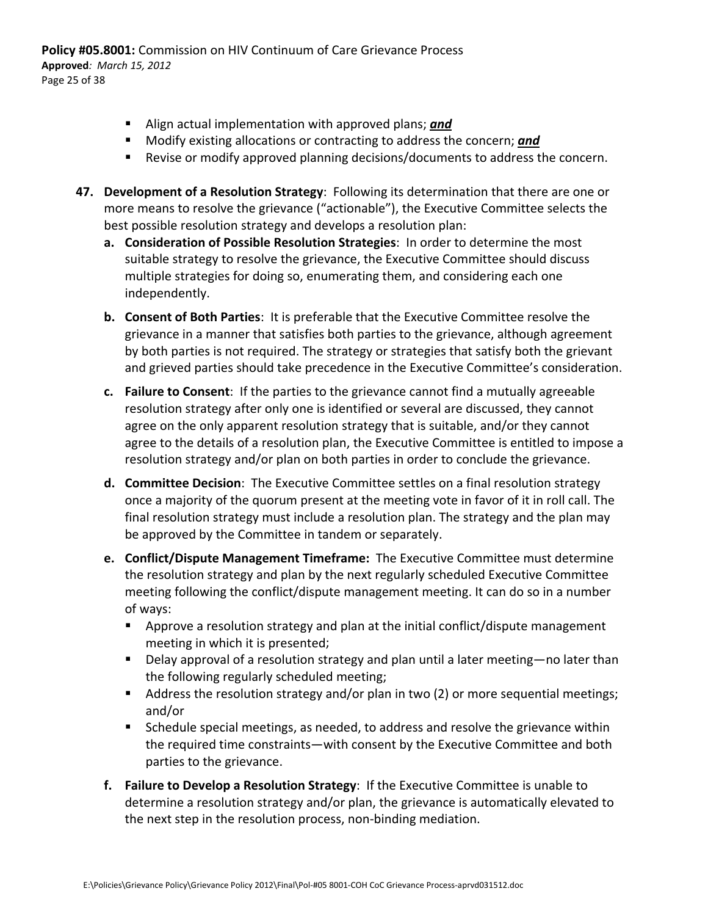**Policy #05.8001:** Commission on HIV Continuum of Care Grievance Process **Approved***: March 15, 2012* Page 25 of 38

- Align actual implementation with approved plans; *and*
- **Modify existing allocations or contracting to address the concern; and**
- Revise or modify approved planning decisions/documents to address the concern.
- **47. Development of a Resolution Strategy**: Following its determination that there are one or more means to resolve the grievance ("actionable"), the Executive Committee selects the best possible resolution strategy and develops a resolution plan:
	- **a. Consideration of Possible Resolution Strategies**: In order to determine the most suitable strategy to resolve the grievance, the Executive Committee should discuss multiple strategies for doing so, enumerating them, and considering each one independently.
	- **b. Consent of Both Parties**: It is preferable that the Executive Committee resolve the grievance in a manner that satisfies both parties to the grievance, although agreement by both parties is not required. The strategy or strategies that satisfy both the grievant and grieved parties should take precedence in the Executive Committee's consideration.
	- **c. Failure to Consent**: If the parties to the grievance cannot find a mutually agreeable resolution strategy after only one is identified or several are discussed, they cannot agree on the only apparent resolution strategy that is suitable, and/or they cannot agree to the details of a resolution plan, the Executive Committee is entitled to impose a resolution strategy and/or plan on both parties in order to conclude the grievance.
	- **d. Committee Decision**: The Executive Committee settles on a final resolution strategy once a majority of the quorum present at the meeting vote in favor of it in roll call. The final resolution strategy must include a resolution plan. The strategy and the plan may be approved by the Committee in tandem or separately.
	- **e. Conflict/Dispute Management Timeframe:** The Executive Committee must determine the resolution strategy and plan by the next regularly scheduled Executive Committee meeting following the conflict/dispute management meeting. It can do so in a number of ways:
		- Approve a resolution strategy and plan at the initial conflict/dispute management meeting in which it is presented;
		- Delay approval of a resolution strategy and plan until a later meeting—no later than the following regularly scheduled meeting;
		- Address the resolution strategy and/or plan in two (2) or more sequential meetings; and/or
		- Schedule special meetings, as needed, to address and resolve the grievance within the required time constraints—with consent by the Executive Committee and both parties to the grievance.
	- **f. Failure to Develop a Resolution Strategy**: If the Executive Committee is unable to determine a resolution strategy and/or plan, the grievance is automatically elevated to the next step in the resolution process, non‐binding mediation.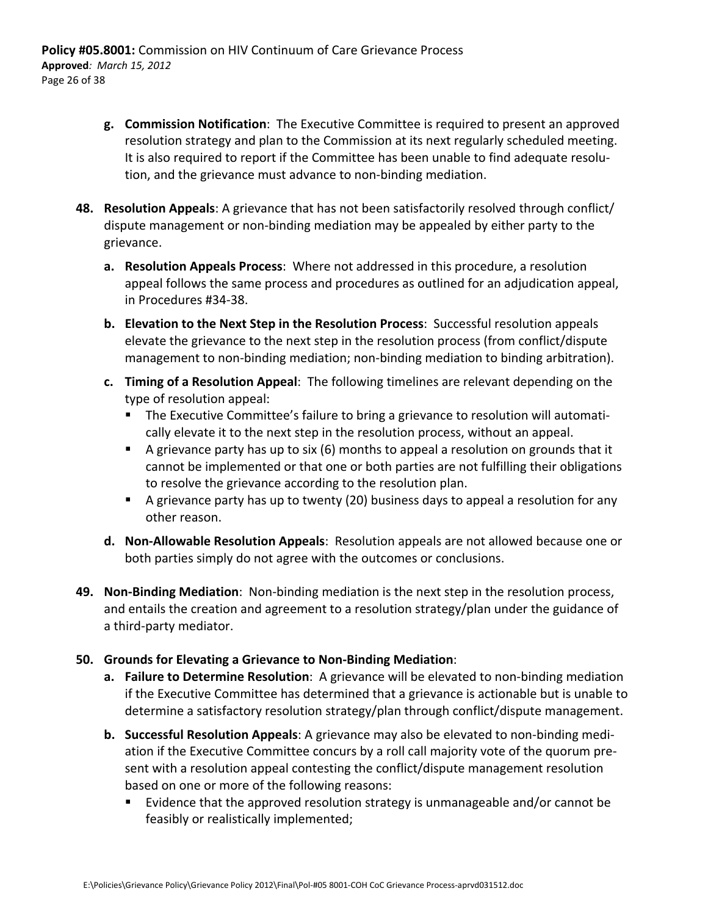- **g. Commission Notification**: The Executive Committee is required to present an approved resolution strategy and plan to the Commission at its next regularly scheduled meeting. It is also required to report if the Committee has been unable to find adequate resolu‐ tion, and the grievance must advance to non‐binding mediation.
- **48. Resolution Appeals**: A grievance that has not been satisfactorily resolved through conflict/ dispute management or non‐binding mediation may be appealed by either party to the grievance.
	- **a. Resolution Appeals Process**: Where not addressed in this procedure, a resolution appeal follows the same process and procedures as outlined for an adjudication appeal, in Procedures #34‐38.
	- **b. Elevation to the Next Step in the Resolution Process**: Successful resolution appeals elevate the grievance to the next step in the resolution process (from conflict/dispute management to non‐binding mediation; non‐binding mediation to binding arbitration).
	- **c. Timing of a Resolution Appeal**: The following timelines are relevant depending on the type of resolution appeal:
		- The Executive Committee's failure to bring a grievance to resolution will automatically elevate it to the next step in the resolution process, without an appeal.
		- A grievance party has up to six (6) months to appeal a resolution on grounds that it cannot be implemented or that one or both parties are not fulfilling their obligations to resolve the grievance according to the resolution plan.
		- A grievance party has up to twenty (20) business days to appeal a resolution for any other reason.
	- **d. Non‐Allowable Resolution Appeals**: Resolution appeals are not allowed because one or both parties simply do not agree with the outcomes or conclusions.
- **49. Non‐Binding Mediation**: Non‐binding mediation is the next step in the resolution process, and entails the creation and agreement to a resolution strategy/plan under the guidance of a third‐party mediator.

### **50. Grounds for Elevating a Grievance to Non‐Binding Mediation**:

- **a. Failure to Determine Resolution**: A grievance will be elevated to non‐binding mediation if the Executive Committee has determined that a grievance is actionable but is unable to determine a satisfactory resolution strategy/plan through conflict/dispute management.
- **b. Successful Resolution Appeals**: A grievance may also be elevated to non‐binding medi‐ ation if the Executive Committee concurs by a roll call majority vote of the quorum pre‐ sent with a resolution appeal contesting the conflict/dispute management resolution based on one or more of the following reasons:
	- Evidence that the approved resolution strategy is unmanageable and/or cannot be feasibly or realistically implemented;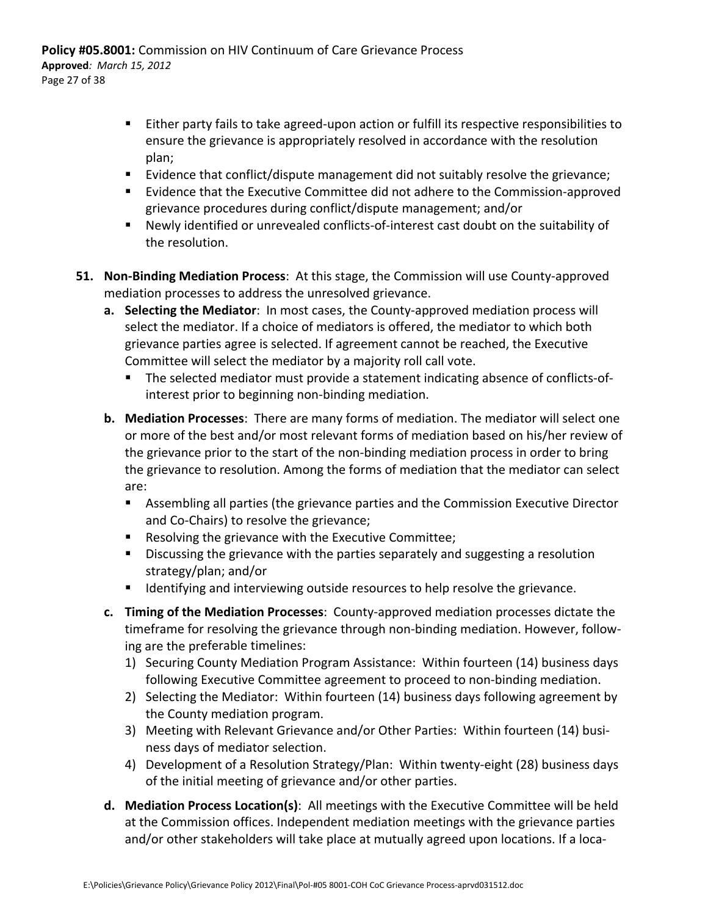- Either party fails to take agreed-upon action or fulfill its respective responsibilities to ensure the grievance is appropriately resolved in accordance with the resolution plan;
- Evidence that conflict/dispute management did not suitably resolve the grievance;
- Evidence that the Executive Committee did not adhere to the Commission-approved grievance procedures during conflict/dispute management; and/or
- Newly identified or unrevealed conflicts-of-interest cast doubt on the suitability of the resolution.
- **51. Non‐Binding Mediation Process**: At this stage, the Commission will use County‐approved mediation processes to address the unresolved grievance.
	- **a. Selecting the Mediator**: In most cases, the County‐approved mediation process will select the mediator. If a choice of mediators is offered, the mediator to which both grievance parties agree is selected. If agreement cannot be reached, the Executive Committee will select the mediator by a majority roll call vote.
		- The selected mediator must provide a statement indicating absence of conflicts-ofinterest prior to beginning non‐binding mediation.
	- **b. Mediation Processes**: There are many forms of mediation. The mediator will select one or more of the best and/or most relevant forms of mediation based on his/her review of the grievance prior to the start of the non‐binding mediation process in order to bring the grievance to resolution. Among the forms of mediation that the mediator can select are:
		- Assembling all parties (the grievance parties and the Commission Executive Director and Co‐Chairs) to resolve the grievance;
		- Resolving the grievance with the Executive Committee;
		- **Discussing the grievance with the parties separately and suggesting a resolution** strategy/plan; and/or
		- **If I**dentifying and interviewing outside resources to help resolve the grievance.
	- **c. Timing of the Mediation Processes**: County‐approved mediation processes dictate the timeframe for resolving the grievance through non‐binding mediation. However, follow‐ ing are the preferable timelines:
		- 1) Securing County Mediation Program Assistance: Within fourteen (14) business days following Executive Committee agreement to proceed to non‐binding mediation.
		- 2) Selecting the Mediator: Within fourteen (14) business days following agreement by the County mediation program.
		- 3) Meeting with Relevant Grievance and/or Other Parties: Within fourteen (14) busi‐ ness days of mediator selection.
		- 4) Development of a Resolution Strategy/Plan: Within twenty-eight (28) business days of the initial meeting of grievance and/or other parties.
	- **d. Mediation Process Location(s)**: All meetings with the Executive Committee will be held at the Commission offices. Independent mediation meetings with the grievance parties and/or other stakeholders will take place at mutually agreed upon locations. If a loca‐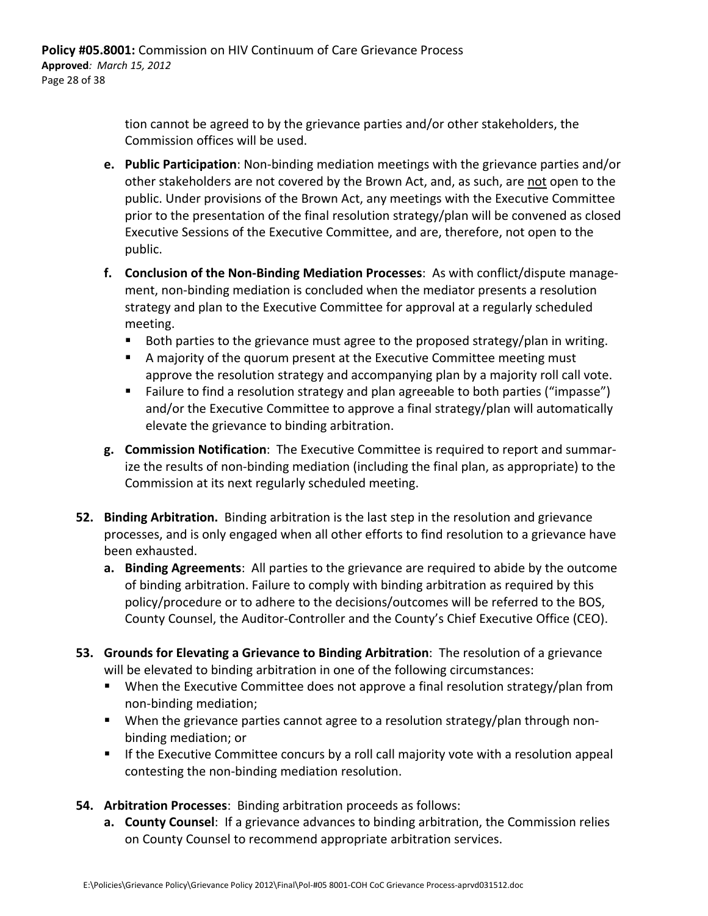tion cannot be agreed to by the grievance parties and/or other stakeholders, the Commission offices will be used.

- **e. Public Participation**: Non‐binding mediation meetings with the grievance parties and/or other stakeholders are not covered by the Brown Act, and, as such, are not open to the public. Under provisions of the Brown Act, any meetings with the Executive Committee prior to the presentation of the final resolution strategy/plan will be convened as closed Executive Sessions of the Executive Committee, and are, therefore, not open to the public.
- **f. Conclusion of the Non‐Binding Mediation Processes**: As with conflict/dispute manage‐ ment, non‐binding mediation is concluded when the mediator presents a resolution strategy and plan to the Executive Committee for approval at a regularly scheduled meeting.
	- Both parties to the grievance must agree to the proposed strategy/plan in writing.
	- A majority of the quorum present at the Executive Committee meeting must approve the resolution strategy and accompanying plan by a majority roll call vote.
	- Failure to find a resolution strategy and plan agreeable to both parties ("impasse") and/or the Executive Committee to approve a final strategy/plan will automatically elevate the grievance to binding arbitration.
- **g. Commission Notification**: The Executive Committee is required to report and summar‐ ize the results of non‐binding mediation (including the final plan, as appropriate) to the Commission at its next regularly scheduled meeting.
- **52. Binding Arbitration.** Binding arbitration is the last step in the resolution and grievance processes, and is only engaged when all other efforts to find resolution to a grievance have been exhausted.
	- **a. Binding Agreements**: All parties to the grievance are required to abide by the outcome of binding arbitration. Failure to comply with binding arbitration as required by this policy/procedure or to adhere to the decisions/outcomes will be referred to the BOS, County Counsel, the Auditor‐Controller and the County's Chief Executive Office (CEO).
- **53. Grounds for Elevating a Grievance to Binding Arbitration**: The resolution of a grievance will be elevated to binding arbitration in one of the following circumstances:
	- **When the Executive Committee does not approve a final resolution strategy/plan from** non‐binding mediation;
	- When the grievance parties cannot agree to a resolution strategy/plan through nonbinding mediation; or
	- **If the Executive Committee concurs by a roll call majority vote with a resolution appeal** contesting the non‐binding mediation resolution.
- **54. Arbitration Processes**: Binding arbitration proceeds as follows:
	- **a. County Counsel**: If a grievance advances to binding arbitration, the Commission relies on County Counsel to recommend appropriate arbitration services.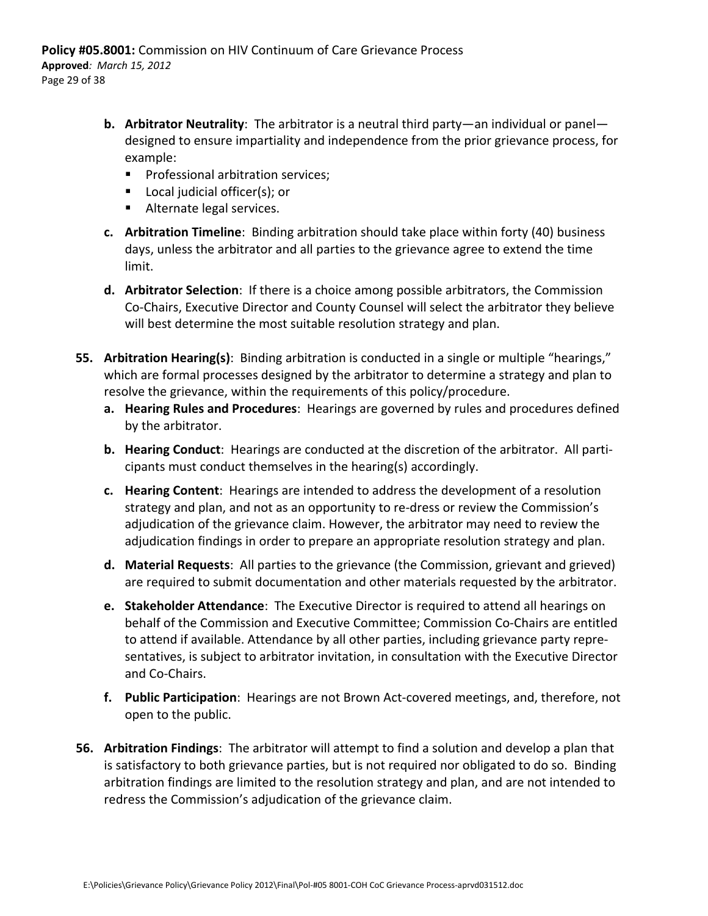- **b. Arbitrator Neutrality**: The arbitrator is a neutral third party—an individual or panel designed to ensure impartiality and independence from the prior grievance process, for example:
	- **Professional arbitration services:**
	- **Local judicial officer(s); or**
	- Alternate legal services.
- **c. Arbitration Timeline**: Binding arbitration should take place within forty (40) business days, unless the arbitrator and all parties to the grievance agree to extend the time limit.
- **d. Arbitrator Selection**: If there is a choice among possible arbitrators, the Commission Co‐Chairs, Executive Director and County Counsel will select the arbitrator they believe will best determine the most suitable resolution strategy and plan.
- **55. Arbitration Hearing(s)**: Binding arbitration is conducted in a single or multiple "hearings," which are formal processes designed by the arbitrator to determine a strategy and plan to resolve the grievance, within the requirements of this policy/procedure.
	- **a. Hearing Rules and Procedures**: Hearings are governed by rules and procedures defined by the arbitrator.
	- **b. Hearing Conduct**: Hearings are conducted at the discretion of the arbitrator. All parti‐ cipants must conduct themselves in the hearing(s) accordingly.
	- **c. Hearing Content**: Hearings are intended to address the development of a resolution strategy and plan, and not as an opportunity to re‐dress or review the Commission's adjudication of the grievance claim. However, the arbitrator may need to review the adjudication findings in order to prepare an appropriate resolution strategy and plan.
	- **d. Material Requests**: All parties to the grievance (the Commission, grievant and grieved) are required to submit documentation and other materials requested by the arbitrator.
	- **e. Stakeholder Attendance**: The Executive Director is required to attend all hearings on behalf of the Commission and Executive Committee; Commission Co‐Chairs are entitled to attend if available. Attendance by all other parties, including grievance party repre‐ sentatives, is subject to arbitrator invitation, in consultation with the Executive Director and Co‐Chairs.
	- **f. Public Participation**: Hearings are not Brown Act‐covered meetings, and, therefore, not open to the public.
- **56. Arbitration Findings**: The arbitrator will attempt to find a solution and develop a plan that is satisfactory to both grievance parties, but is not required nor obligated to do so. Binding arbitration findings are limited to the resolution strategy and plan, and are not intended to redress the Commission's adjudication of the grievance claim.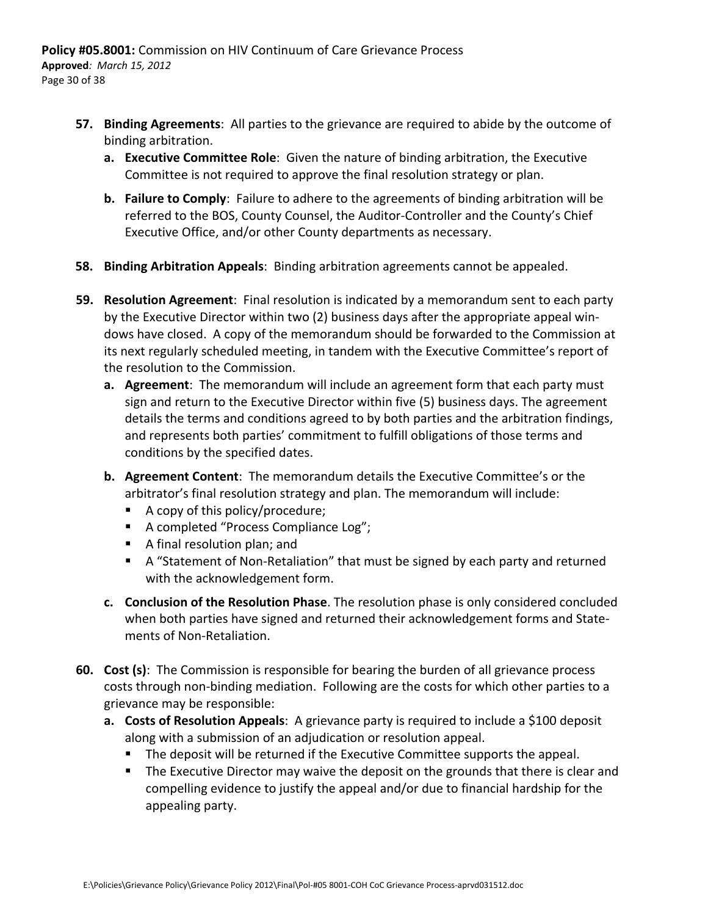- **57. Binding Agreements**: All parties to the grievance are required to abide by the outcome of binding arbitration.
	- **a. Executive Committee Role**: Given the nature of binding arbitration, the Executive Committee is not required to approve the final resolution strategy or plan.
	- **b. Failure to Comply**: Failure to adhere to the agreements of binding arbitration will be referred to the BOS, County Counsel, the Auditor‐Controller and the County's Chief Executive Office, and/or other County departments as necessary.
- **58. Binding Arbitration Appeals**: Binding arbitration agreements cannot be appealed.
- **59. Resolution Agreement**: Final resolution is indicated by a memorandum sent to each party by the Executive Director within two (2) business days after the appropriate appeal win‐ dows have closed. A copy of the memorandum should be forwarded to the Commission at its next regularly scheduled meeting, in tandem with the Executive Committee's report of the resolution to the Commission.
	- **a. Agreement**: The memorandum will include an agreement form that each party must sign and return to the Executive Director within five (5) business days. The agreement details the terms and conditions agreed to by both parties and the arbitration findings, and represents both parties' commitment to fulfill obligations of those terms and conditions by the specified dates.
	- **b. Agreement Content**: The memorandum details the Executive Committee's or the arbitrator's final resolution strategy and plan. The memorandum will include:
		- A copy of this policy/procedure;
		- A completed "Process Compliance Log";
		- A final resolution plan; and
		- A "Statement of Non-Retaliation" that must be signed by each party and returned with the acknowledgement form.
	- **c. Conclusion of the Resolution Phase**. The resolution phase is only considered concluded when both parties have signed and returned their acknowledgement forms and Statements of Non‐Retaliation.
- **60. Cost (s)**: The Commission is responsible for bearing the burden of all grievance process costs through non‐binding mediation. Following are the costs for which other parties to a grievance may be responsible:
	- **a. Costs of Resolution Appeals**: A grievance party is required to include a \$100 deposit along with a submission of an adjudication or resolution appeal.
		- **The deposit will be returned if the Executive Committee supports the appeal.**
		- The Executive Director may waive the deposit on the grounds that there is clear and compelling evidence to justify the appeal and/or due to financial hardship for the appealing party.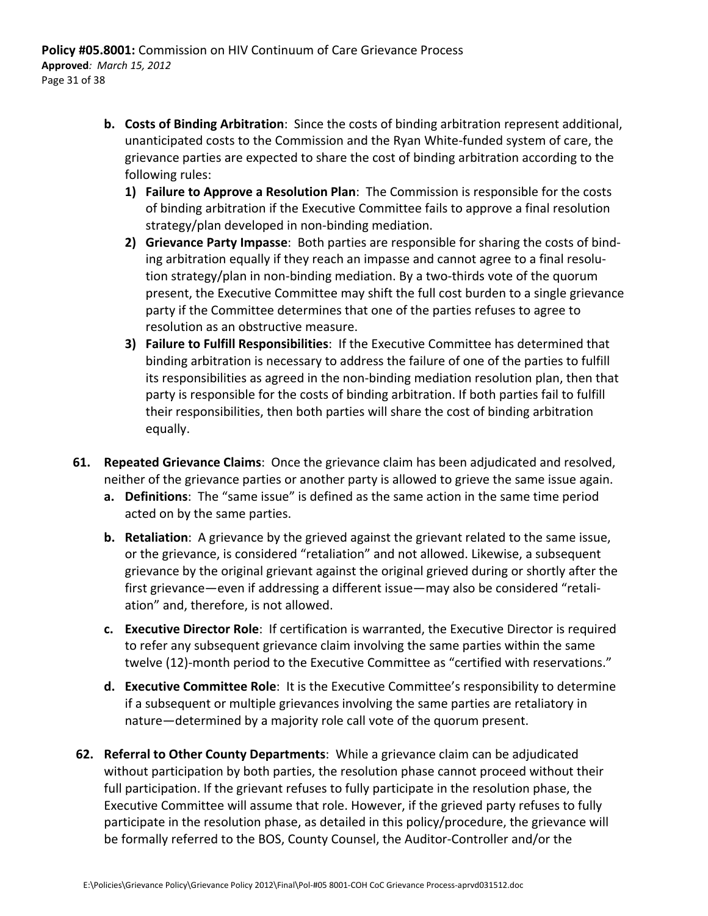- **b. Costs of Binding Arbitration**: Since the costs of binding arbitration represent additional, unanticipated costs to the Commission and the Ryan White‐funded system of care, the grievance parties are expected to share the cost of binding arbitration according to the following rules:
	- **1) Failure to Approve a Resolution Plan**: The Commission is responsible for the costs of binding arbitration if the Executive Committee fails to approve a final resolution strategy/plan developed in non‐binding mediation.
	- **2) Grievance Party Impasse**: Both parties are responsible for sharing the costs of bind‐ ing arbitration equally if they reach an impasse and cannot agree to a final resolu‐ tion strategy/plan in non‐binding mediation. By a two‐thirds vote of the quorum present, the Executive Committee may shift the full cost burden to a single grievance party if the Committee determines that one of the parties refuses to agree to resolution as an obstructive measure.
	- **3) Failure to Fulfill Responsibilities**: If the Executive Committee has determined that binding arbitration is necessary to address the failure of one of the parties to fulfill its responsibilities as agreed in the non‐binding mediation resolution plan, then that party is responsible for the costs of binding arbitration. If both parties fail to fulfill their responsibilities, then both parties will share the cost of binding arbitration equally.
- **61. Repeated Grievance Claims**: Once the grievance claim has been adjudicated and resolved, neither of the grievance parties or another party is allowed to grieve the same issue again.
	- **a. Definitions**: The "same issue" is defined as the same action in the same time period acted on by the same parties.
	- **b. Retaliation**: A grievance by the grieved against the grievant related to the same issue, or the grievance, is considered "retaliation" and not allowed. Likewise, a subsequent grievance by the original grievant against the original grieved during or shortly after the first grievance—even if addressing a different issue—may also be considered "retali‐ ation" and, therefore, is not allowed.
	- **c. Executive Director Role**: If certification is warranted, the Executive Director is required to refer any subsequent grievance claim involving the same parties within the same twelve (12)‐month period to the Executive Committee as "certified with reservations."
	- **d. Executive Committee Role**: It is the Executive Committee's responsibility to determine if a subsequent or multiple grievances involving the same parties are retaliatory in nature—determined by a majority role call vote of the quorum present.
- **62. Referral to Other County Departments**: While a grievance claim can be adjudicated without participation by both parties, the resolution phase cannot proceed without their full participation. If the grievant refuses to fully participate in the resolution phase, the Executive Committee will assume that role. However, if the grieved party refuses to fully participate in the resolution phase, as detailed in this policy/procedure, the grievance will be formally referred to the BOS, County Counsel, the Auditor‐Controller and/or the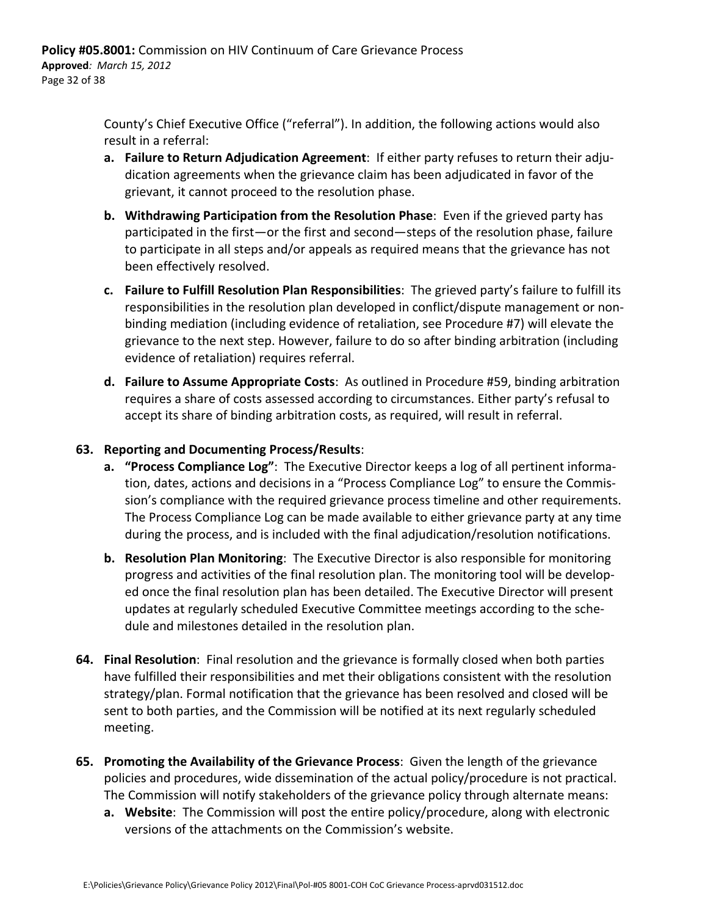County's Chief Executive Office ("referral"). In addition, the following actions would also result in a referral:

- **a. Failure to Return Adjudication Agreement**: If either party refuses to return their adju‐ dication agreements when the grievance claim has been adjudicated in favor of the grievant, it cannot proceed to the resolution phase.
- **b. Withdrawing Participation from the Resolution Phase**: Even if the grieved party has participated in the first—or the first and second—steps of the resolution phase, failure to participate in all steps and/or appeals as required means that the grievance has not been effectively resolved.
- **c. Failure to Fulfill Resolution Plan Responsibilities**: The grieved party's failure to fulfill its responsibilities in the resolution plan developed in conflict/dispute management or non‐ binding mediation (including evidence of retaliation, see Procedure #7) will elevate the grievance to the next step. However, failure to do so after binding arbitration (including evidence of retaliation) requires referral.
- **d. Failure to Assume Appropriate Costs**: As outlined in Procedure #59, binding arbitration requires a share of costs assessed according to circumstances. Either party's refusal to accept its share of binding arbitration costs, as required, will result in referral.

#### **63. Reporting and Documenting Process/Results**:

- **a. "Process Compliance Log"**: The Executive Director keeps a log of all pertinent informa‐ tion, dates, actions and decisions in a "Process Compliance Log" to ensure the Commis‐ sion's compliance with the required grievance process timeline and other requirements. The Process Compliance Log can be made available to either grievance party at any time during the process, and is included with the final adjudication/resolution notifications.
- **b. Resolution Plan Monitoring**: The Executive Director is also responsible for monitoring progress and activities of the final resolution plan. The monitoring tool will be develop‐ ed once the final resolution plan has been detailed. The Executive Director will present updates at regularly scheduled Executive Committee meetings according to the sche‐ dule and milestones detailed in the resolution plan.
- **64. Final Resolution**: Final resolution and the grievance is formally closed when both parties have fulfilled their responsibilities and met their obligations consistent with the resolution strategy/plan. Formal notification that the grievance has been resolved and closed will be sent to both parties, and the Commission will be notified at its next regularly scheduled meeting.
- **65. Promoting the Availability of the Grievance Process**: Given the length of the grievance policies and procedures, wide dissemination of the actual policy/procedure is not practical. The Commission will notify stakeholders of the grievance policy through alternate means:
	- **a. Website**: The Commission will post the entire policy/procedure, along with electronic versions of the attachments on the Commission's website.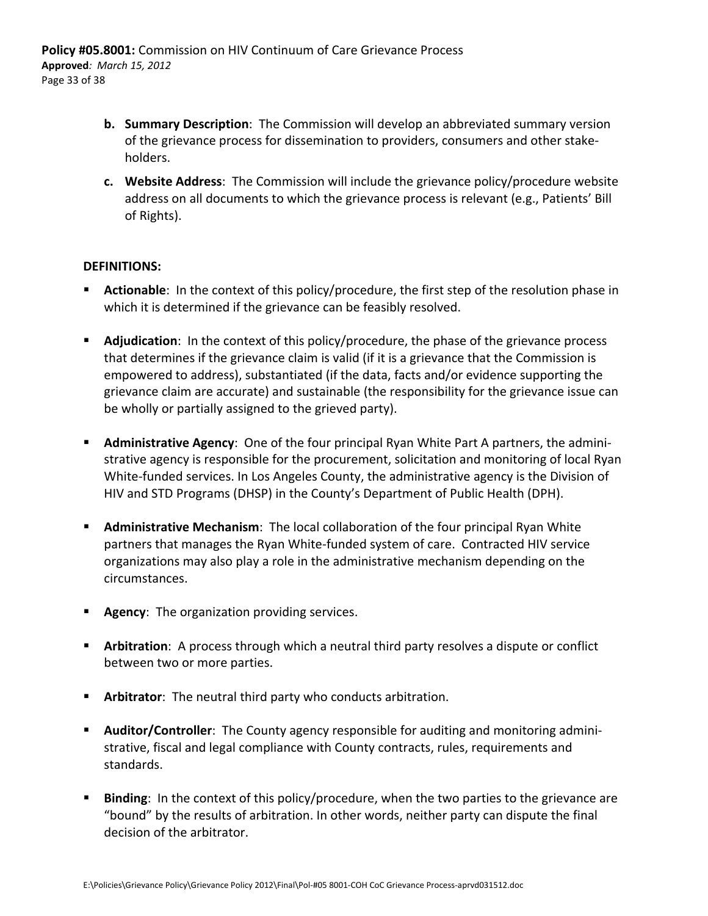- **b. Summary Description**: The Commission will develop an abbreviated summary version of the grievance process for dissemination to providers, consumers and other stake‐ holders.
- **c. Website Address**: The Commission will include the grievance policy/procedure website address on all documents to which the grievance process is relevant (e.g., Patients' Bill of Rights).

#### **DEFINITIONS:**

- **Actionable**: In the context of this policy/procedure, the first step of the resolution phase in which it is determined if the grievance can be feasibly resolved.
- **Adjudication:** In the context of this policy/procedure, the phase of the grievance process that determines if the grievance claim is valid (if it is a grievance that the Commission is empowered to address), substantiated (if the data, facts and/or evidence supporting the grievance claim are accurate) and sustainable (the responsibility for the grievance issue can be wholly or partially assigned to the grieved party).
- **Administrative Agency**: One of the four principal Ryan White Part A partners, the administrative agency is responsible for the procurement, solicitation and monitoring of local Ryan White-funded services. In Los Angeles County, the administrative agency is the Division of HIV and STD Programs (DHSP) in the County's Department of Public Health (DPH).
- **Administrative Mechanism**: The local collaboration of the four principal Ryan White partners that manages the Ryan White‐funded system of care. Contracted HIV service organizations may also play a role in the administrative mechanism depending on the circumstances.
- **Agency:** The organization providing services.
- **Arbitration**: A process through which a neutral third party resolves a dispute or conflict between two or more parties.
- **Arbitrator:** The neutral third party who conducts arbitration.
- **Auditor/Controller**: The County agency responsible for auditing and monitoring administrative, fiscal and legal compliance with County contracts, rules, requirements and standards.
- **Binding**: In the context of this policy/procedure, when the two parties to the grievance are "bound" by the results of arbitration. In other words, neither party can dispute the final decision of the arbitrator.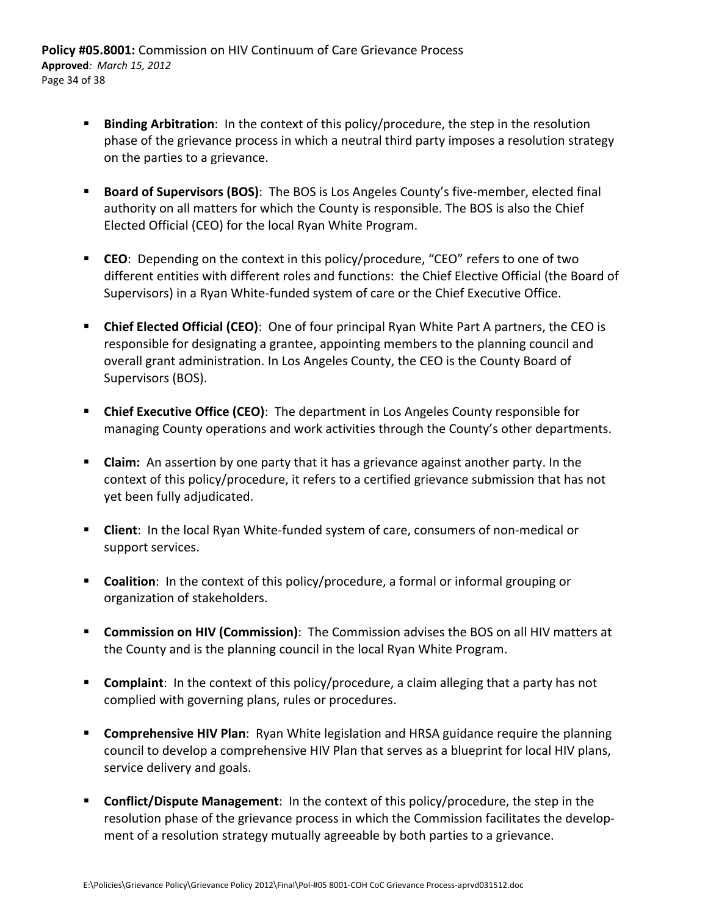- **Binding Arbitration**: In the context of this policy/procedure, the step in the resolution phase of the grievance process in which a neutral third party imposes a resolution strategy on the parties to a grievance.
- **Board of Supervisors (BOS):** The BOS is Los Angeles County's five-member, elected final authority on all matters for which the County is responsible. The BOS is also the Chief Elected Official (CEO) for the local Ryan White Program.
- **CEO**: Depending on the context in this policy/procedure, "CEO" refers to one of two different entities with different roles and functions: the Chief Elective Official (the Board of Supervisors) in a Ryan White‐funded system of care or the Chief Executive Office.
- **Chief Elected Official (CEO)**: One of four principal Ryan White Part A partners, the CEO is responsible for designating a grantee, appointing members to the planning council and overall grant administration. In Los Angeles County, the CEO is the County Board of Supervisors (BOS).
- **Chief Executive Office (CEO)**: The department in Los Angeles County responsible for managing County operations and work activities through the County's other departments.
- **Claim:** An assertion by one party that it has a grievance against another party. In the context of this policy/procedure, it refers to a certified grievance submission that has not yet been fully adjudicated.
- **Client**: In the local Ryan White-funded system of care, consumers of non-medical or support services.
- **Coalition**: In the context of this policy/procedure, a formal or informal grouping or organization of stakeholders.
- **Commission on HIV (Commission)**: The Commission advises the BOS on all HIV matters at the County and is the planning council in the local Ryan White Program.
- **Complaint:** In the context of this policy/procedure, a claim alleging that a party has not complied with governing plans, rules or procedures.
- **Comprehensive HIV Plan**: Ryan White legislation and HRSA guidance require the planning council to develop a comprehensive HIV Plan that serves as a blueprint for local HIV plans, service delivery and goals.
- **Conflict/Dispute Management**: In the context of this policy/procedure, the step in the resolution phase of the grievance process in which the Commission facilitates the develop‐ ment of a resolution strategy mutually agreeable by both parties to a grievance.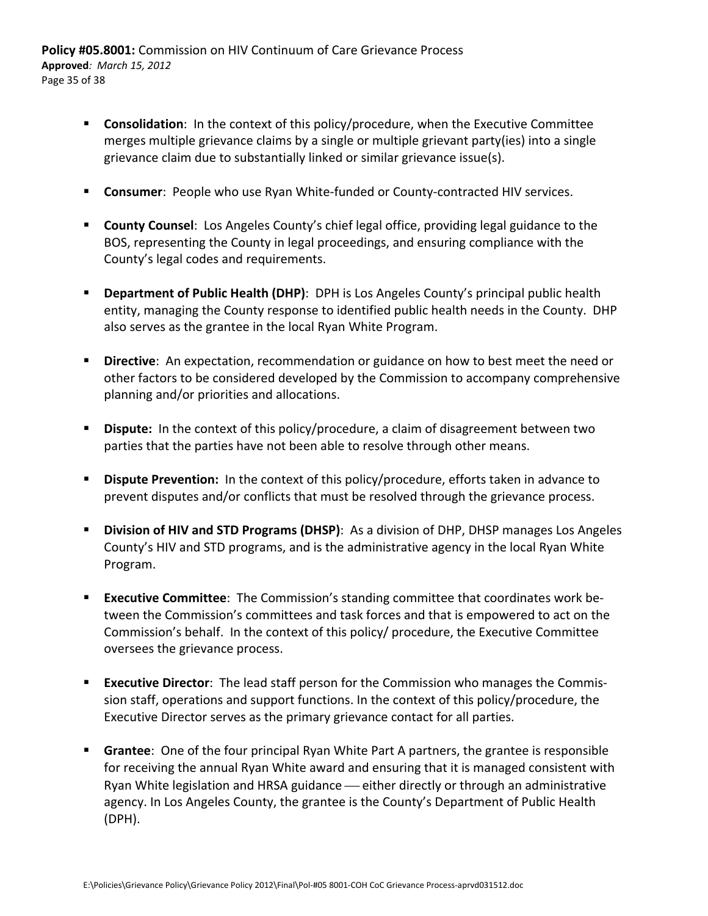- **Consolidation**: In the context of this policy/procedure, when the Executive Committee merges multiple grievance claims by a single or multiple grievant party(ies) into a single grievance claim due to substantially linked or similar grievance issue(s).
- **Consumer**: People who use Ryan White-funded or County-contracted HIV services.
- **County Counsel**: Los Angeles County's chief legal office, providing legal guidance to the BOS, representing the County in legal proceedings, and ensuring compliance with the County's legal codes and requirements.
- **Department of Public Health (DHP)**: DPH is Los Angeles County's principal public health entity, managing the County response to identified public health needs in the County. DHP also serves as the grantee in the local Ryan White Program.
- **Directive**: An expectation, recommendation or guidance on how to best meet the need or other factors to be considered developed by the Commission to accompany comprehensive planning and/or priorities and allocations.
- **Dispute:** In the context of this policy/procedure, a claim of disagreement between two parties that the parties have not been able to resolve through other means.
- **Dispute Prevention:** In the context of this policy/procedure, efforts taken in advance to prevent disputes and/or conflicts that must be resolved through the grievance process.
- **Division of HIV and STD Programs (DHSP)**: As a division of DHP, DHSP manages Los Angeles County's HIV and STD programs, and is the administrative agency in the local Ryan White Program.
- **Executive Committee**: The Commission's standing committee that coordinates work between the Commission's committees and task forces and that is empowered to act on the Commission's behalf. In the context of this policy/ procedure, the Executive Committee oversees the grievance process.
- **Executive Director**: The lead staff person for the Commission who manages the Commis‐ sion staff, operations and support functions. In the context of this policy/procedure, the Executive Director serves as the primary grievance contact for all parties.
- **Grantee**: One of the four principal Ryan White Part A partners, the grantee is responsible for receiving the annual Ryan White award and ensuring that it is managed consistent with Ryan White legislation and HRSA guidance — either directly or through an administrative agency. In Los Angeles County, the grantee is the County's Department of Public Health (DPH).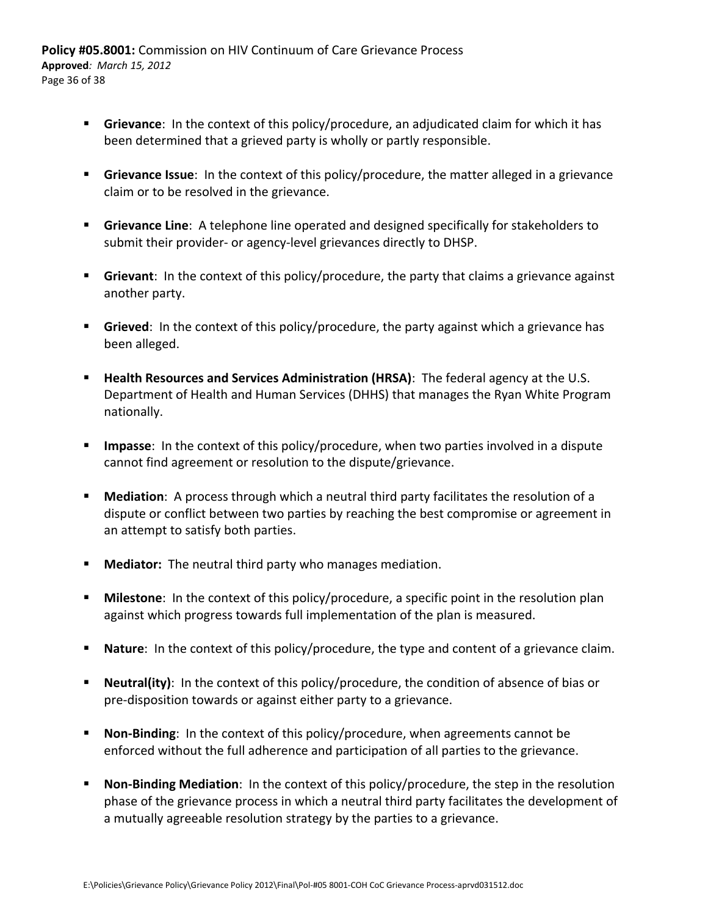**Policy #05.8001:** Commission on HIV Continuum of Care Grievance Process **Approved***: March 15, 2012* Page 36 of 38

- **Grievance**: In the context of this policy/procedure, an adjudicated claim for which it has been determined that a grieved party is wholly or partly responsible.
- **Grievance Issue**: In the context of this policy/procedure, the matter alleged in a grievance claim or to be resolved in the grievance.
- **Grievance Line:** A telephone line operated and designed specifically for stakeholders to submit their provider‐ or agency‐level grievances directly to DHSP.
- **Grievant**: In the context of this policy/procedure, the party that claims a grievance against another party.
- **Grieved:** In the context of this policy/procedure, the party against which a grievance has been alleged.
- **Health Resources and Services Administration (HRSA)**: The federal agency at the U.S. Department of Health and Human Services (DHHS) that manages the Ryan White Program nationally.
- **Impasse**: In the context of this policy/procedure, when two parties involved in a dispute cannot find agreement or resolution to the dispute/grievance.
- **Mediation**: A process through which a neutral third party facilitates the resolution of a dispute or conflict between two parties by reaching the best compromise or agreement in an attempt to satisfy both parties.
- **Mediator:** The neutral third party who manages mediation.
- **Milestone:** In the context of this policy/procedure, a specific point in the resolution plan against which progress towards full implementation of the plan is measured.
- **Nature**: In the context of this policy/procedure, the type and content of a grievance claim.
- **Neutral(ity)**: In the context of this policy/procedure, the condition of absence of bias or pre‐disposition towards or against either party to a grievance.
- **Non‐Binding**: In the context of this policy/procedure, when agreements cannot be enforced without the full adherence and participation of all parties to the grievance.
- **Non‐Binding Mediation**: In the context of this policy/procedure, the step in the resolution phase of the grievance process in which a neutral third party facilitates the development of a mutually agreeable resolution strategy by the parties to a grievance.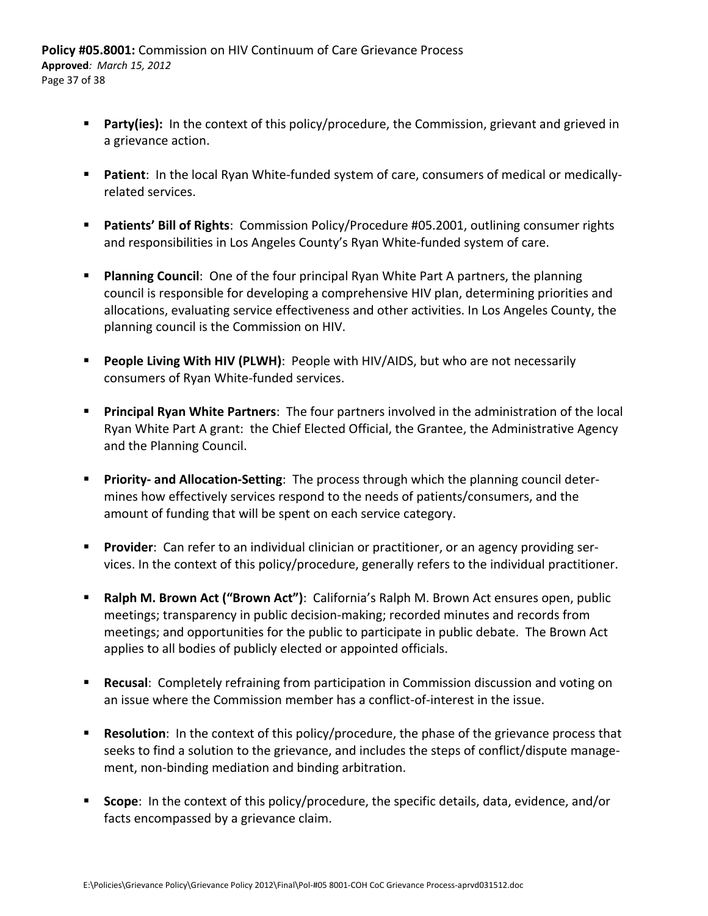- **Party(ies):** In the context of this policy/procedure, the Commission, grievant and grieved in a grievance action.
- **Patient:** In the local Ryan White-funded system of care, consumers of medical or medicallyrelated services.
- **Patients' Bill of Rights**: Commission Policy/Procedure #05.2001, outlining consumer rights and responsibilities in Los Angeles County's Ryan White-funded system of care.
- **Planning Council:** One of the four principal Ryan White Part A partners, the planning council is responsible for developing a comprehensive HIV plan, determining priorities and allocations, evaluating service effectiveness and other activities. In Los Angeles County, the planning council is the Commission on HIV.
- **People Living With HIV (PLWH)**: People with HIV/AIDS, but who are not necessarily consumers of Ryan White‐funded services.
- **Principal Ryan White Partners**: The four partners involved in the administration of the local Ryan White Part A grant: the Chief Elected Official, the Grantee, the Administrative Agency and the Planning Council.
- **Priority- and Allocation-Setting:** The process through which the planning council determines how effectively services respond to the needs of patients/consumers, and the amount of funding that will be spent on each service category.
- Provider: Can refer to an individual clinician or practitioner, or an agency providing services. In the context of this policy/procedure, generally refers to the individual practitioner.
- **Ralph M. Brown Act ("Brown Act")**: California's Ralph M. Brown Act ensures open, public meetings; transparency in public decision‐making; recorded minutes and records from meetings; and opportunities for the public to participate in public debate. The Brown Act applies to all bodies of publicly elected or appointed officials.
- **Recusal**: Completely refraining from participation in Commission discussion and voting on an issue where the Commission member has a conflict‐of‐interest in the issue.
- **Resolution**: In the context of this policy/procedure, the phase of the grievance process that seeks to find a solution to the grievance, and includes the steps of conflict/dispute manage‐ ment, non‐binding mediation and binding arbitration.
- **Scope**: In the context of this policy/procedure, the specific details, data, evidence, and/or facts encompassed by a grievance claim.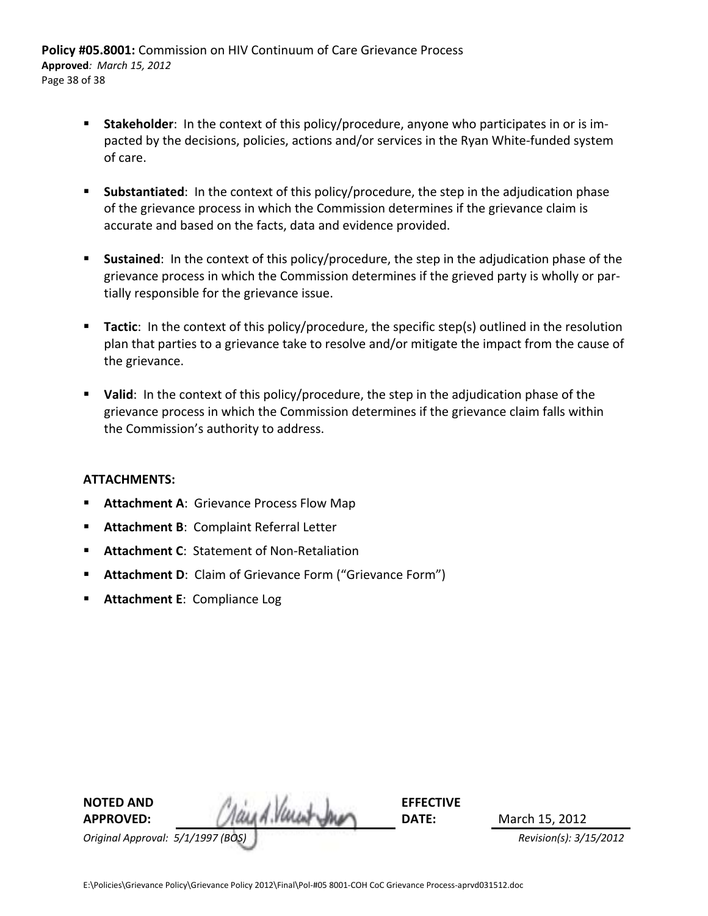**Policy #05.8001:** Commission on HIV Continuum of Care Grievance Process **Approved***: March 15, 2012* Page 38 of 38

- **Stakeholder**: In the context of this policy/procedure, anyone who participates in or is impacted by the decisions, policies, actions and/or services in the Ryan White‐funded system of care.
- **Substantiated**: In the context of this policy/procedure, the step in the adjudication phase of the grievance process in which the Commission determines if the grievance claim is accurate and based on the facts, data and evidence provided.
- **Sustained**: In the context of this policy/procedure, the step in the adjudication phase of the grievance process in which the Commission determines if the grieved party is wholly or par‐ tially responsible for the grievance issue.
- **Tactic**: In the context of this policy/procedure, the specific step(s) outlined in the resolution plan that parties to a grievance take to resolve and/or mitigate the impact from the cause of the grievance.
- **Valid**: In the context of this policy/procedure, the step in the adjudication phase of the grievance process in which the Commission determines if the grievance claim falls within the Commission's authority to address.

#### **ATTACHMENTS:**

- **Attachment A**: Grievance Process Flow Map
- **Attachment B**: Complaint Referral Letter
- **Attachment C: Statement of Non-Retaliation**
- **Attachment D:** Claim of Grievance Form ("Grievance Form")
- **Attachment E: Compliance Log**

| <b>NOTED AND</b>                  |                     | <b>EFFECTIVE</b> |                        |
|-----------------------------------|---------------------|------------------|------------------------|
| <b>APPROVED:</b>                  | Said A. Verest Jour | DATE:            | March 15, 2012         |
| Original Approval: 5/1/1997 (BOS) |                     |                  | Revision(s): 3/15/2012 |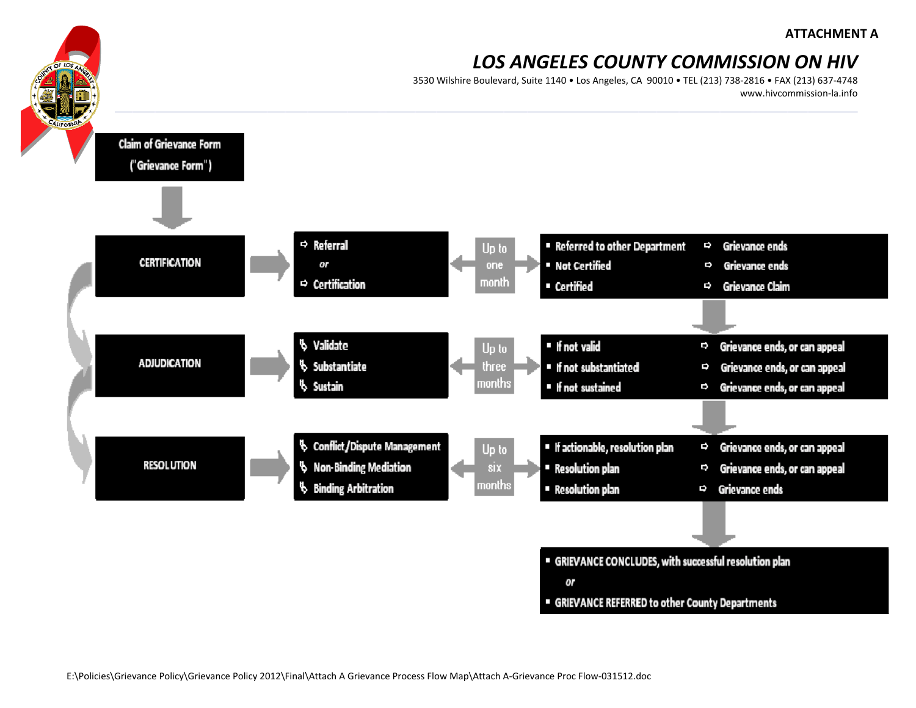3530 Wilshire Boulevard, Suite 1140 • Los Angeles, CA 90010 • TEL (213) 738‐2816 • FAX (213) 637‐4748 www.hivcommission‐la.info



" GRIEVANCE REFERRED to other County Departments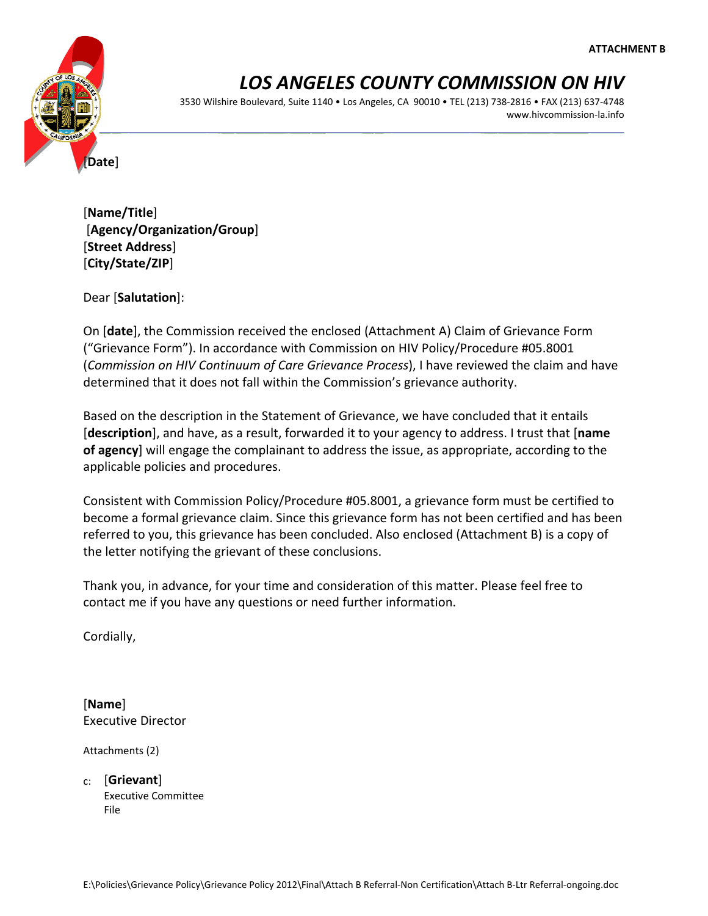

3530 Wilshire Boulevard, Suite 1140 • Los Angeles, CA 90010 • TEL (213) 738‐2816 • FAX (213) 637‐4748 www.hivcommission‐la.info

[**Name/Title**] [**Agency/Organization/Group**] [**Street Address**] [**City/State/ZIP**]

Dear [**Salutation**]:

On [**date**], the Commission received the enclosed (Attachment A) Claim of Grievance Form ("Grievance Form"). In accordance with Commission on HIV Policy/Procedure #05.8001 (*Commission on HIV Continuum of Care Grievance Process*), I have reviewed the claim and have determined that it does not fall within the Commission's grievance authority.

Based on the description in the Statement of Grievance, we have concluded that it entails [**description**], and have, as a result, forwarded it to your agency to address. I trust that [**name of agency**] will engage the complainant to address the issue, as appropriate, according to the applicable policies and procedures.

Consistent with Commission Policy/Procedure #05.8001, a grievance form must be certified to become a formal grievance claim. Since this grievance form has not been certified and has been referred to you, this grievance has been concluded. Also enclosed (Attachment B) is a copy of the letter notifying the grievant of these conclusions.

Thank you, in advance, for your time and consideration of this matter. Please feel free to contact me if you have any questions or need further information.

Cordially,

[**Name**] Executive Director

Attachments (2)

c: [**Grievant**] Executive Committee File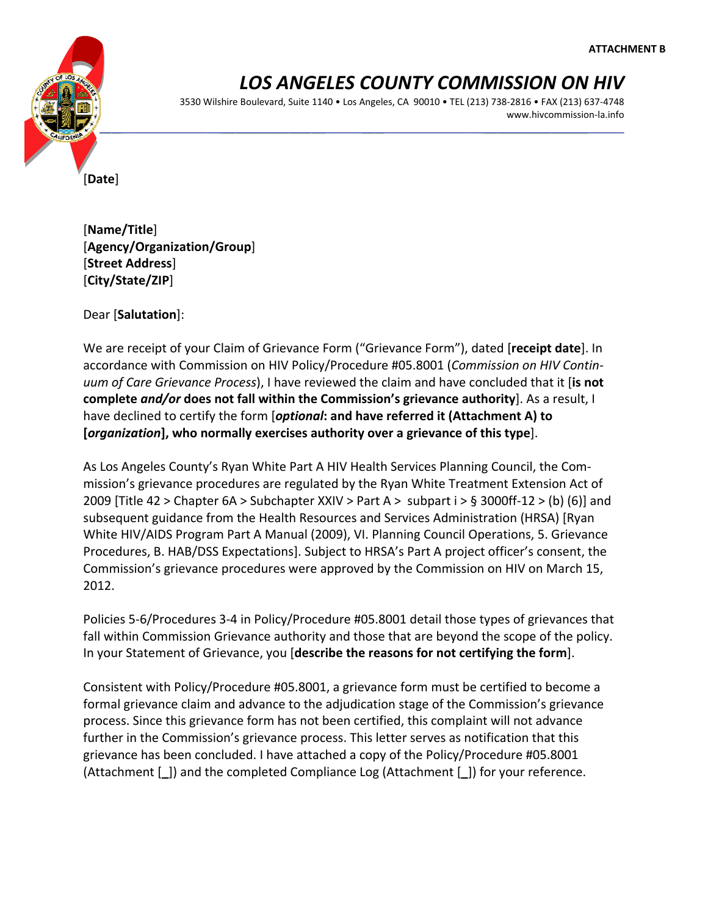

3530 Wilshire Boulevard, Suite 1140 • Los Angeles, CA 90010 • TEL (213) 738‐2816 • FAX (213) 637‐4748 www.hivcommission‐la.info

[**Date**]

[**Name/Title**] [**Agency/Organization/Group**] [**Street Address**] [**City/State/ZIP**]

Dear [**Salutation**]:

We are receipt of your Claim of Grievance Form ("Grievance Form"), dated [**receipt date**]. In accordance with Commission on HIV Policy/Procedure #05.8001 (*Commission on HIV Contin‐ uum of Care Grievance Process*), I have reviewed the claim and have concluded that it [**is not complete** *and/or* **does not fall within the Commission's grievance authority**]. As a result, I have declined to certify the form [*optional***: and have referred it (Attachment A) to [***organization***], who normally exercises authority over a grievance of this type**].

As Los Angeles County's Ryan White Part A HIV Health Services Planning Council, the Com‐ mission's grievance procedures are regulated by the Ryan White Treatment Extension Act of 2009 [Title 42 > Chapter 6A > Subchapter XXIV > Part A > subpart i > § 3000ff-12 > (b) (6)] and subsequent guidance from the Health Resources and Services Administration (HRSA) [Ryan White HIV/AIDS Program Part A Manual (2009), VI. Planning Council Operations, 5. Grievance Procedures, B. HAB/DSS Expectations]. Subject to HRSA's Part A project officer's consent, the Commission's grievance procedures were approved by the Commission on HIV on March 15, 2012.

Policies 5‐6/Procedures 3‐4 in Policy/Procedure #05.8001 detail those types of grievances that fall within Commission Grievance authority and those that are beyond the scope of the policy. In your Statement of Grievance, you [**describe the reasons for not certifying the form**].

Consistent with Policy/Procedure #05.8001, a grievance form must be certified to become a formal grievance claim and advance to the adjudication stage of the Commission's grievance process. Since this grievance form has not been certified, this complaint will not advance further in the Commission's grievance process. This letter serves as notification that this grievance has been concluded. I have attached a copy of the Policy/Procedure #05.8001 (Attachment [**\_**]) and the completed Compliance Log (Attachment [**\_**]) for your reference.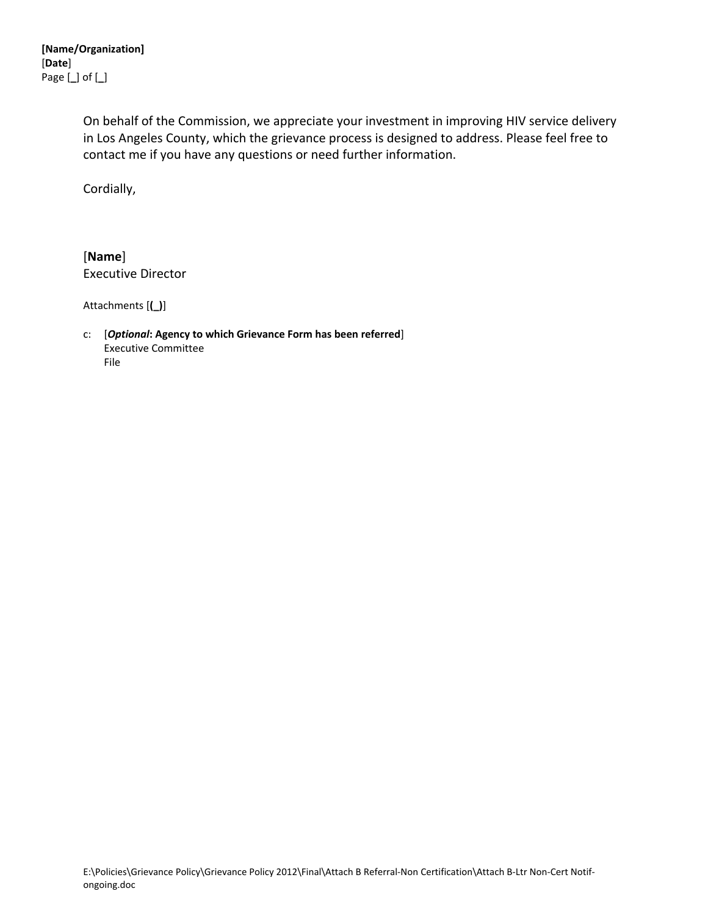On behalf of the Commission, we appreciate your investment in improving HIV service delivery in Los Angeles County, which the grievance process is designed to address. Please feel free to contact me if you have any questions or need further information.

Cordially,

[**Name**] Executive Director

Attachments [**(\_)**]

c: [*Optional***: Agency to which Grievance Form has been referred**] Executive Committee File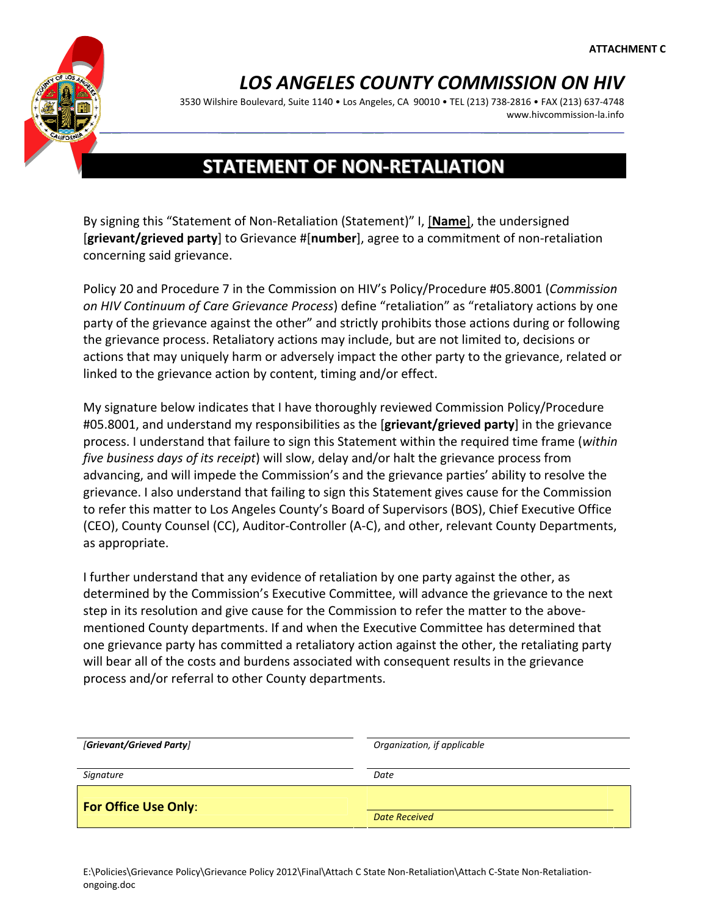

3530 Wilshire Boulevard, Suite 1140 • Los Angeles, CA 90010 • TEL (213) 738‐2816 • FAX (213) 637‐4748 www.hivcommission‐la.info

### **STATEMENT OF NON‐RETALIATION**

By signing this "Statement of Non‐Retaliation (Statement)" I, [**Name**], the undersigned [**grievant/grieved party**] to Grievance #[**number**], agree to a commitment of non‐retaliation concerning said grievance.

Policy 20 and Procedure 7 in the Commission on HIV's Policy/Procedure #05.8001 (*Commission on HIV Continuum of Care Grievance Process*) define "retaliation" as "retaliatory actions by one party of the grievance against the other" and strictly prohibits those actions during or following the grievance process. Retaliatory actions may include, but are not limited to, decisions or actions that may uniquely harm or adversely impact the other party to the grievance, related or linked to the grievance action by content, timing and/or effect.

My signature below indicates that I have thoroughly reviewed Commission Policy/Procedure #05.8001, and understand my responsibilities as the [**grievant/grieved party**] in the grievance process. I understand that failure to sign this Statement within the required time frame (*within five business days of its receipt*) will slow, delay and/or halt the grievance process from advancing, and will impede the Commission's and the grievance parties' ability to resolve the grievance. I also understand that failing to sign this Statement gives cause for the Commission to refer this matter to Los Angeles County's Board of Supervisors (BOS), Chief Executive Office (CEO), County Counsel (CC), Auditor‐Controller (A‐C), and other, relevant County Departments, as appropriate.

I further understand that any evidence of retaliation by one party against the other, as determined by the Commission's Executive Committee, will advance the grievance to the next step in its resolution and give cause for the Commission to refer the matter to the above‐ mentioned County departments. If and when the Executive Committee has determined that one grievance party has committed a retaliatory action against the other, the retaliating party will bear all of the costs and burdens associated with consequent results in the grievance process and/or referral to other County departments.

| [Grievant/Grieved Party]    | Organization, if applicable |  |
|-----------------------------|-----------------------------|--|
| Signature                   | Date                        |  |
| <b>For Office Use Only:</b> |                             |  |
|                             | <b>Date Received</b>        |  |

E:\Policies\Grievance Policy\Grievance Policy 2012\Final\Attach C State Non‐Retaliation\Attach C‐State Non‐Retaliation‐ ongoing.doc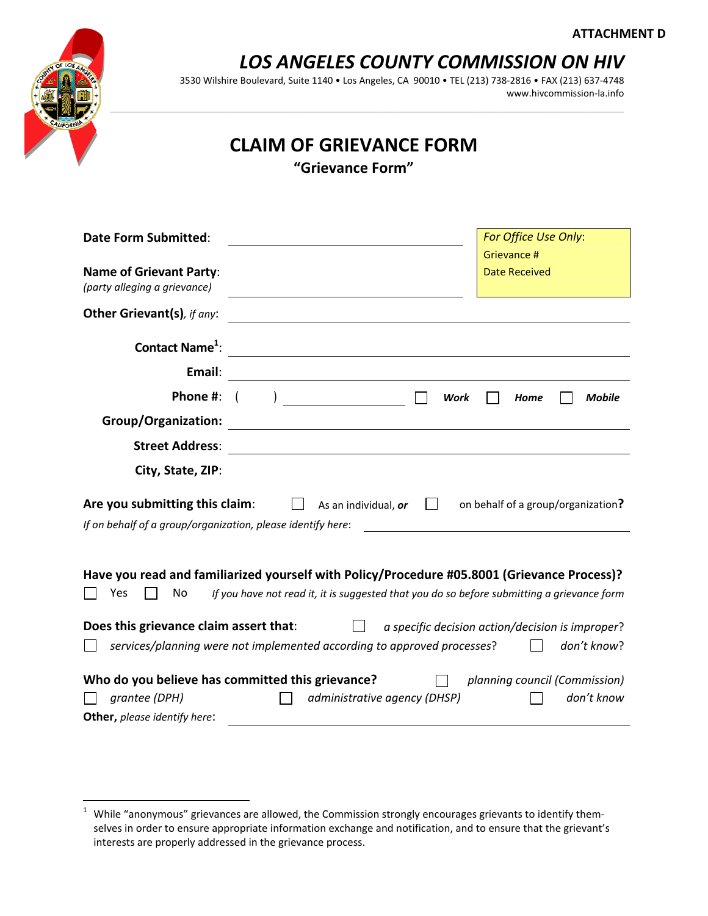

3530 Wilshire Boulevard, Suite 1140 • Los Angeles, CA 90010 • TEL (213) 738‐2816 • FAX (213) 637‐4748 www.hivcommission‐la.info

### **CLAIM OF GRIEVANCE FORM**

**"Grievance Form"**

| <b>Date Form Submitted:</b>                                                                                                                                                                            |                                                                                                                                                             | For Office Use Only:                             |  |  |
|--------------------------------------------------------------------------------------------------------------------------------------------------------------------------------------------------------|-------------------------------------------------------------------------------------------------------------------------------------------------------------|--------------------------------------------------|--|--|
|                                                                                                                                                                                                        |                                                                                                                                                             | Grievance #                                      |  |  |
| <b>Name of Grievant Party:</b><br>(party alleging a grievance)                                                                                                                                         |                                                                                                                                                             | <b>Date Received</b>                             |  |  |
| <b>Other Grievant(s)</b> , if any:                                                                                                                                                                     |                                                                                                                                                             |                                                  |  |  |
| Contact Name <sup>1</sup> :                                                                                                                                                                            |                                                                                                                                                             |                                                  |  |  |
| Email:                                                                                                                                                                                                 | <u> 1980 - Johann Barbara, martin d</u>                                                                                                                     |                                                  |  |  |
| Phone #:                                                                                                                                                                                               |                                                                                                                                                             | <b>Work</b><br><b>Mobile</b><br>Home             |  |  |
| <b>Group/Organization:</b>                                                                                                                                                                             |                                                                                                                                                             |                                                  |  |  |
| <b>Street Address:</b>                                                                                                                                                                                 |                                                                                                                                                             |                                                  |  |  |
| City, State, ZIP:                                                                                                                                                                                      |                                                                                                                                                             |                                                  |  |  |
|                                                                                                                                                                                                        | Are you submitting this claim:<br>on behalf of a group/organization?<br>As an individual, or<br>If on behalf of a group/organization, please identify here: |                                                  |  |  |
|                                                                                                                                                                                                        |                                                                                                                                                             |                                                  |  |  |
| Have you read and familiarized yourself with Policy/Procedure #05.8001 (Grievance Process)?<br>If you have not read it, it is suggested that you do so before submitting a grievance form<br>No<br>Yes |                                                                                                                                                             |                                                  |  |  |
| Does this grievance claim assert that:                                                                                                                                                                 |                                                                                                                                                             | a specific decision action/decision is improper? |  |  |
|                                                                                                                                                                                                        | services/planning were not implemented according to approved processes?                                                                                     | don't know?                                      |  |  |
| Who do you believe has committed this grievance?                                                                                                                                                       |                                                                                                                                                             | planning council (Commission)                    |  |  |
| grantee (DPH)                                                                                                                                                                                          | administrative agency (DHSP)                                                                                                                                | don't know                                       |  |  |
| Other, please identify here:                                                                                                                                                                           |                                                                                                                                                             |                                                  |  |  |

<sup>&</sup>lt;u>.</u><br><sup>1</sup> While "anonymous" grievances are allowed, the Commission strongly encourages grievants to identify themselves in order to ensure appropriate information exchange and notification, and to ensure that the grievant's interests are properly addressed in the grievance process.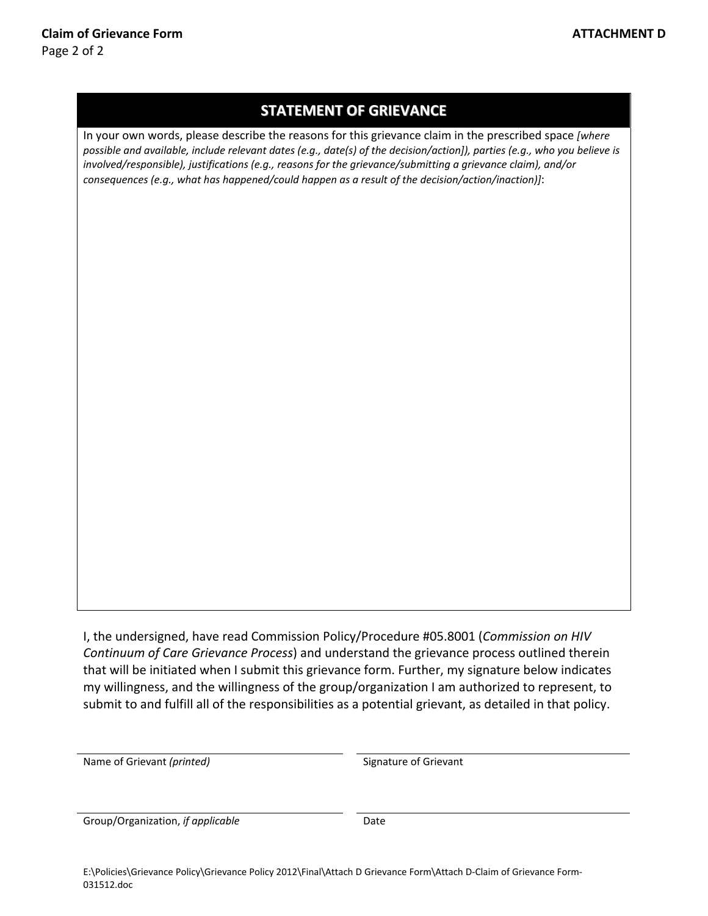### **STATEMENT OF GRIEVANCE**

In your own words, please describe the reasons for this grievance claim in the prescribed space *[where* possible and available, include relevant dates (e.g., date(s) of the decision/action]), parties (e.g., who you believe is *involved/responsible), justifications (e.g., reasons for the grievance/submitting a grievance claim), and/or consequences (e.g., what has happened/could happen as a result of the decision/action/inaction)]*:

I, the undersigned, have read Commission Policy/Procedure #05.8001 (*Commission on HIV Continuum of Care Grievance Process*) and understand the grievance process outlined therein that will be initiated when I submit this grievance form. Further, my signature below indicates my willingness, and the willingness of the group/organization I am authorized to represent, to submit to and fulfill all of the responsibilities as a potential grievant, as detailed in that policy.

Name of Grievant *(printed)* Signature of Grievant

Group/Organization, *if applicable* Date

E:\Policies\Grievance Policy\Grievance Policy 2012\Final\Attach D Grievance Form\Attach D-Claim of Grievance Form-031512.doc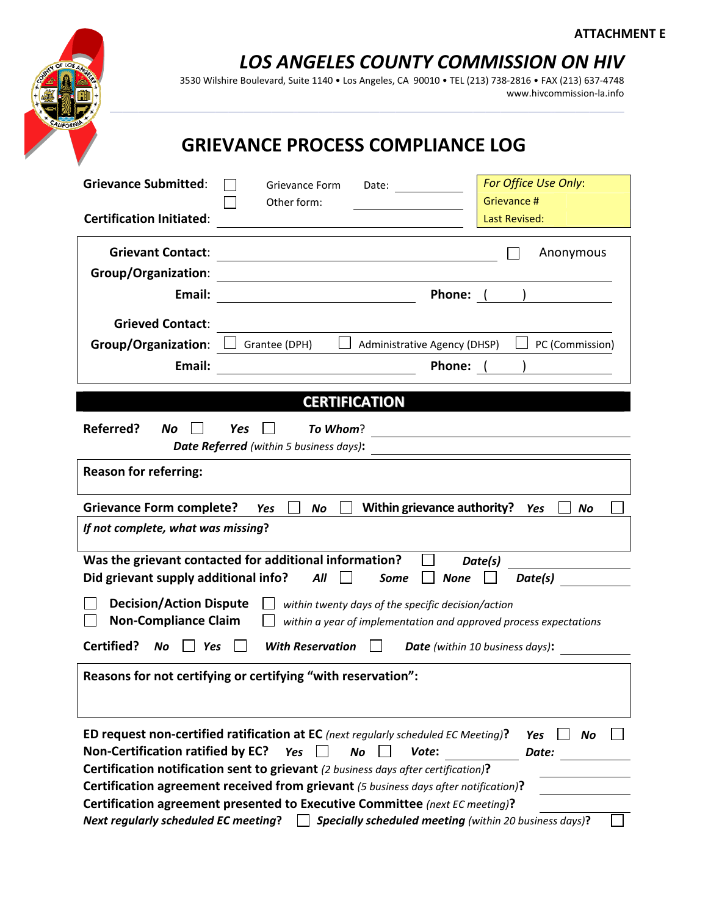#### **ATTACHMENT E**



 *LOS ANGELES COUNTY COMMISSION ON HIV* 

3530 Wilshire Boulevard, Suite 1140 • Los Angeles, CA 90010 • TEL (213) 738‐2816 • FAX (213) 637‐4748 www.hivcommission‐la.info

### **GRIEVANCE PROCESS COMPLIANCE LOG**

| <b>Grievance Submitted:</b>                                                                                                                                                                                                                                                                                                                              | Grievance Form<br>Date:                                                                                                               | For Office Use Only:                      |  |  |
|----------------------------------------------------------------------------------------------------------------------------------------------------------------------------------------------------------------------------------------------------------------------------------------------------------------------------------------------------------|---------------------------------------------------------------------------------------------------------------------------------------|-------------------------------------------|--|--|
| <b>Certification Initiated:</b>                                                                                                                                                                                                                                                                                                                          | Other form:                                                                                                                           | Grievance #<br><b>Last Revised:</b>       |  |  |
| <b>Grievant Contact:</b>                                                                                                                                                                                                                                                                                                                                 | <u> 1980 - Johann Barn, mars ann an t-Amhain Aonaichte ann an t-Aonaichte ann an t-Aonaichte ann an t-Aonaichte a</u>                 | Anonymous                                 |  |  |
| <b>Group/Organization:</b><br>Email:                                                                                                                                                                                                                                                                                                                     | <b>Phone:</b>                                                                                                                         | ) and the set of $\overline{\phantom{a}}$ |  |  |
| <b>Grieved Contact:</b>                                                                                                                                                                                                                                                                                                                                  |                                                                                                                                       |                                           |  |  |
| <b>Group/Organization:</b>                                                                                                                                                                                                                                                                                                                               | Administrative Agency (DHSP)<br>Grantee (DPH)                                                                                         | PC (Commission)                           |  |  |
| Email:                                                                                                                                                                                                                                                                                                                                                   | Phone: (                                                                                                                              |                                           |  |  |
|                                                                                                                                                                                                                                                                                                                                                          | <b>CERTIFICATION</b>                                                                                                                  |                                           |  |  |
| Referred?<br>No                                                                                                                                                                                                                                                                                                                                          | Yes<br>To Whom?                                                                                                                       |                                           |  |  |
|                                                                                                                                                                                                                                                                                                                                                          | Date Referred (within 5 business days):                                                                                               |                                           |  |  |
| <b>Reason for referring:</b>                                                                                                                                                                                                                                                                                                                             |                                                                                                                                       |                                           |  |  |
| <b>Grievance Form complete?</b>                                                                                                                                                                                                                                                                                                                          | Within grievance authority?<br>No<br>Yes                                                                                              | <b>No</b><br><b>Yes</b>                   |  |  |
| If not complete, what was missing?                                                                                                                                                                                                                                                                                                                       |                                                                                                                                       |                                           |  |  |
| Did grievant supply additional info?                                                                                                                                                                                                                                                                                                                     | Was the grievant contacted for additional information?<br>All<br><b>None</b><br>Some                                                  | Date(s)<br>Date(s)                        |  |  |
| <b>Decision/Action Dispute</b><br>within twenty days of the specific decision/action<br><b>Non-Compliance Claim</b><br>within a year of implementation and approved process expectations                                                                                                                                                                 |                                                                                                                                       |                                           |  |  |
| Certified?<br><b>No</b><br><b>With Reservation</b><br>Yes<br><b>Date</b> (within 10 business days):                                                                                                                                                                                                                                                      |                                                                                                                                       |                                           |  |  |
| Reasons for not certifying or certifying "with reservation":                                                                                                                                                                                                                                                                                             |                                                                                                                                       |                                           |  |  |
| ED request non-certified ratification at EC (next regularly scheduled EC Meeting)?<br>Yes<br>No<br><b>Non-Certification ratified by EC?</b><br>No<br>Yes<br>Vote:<br>Date:<br>Certification notification sent to grievant (2 business days after certification)?<br>Certification agreement received from grievant (5 business days after notification)? |                                                                                                                                       |                                           |  |  |
| <b>Next regularly scheduled EC meeting?</b>                                                                                                                                                                                                                                                                                                              | Certification agreement presented to Executive Committee (next EC meeting)?<br>Specially scheduled meeting (within 20 business days)? |                                           |  |  |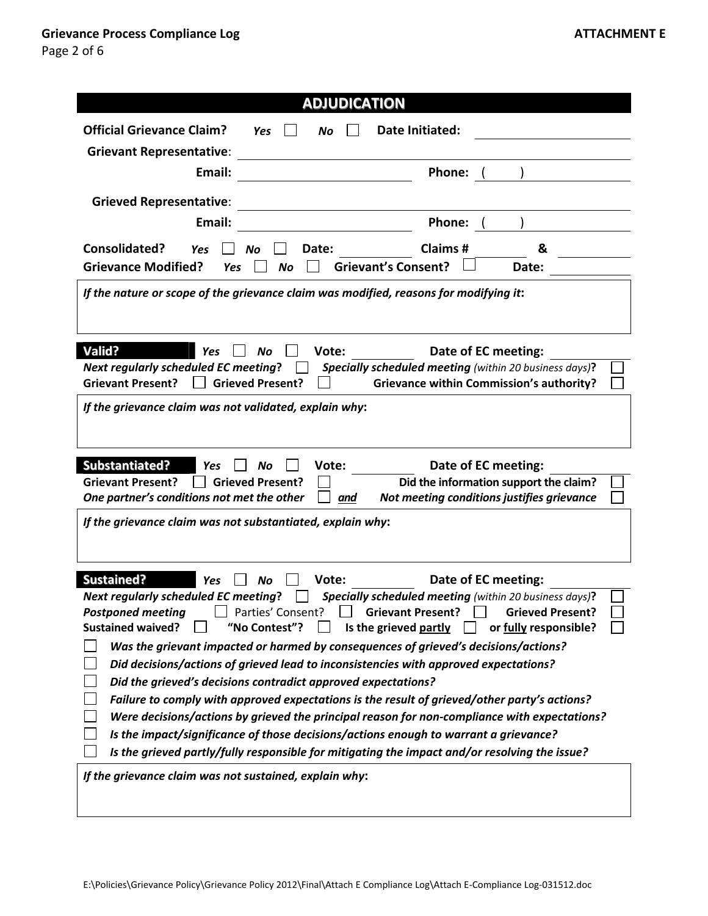| <b>ADJUDICATION</b>                                                                                    |  |  |  |  |
|--------------------------------------------------------------------------------------------------------|--|--|--|--|
|                                                                                                        |  |  |  |  |
| <b>Official Grievance Claim?</b><br>Date Initiated:<br><b>Yes</b><br>No                                |  |  |  |  |
| <b>Grievant Representative:</b>                                                                        |  |  |  |  |
| Email:<br>Phone:                                                                                       |  |  |  |  |
| <b>Grieved Representative:</b>                                                                         |  |  |  |  |
| Email:<br>Phone:                                                                                       |  |  |  |  |
| Consolidated?<br><b>Claims#</b><br>&<br>Date:<br>Yes<br>No                                             |  |  |  |  |
| <b>Grievant's Consent?</b><br><b>Grievance Modified?</b><br><b>Yes</b><br>No<br>Date:                  |  |  |  |  |
| If the nature or scope of the grievance claim was modified, reasons for modifying it:                  |  |  |  |  |
| <b>Valid?</b><br>Vote:<br>Date of EC meeting:<br>Yes<br>No                                             |  |  |  |  |
| <b>Next regularly scheduled EC meeting?</b><br>Specially scheduled meeting (within 20 business days)?  |  |  |  |  |
| <b>Grieved Present?</b><br><b>Grievance within Commission's authority?</b><br><b>Grievant Present?</b> |  |  |  |  |
| If the grievance claim was not validated, explain why:                                                 |  |  |  |  |
| <b>Substantiated?</b><br>Vote:<br>Date of EC meeting:<br>Nο<br><b>Yes</b>                              |  |  |  |  |
| Did the information support the claim?<br><b>Grievant Present?</b><br><b>Grieved Present?</b>          |  |  |  |  |
| Not meeting conditions justifies grievance<br>One partner's conditions not met the other<br><u>and</u> |  |  |  |  |
| If the grievance claim was not substantiated, explain why:                                             |  |  |  |  |
| <b>Sustained?</b><br>Date of EC meeting:<br>Vote:<br>Yes<br>Νo                                         |  |  |  |  |
| <b>Next regularly scheduled EC meeting?</b><br>Specially scheduled meeting (within 20 business days)?  |  |  |  |  |
| Parties' Consent?<br><b>Grievant Present?</b><br><b>Grieved Present?</b><br><b>Postponed meeting</b>   |  |  |  |  |
| <b>Sustained waived?</b><br>"No Contest"?<br>Is the grieved partly<br>or fully responsible?            |  |  |  |  |
| Was the grievant impacted or harmed by consequences of grieved's decisions/actions?                    |  |  |  |  |
| Did decisions/actions of grieved lead to inconsistencies with approved expectations?                   |  |  |  |  |
| Did the grieved's decisions contradict approved expectations?                                          |  |  |  |  |
| Failure to comply with approved expectations is the result of grieved/other party's actions?           |  |  |  |  |
| Were decisions/actions by grieved the principal reason for non-compliance with expectations?           |  |  |  |  |
| Is the impact/significance of those decisions/actions enough to warrant a grievance?                   |  |  |  |  |
| Is the grieved partly/fully responsible for mitigating the impact and/or resolving the issue?          |  |  |  |  |
| If the grievance claim was not sustained, explain why:                                                 |  |  |  |  |
|                                                                                                        |  |  |  |  |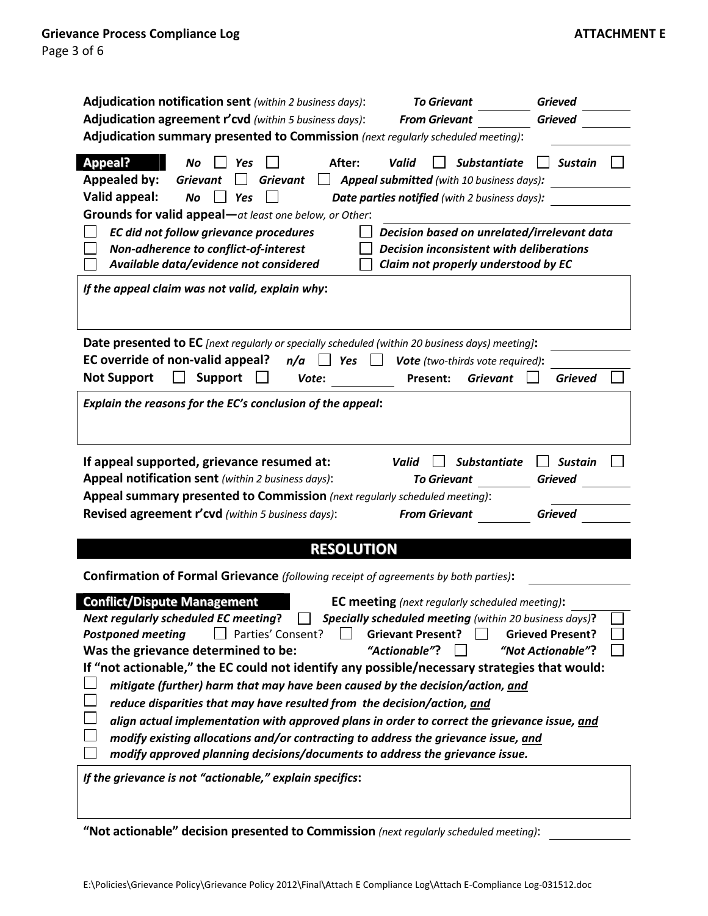| Adjudication notification sent (within 2 business days):                                                         | <b>To Grievant</b>                                                                     | <b>Grieved</b>          |
|------------------------------------------------------------------------------------------------------------------|----------------------------------------------------------------------------------------|-------------------------|
| Adjudication agreement r'cvd (within 5 business days):                                                           | <b>From Grievant</b>                                                                   | <b>Grieved</b>          |
| Adjudication summary presented to Commission (next regularly scheduled meeting):                                 |                                                                                        |                         |
| <b>Appeal?</b><br>After:<br><b>No</b><br>Yes                                                                     | <b>Substantiate</b><br>Valid                                                           | <b>Sustain</b>          |
| <b>Appealed by:</b><br><b>Grievant</b><br><b>Grievant</b>                                                        | $\Box$ <b>Appeal submitted</b> (with 10 business days):                                |                         |
| Valid appeal:<br>No<br>Yes                                                                                       | Date parties notified (with 2 business days):                                          |                         |
| Grounds for valid appeal-at least one below, or Other:                                                           |                                                                                        |                         |
| EC did not follow grievance procedures                                                                           | Decision based on unrelated/irrelevant data                                            |                         |
| Non-adherence to conflict-of-interest<br>Available data/evidence not considered                                  | <b>Decision inconsistent with deliberations</b><br>Claim not properly understood by EC |                         |
|                                                                                                                  |                                                                                        |                         |
| If the appeal claim was not valid, explain why:                                                                  |                                                                                        |                         |
|                                                                                                                  |                                                                                        |                         |
| Date presented to EC [next regularly or specially scheduled (within 20 business days) meeting]:                  |                                                                                        |                         |
| EC override of non-valid appeal?<br>n/a<br>Yes<br>$\mathbf{1}$                                                   | Vote (two-thirds vote required):                                                       |                         |
| <b>Not Support</b><br><b>Support</b><br>Vote:                                                                    | <b>Grievant</b><br>Present:                                                            | <b>Grieved</b>          |
|                                                                                                                  |                                                                                        |                         |
| Explain the reasons for the EC's conclusion of the appeal:                                                       |                                                                                        |                         |
|                                                                                                                  |                                                                                        |                         |
| If appeal supported, grievance resumed at:                                                                       | <b>Substantiate</b><br>Valid                                                           | <b>Sustain</b>          |
| Appeal notification sent (within 2 business days):                                                               | <b>To Grievant</b>                                                                     | <b>Grieved</b>          |
| Appeal summary presented to Commission (next regularly scheduled meeting):                                       |                                                                                        |                         |
| Revised agreement r'cvd (within 5 business days):                                                                | <b>From Grievant</b>                                                                   | Grieved                 |
|                                                                                                                  |                                                                                        |                         |
| <b>RESOLUTION</b>                                                                                                |                                                                                        |                         |
| Confirmation of Formal Grievance (following receipt of agreements by both parties):                              |                                                                                        |                         |
| <b>Conflict/Dispute Management</b>                                                                               | <b>EC meeting</b> (next regularly scheduled meeting):                                  |                         |
| <b>Next regularly scheduled EC meeting?</b> $\Box$ <b>Specially scheduled meeting</b> (within 20 business days)? |                                                                                        |                         |
| Parties' Consent?<br><b>Postponed meeting</b>                                                                    | <b>Grievant Present?</b><br>$\blacksquare$                                             | <b>Grieved Present?</b> |
| Was the grievance determined to be:                                                                              | "Actionable"?                                                                          | "Not Actionable"?       |
| If "not actionable," the EC could not identify any possible/necessary strategies that would:                     |                                                                                        |                         |
| mitigate (further) harm that may have been caused by the decision/action, and                                    |                                                                                        |                         |
| reduce disparities that may have resulted from the decision/action, and                                          |                                                                                        |                         |
| align actual implementation with approved plans in order to correct the grievance issue, and                     |                                                                                        |                         |
| modify existing allocations and/or contracting to address the grievance issue, and                               |                                                                                        |                         |
| modify approved planning decisions/documents to address the grievance issue.                                     |                                                                                        |                         |
| If the grievance is not "actionable," explain specifics:                                                         |                                                                                        |                         |
|                                                                                                                  |                                                                                        |                         |
|                                                                                                                  |                                                                                        |                         |
| "Not actionable" decision presented to Commission (next regularly scheduled meeting):                            |                                                                                        |                         |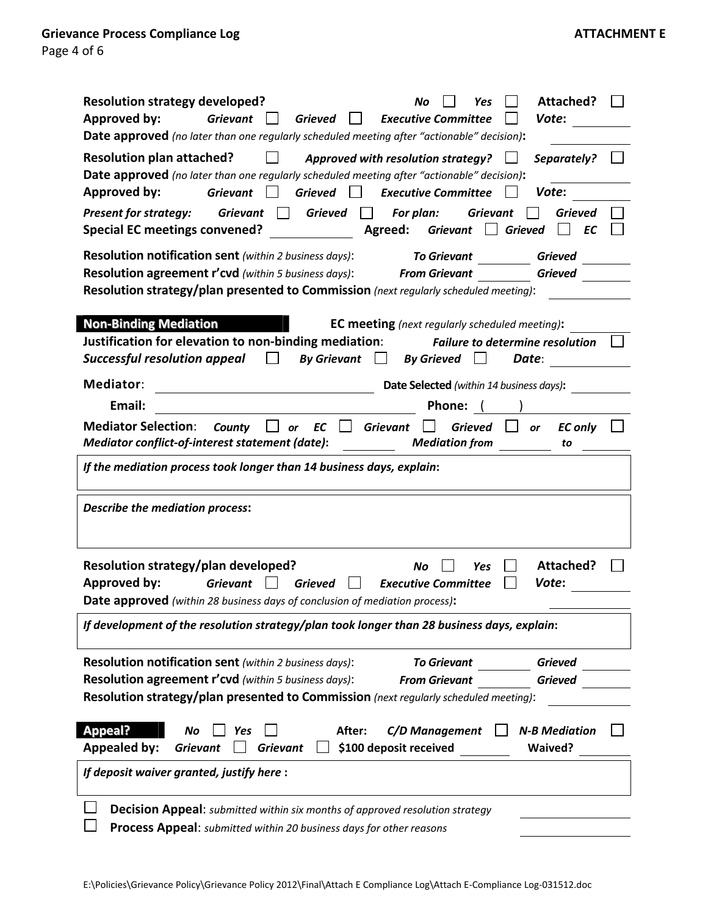| <b>Resolution strategy developed?</b><br>Attached?<br>No<br>Yes<br><b>Approved by:</b><br><b>Grievant</b><br><b>Grieved</b><br><b>Executive Committee</b><br>Vote:<br>$\mathbf{1}$<br>Date approved (no later than one regularly scheduled meeting after "actionable" decision):                       |
|--------------------------------------------------------------------------------------------------------------------------------------------------------------------------------------------------------------------------------------------------------------------------------------------------------|
| <b>Resolution plan attached?</b><br>$\Box$ Approved with resolution strategy?<br>Separately?<br>Date approved (no later than one regularly scheduled meeting after "actionable" decision):<br><b>Approved by:</b><br>Grieved Sxecutive Committee<br><b>Grievant</b><br>Vote:<br>$\perp$                |
| Grieved<br><b>Present for strategy:</b><br><b>Grievant</b><br>For plan:<br><b>Grievant</b><br><b>Grieved</b><br>$\mathbf{1}$<br>$\mathbf{1}$<br><b>Special EC meetings convened?</b><br>Agreed:<br>Grievant   Grieved<br>EC                                                                            |
| Resolution notification sent (within 2 business days):<br><b>To Grievant</b><br><b>Grieved</b><br><b>Resolution agreement r'cvd</b> (within 5 business days): From Grievant<br><b>Grieved</b><br>Resolution strategy/plan presented to Commission (next regularly scheduled meeting):                  |
| <b>Non-Binding Mediation</b><br><b>EC meeting</b> (next regularly scheduled meeting):<br>Justification for elevation to non-binding mediation:<br><b>Failure to determine resolution</b><br><b>Successful resolution appeal</b><br>$\Box$<br>By Grievant $\Box$ By Grieved<br>$\perp$<br>Date:         |
| Mediator:<br>Date Selected (within 14 business days):                                                                                                                                                                                                                                                  |
| Email:<br>Phone: (                                                                                                                                                                                                                                                                                     |
| <b>Mediator Selection:</b><br>Grieved<br>County $\Box$ or EC<br>$\Box$<br>Grievant<br><b>EC only</b><br>$\Box$ or<br>Mediator conflict-of-interest statement (date):<br><b>Mediation from</b><br>to                                                                                                    |
| If the mediation process took longer than 14 business days, explain:                                                                                                                                                                                                                                   |
| <b>Describe the mediation process:</b>                                                                                                                                                                                                                                                                 |
| Resolution strategy/plan developed?<br>Attached?<br>No<br>Yes<br><b>Grieved</b><br><b>Approved by:</b><br><b>Grievant</b><br><b>Executive Committee</b><br>Vote:<br>Date approved (within 28 business days of conclusion of mediation process):                                                        |
| If development of the resolution strategy/plan took longer than 28 business days, explain:                                                                                                                                                                                                             |
| <b>Resolution notification sent</b> (within 2 business days):<br><b>To Grievant</b><br><b>Grieved</b><br><b>Resolution agreement r'cvd</b> (within 5 business days):<br><b>From Grievant</b><br><b>Grieved</b><br>Resolution strategy/plan presented to Commission (next regularly scheduled meeting): |
| <b>Appeal?</b><br><b>N-B Mediation</b><br>After:<br>C/D Management<br>No<br><b>Yes</b><br><b>Appealed by:</b><br><b>Grievant</b><br>\$100 deposit received<br><b>Waived?</b><br><b>Grievant</b>                                                                                                        |
| If deposit waiver granted, justify here :                                                                                                                                                                                                                                                              |
|                                                                                                                                                                                                                                                                                                        |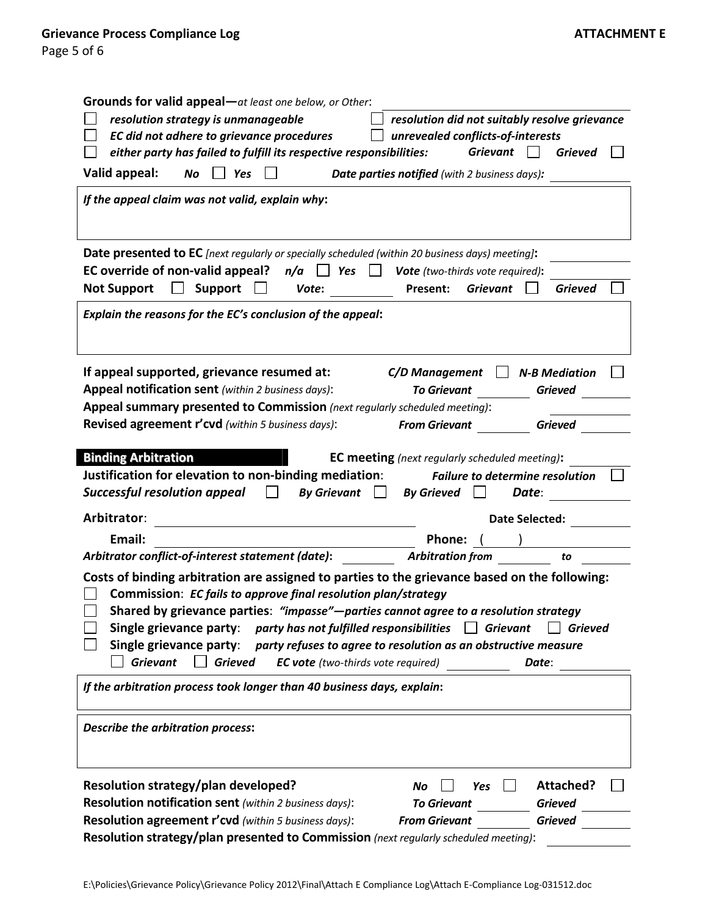| <b>Grounds for valid appeal</b> —at least one below, or Other:                                                                                                                                                                                                                                                                                                                                                                                           |                                                                                                                                               |  |  |  |
|----------------------------------------------------------------------------------------------------------------------------------------------------------------------------------------------------------------------------------------------------------------------------------------------------------------------------------------------------------------------------------------------------------------------------------------------------------|-----------------------------------------------------------------------------------------------------------------------------------------------|--|--|--|
| resolution strategy is unmanageable<br>resolution did not suitably resolve grievance                                                                                                                                                                                                                                                                                                                                                                     |                                                                                                                                               |  |  |  |
| EC did not adhere to grievance procedures<br>unrevealed conflicts-of-interests                                                                                                                                                                                                                                                                                                                                                                           |                                                                                                                                               |  |  |  |
| either party has failed to fulfill its respective responsibilities:                                                                                                                                                                                                                                                                                                                                                                                      | <b>Grievant</b><br><b>Grieved</b>                                                                                                             |  |  |  |
| Valid appeal:<br>No<br>$\Box$ Yes                                                                                                                                                                                                                                                                                                                                                                                                                        | Date parties notified (with 2 business days):                                                                                                 |  |  |  |
| If the appeal claim was not valid, explain why:                                                                                                                                                                                                                                                                                                                                                                                                          |                                                                                                                                               |  |  |  |
| Date presented to EC [next regularly or specially scheduled (within 20 business days) meeting]:                                                                                                                                                                                                                                                                                                                                                          |                                                                                                                                               |  |  |  |
| <b>EC override of non-valid appeal?</b> $n/a$ $\Box$ <b>Yes</b> $\Box$ <b>Vote</b> (two-thirds vote required):                                                                                                                                                                                                                                                                                                                                           |                                                                                                                                               |  |  |  |
| <b>Not Support</b><br><b>Support</b><br>Vote:                                                                                                                                                                                                                                                                                                                                                                                                            | <b>Grievant</b><br>Present:<br><b>Grieved</b>                                                                                                 |  |  |  |
| Explain the reasons for the EC's conclusion of the appeal:                                                                                                                                                                                                                                                                                                                                                                                               |                                                                                                                                               |  |  |  |
| If appeal supported, grievance resumed at:<br>Appeal notification sent (within 2 business days):<br>Appeal summary presented to Commission (next regularly scheduled meeting):<br>Revised agreement r'cvd (within 5 business days):                                                                                                                                                                                                                      | C/D Management<br><b>N-B Mediation</b><br><b>To Grievant</b><br><b>Grieved</b><br><b>From Grievant</b><br><b>Grieved</b>                      |  |  |  |
| <b>Binding Arbitration</b>                                                                                                                                                                                                                                                                                                                                                                                                                               |                                                                                                                                               |  |  |  |
| Justification for elevation to non-binding mediation:<br><b>Successful resolution appeal</b><br><b>By Grievant</b>                                                                                                                                                                                                                                                                                                                                       | <b>EC meeting</b> (next regularly scheduled meeting):<br><b>Failure to determine resolution</b><br><b>By Grieved</b><br>Date:<br>$\mathsf{L}$ |  |  |  |
| Arbitrator:                                                                                                                                                                                                                                                                                                                                                                                                                                              | <b>Date Selected:</b>                                                                                                                         |  |  |  |
| Email:                                                                                                                                                                                                                                                                                                                                                                                                                                                   | Phone:                                                                                                                                        |  |  |  |
| Arbitrator conflict-of-interest statement (date):                                                                                                                                                                                                                                                                                                                                                                                                        | <b>Arbitration from</b><br>to                                                                                                                 |  |  |  |
| Costs of binding arbitration are assigned to parties to the grievance based on the following:<br>Commission: EC fails to approve final resolution plan/strategy<br>Shared by grievance parties: "impasse"-parties cannot agree to a resolution strategy<br>Single grievance party: party has not fulfilled responsibilities $\Box$ Grievant<br>Single grievance party:<br><b>Grievant</b><br><b>Grieved</b><br><b>EC vote</b> (two-thirds vote required) | <b>Grieved</b><br>party refuses to agree to resolution as an obstructive measure<br>Date:                                                     |  |  |  |
| If the arbitration process took longer than 40 business days, explain:                                                                                                                                                                                                                                                                                                                                                                                   |                                                                                                                                               |  |  |  |
| <b>Describe the arbitration process:</b>                                                                                                                                                                                                                                                                                                                                                                                                                 |                                                                                                                                               |  |  |  |
| Resolution strategy/plan developed?                                                                                                                                                                                                                                                                                                                                                                                                                      | Attached?<br>No<br>Yes                                                                                                                        |  |  |  |
| Resolution notification sent (within 2 business days):                                                                                                                                                                                                                                                                                                                                                                                                   | <b>To Grievant</b><br><b>Grieved</b>                                                                                                          |  |  |  |
| Resolution agreement r'cvd (within 5 business days):                                                                                                                                                                                                                                                                                                                                                                                                     | <b>From Grievant</b><br><b>Grieved</b>                                                                                                        |  |  |  |
| Resolution strategy/plan presented to Commission (next regularly scheduled meeting):                                                                                                                                                                                                                                                                                                                                                                     |                                                                                                                                               |  |  |  |